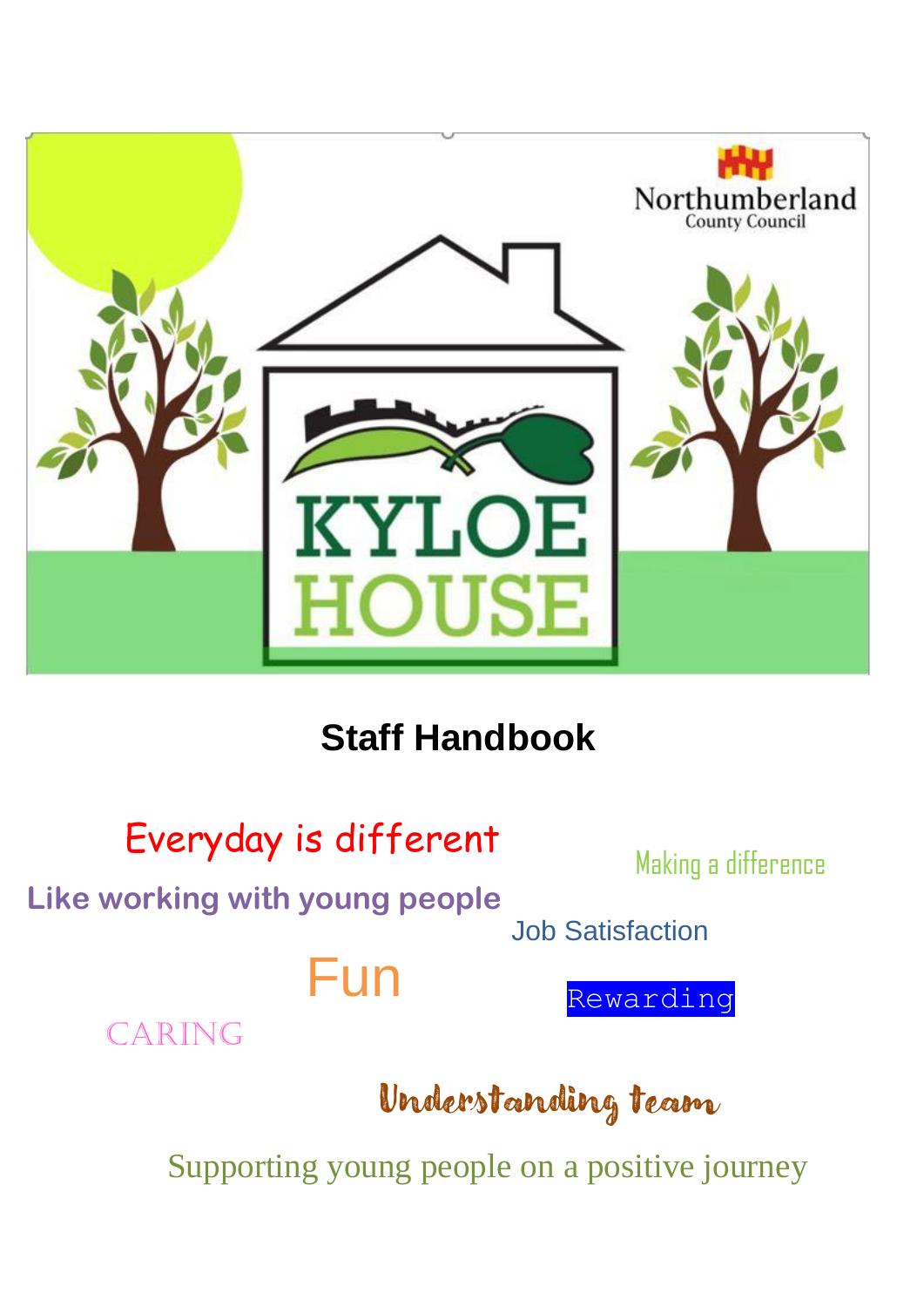

# **Staff Handbook**



Supporting young people on a positive journey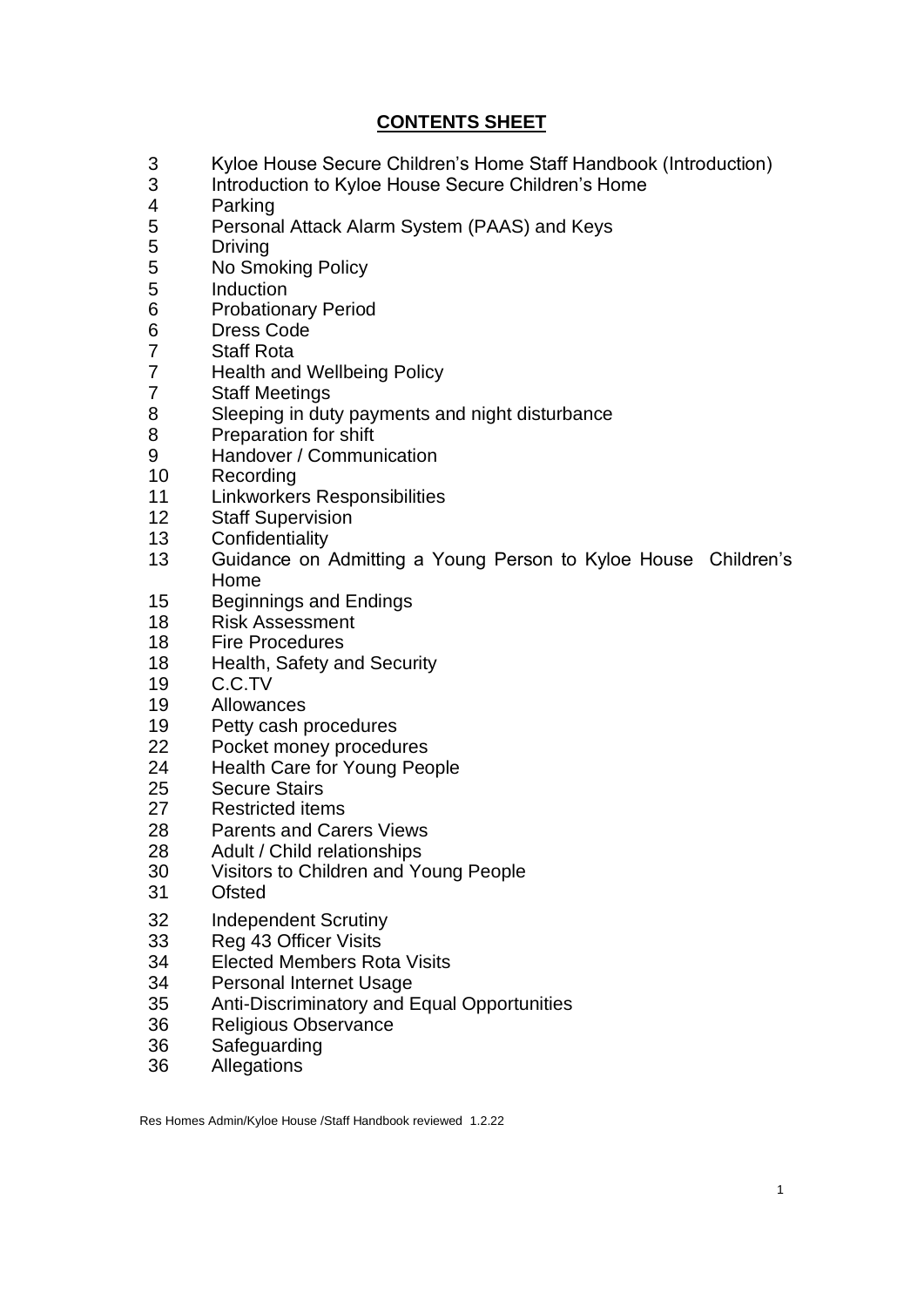# **CONTENTS SHEET**

- Kyloe House Secure Children's Home Staff Handbook (Introduction)
- Introduction to Kyloe House Secure Children's Home
- Parking
- Personal Attack Alarm System (PAAS) and Keys
- Driving
- No Smoking Policy
- Induction
- Probationary Period
- Dress Code
- Staff Rota
- Health and Wellbeing Policy
- Staff Meetings
- Sleeping in duty payments and night disturbance
- Preparation for shift
- Handover / Communication
- Recording
- Linkworkers Responsibilities
- Staff Supervision
- Confidentiality
- Guidance on Admitting a Young Person to Kyloe House Children's Home
- Beginnings and Endings
- Risk Assessment
- Fire Procedures
- Health, Safety and Security
- C.C.TV
- Allowances
- Petty cash procedures
- Pocket money procedures
- Health Care for Young People
- Secure Stairs
- Restricted items
- Parents and Carers Views
- Adult / Child relationships
- Visitors to Children and Young People
- Ofsted
- Independent Scrutiny
- Reg 43 Officer Visits
- Elected Members Rota Visits
- Personal Internet Usage
- Anti-Discriminatory and Equal Opportunities
- Religious Observance
- Safeguarding
- Allegations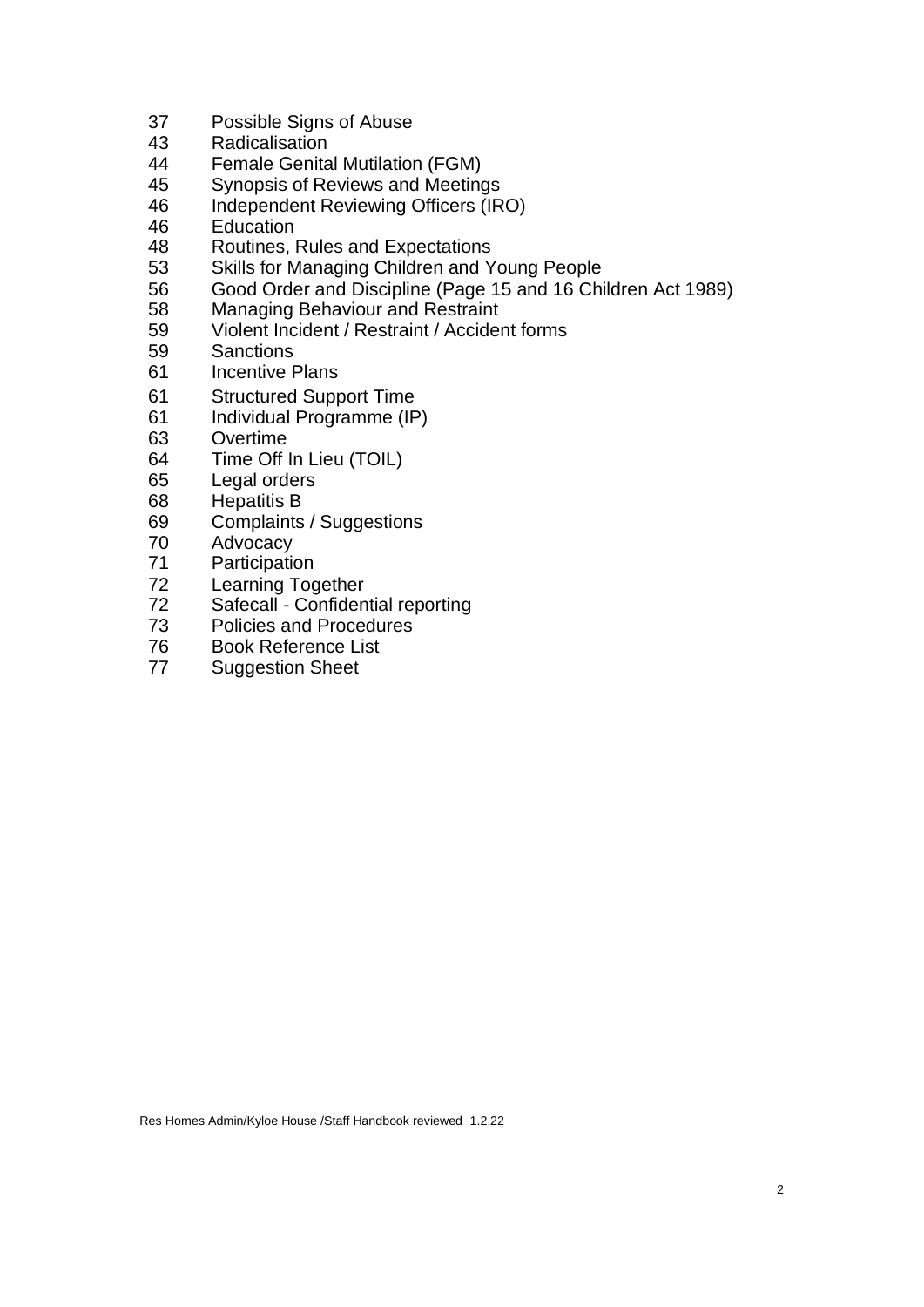- Possible Signs of Abuse
- 43 Radicalisation<br>44 Female Genita
- **Female Genital Mutilation (FGM)**
- Synopsis of Reviews and Meetings
- Independent Reviewing Officers (IRO)
- Education
- Routines, Rules and Expectations
- Skills for Managing Children and Young People
- Good Order and Discipline (Page 15 and 16 Children Act 1989)
- Managing Behaviour and Restraint
- Violent Incident / Restraint / Accident forms
- Sanctions
- Incentive Plans
- Structured Support Time
- Individual Programme (IP)
- Overtime
- Time Off In Lieu (TOIL)
- Legal orders
- Hepatitis B
- Complaints / Suggestions
- Advocacy
- Participation
- Learning Together
- Safecall - Confidential reporting
- Policies and Procedures
- Book Reference List
- Suggestion Sheet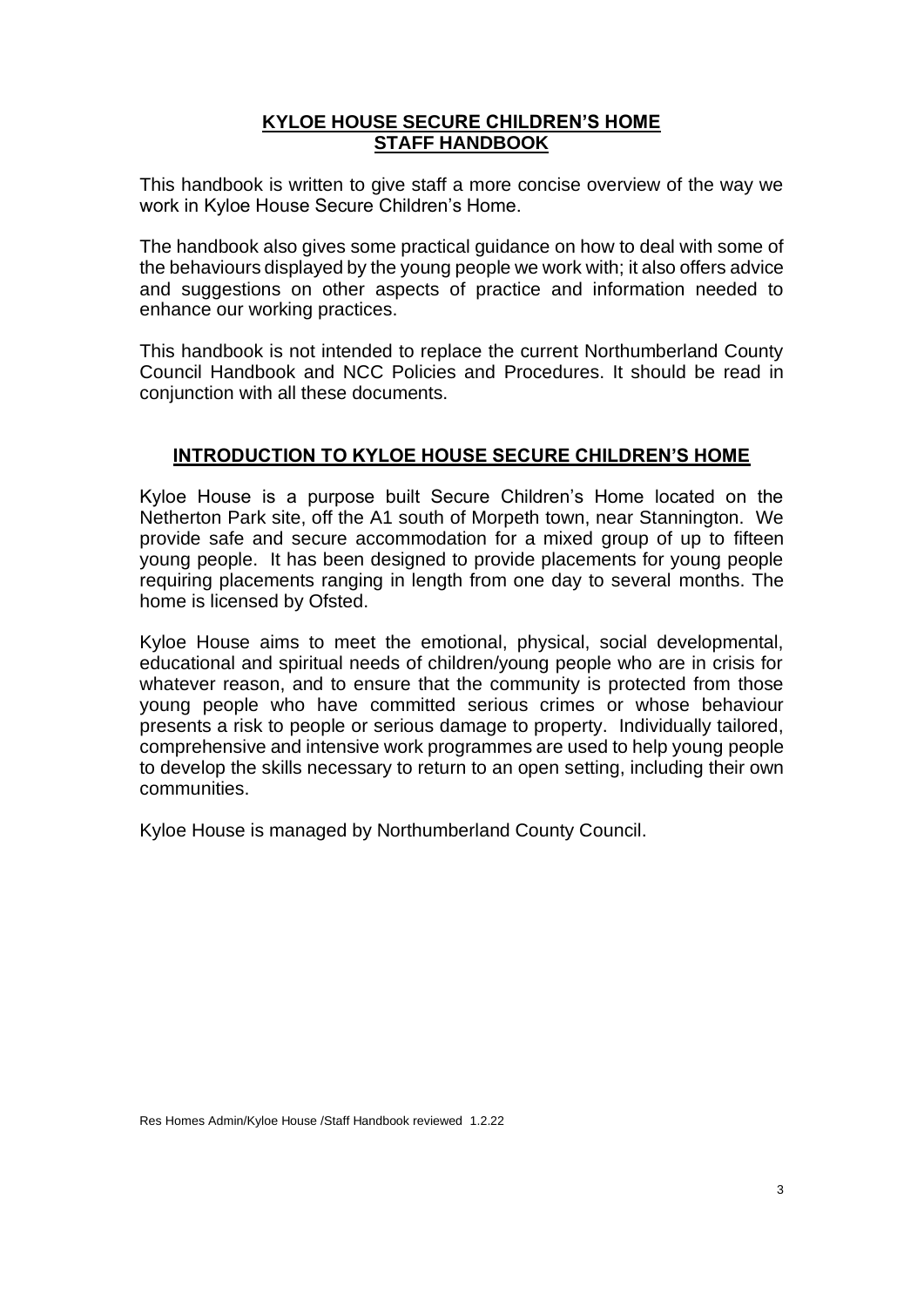#### **KYLOE HOUSE SECURE CHILDREN'S HOME STAFF HANDBOOK**

This handbook is written to give staff a more concise overview of the way we work in Kyloe House Secure Children's Home.

The handbook also gives some practical guidance on how to deal with some of the behaviours displayed by the young people we work with; it also offers advice and suggestions on other aspects of practice and information needed to enhance our working practices.

This handbook is not intended to replace the current Northumberland County Council Handbook and NCC Policies and Procedures. It should be read in conjunction with all these documents.

# **INTRODUCTION TO KYLOE HOUSE SECURE CHILDREN'S HOME**

Kyloe House is a purpose built Secure Children's Home located on the Netherton Park site, off the A1 south of Morpeth town, near Stannington. We provide safe and secure accommodation for a mixed group of up to fifteen young people. It has been designed to provide placements for young people requiring placements ranging in length from one day to several months. The home is licensed by Ofsted.

Kyloe House aims to meet the emotional, physical, social developmental, educational and spiritual needs of children/young people who are in crisis for whatever reason, and to ensure that the community is protected from those young people who have committed serious crimes or whose behaviour presents a risk to people or serious damage to property. Individually tailored, comprehensive and intensive work programmes are used to help young people to develop the skills necessary to return to an open setting, including their own communities.

Kyloe House is managed by Northumberland County Council.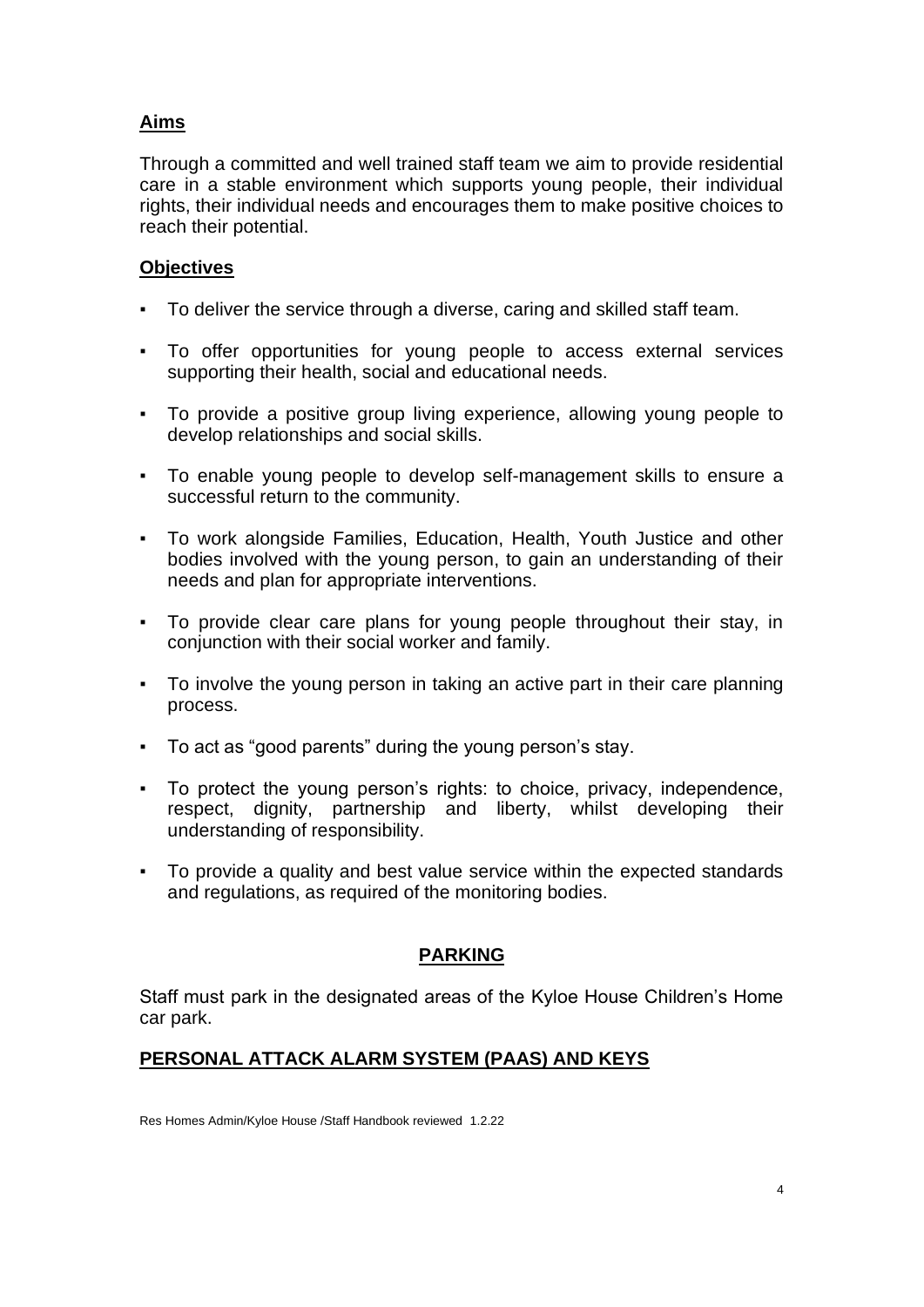# **Aims**

Through a committed and well trained staff team we aim to provide residential care in a stable environment which supports young people, their individual rights, their individual needs and encourages them to make positive choices to reach their potential.

# **Objectives**

- To deliver the service through a diverse, caring and skilled staff team.
- To offer opportunities for young people to access external services supporting their health, social and educational needs.
- To provide a positive group living experience, allowing young people to develop relationships and social skills.
- To enable young people to develop self-management skills to ensure a successful return to the community.
- To work alongside Families, Education, Health, Youth Justice and other bodies involved with the young person, to gain an understanding of their needs and plan for appropriate interventions.
- To provide clear care plans for young people throughout their stay, in conjunction with their social worker and family.
- To involve the young person in taking an active part in their care planning process.
- To act as "good parents" during the young person's stay.
- To protect the young person's rights: to choice, privacy, independence, respect, dignity, partnership and liberty, whilst developing their understanding of responsibility.
- To provide a quality and best value service within the expected standards and regulations, as required of the monitoring bodies.

# **PARKING**

Staff must park in the designated areas of the Kyloe House Children's Home car park.

# **PERSONAL ATTACK ALARM SYSTEM (PAAS) AND KEYS**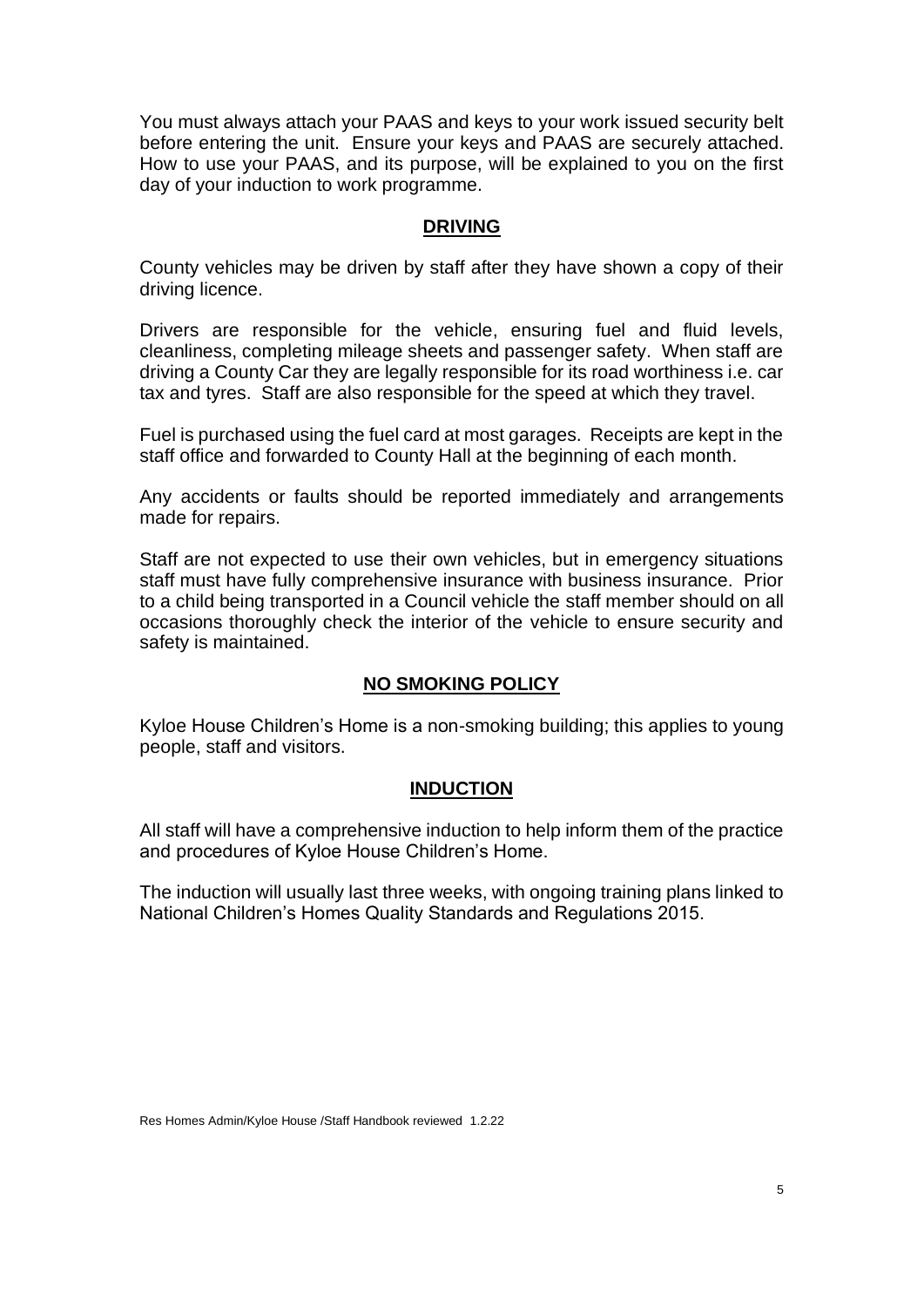You must always attach your PAAS and keys to your work issued security belt before entering the unit. Ensure your keys and PAAS are securely attached. How to use your PAAS, and its purpose, will be explained to you on the first day of your induction to work programme.

#### **DRIVING**

County vehicles may be driven by staff after they have shown a copy of their driving licence.

Drivers are responsible for the vehicle, ensuring fuel and fluid levels, cleanliness, completing mileage sheets and passenger safety. When staff are driving a County Car they are legally responsible for its road worthiness i.e. car tax and tyres. Staff are also responsible for the speed at which they travel.

Fuel is purchased using the fuel card at most garages. Receipts are kept in the staff office and forwarded to County Hall at the beginning of each month.

Any accidents or faults should be reported immediately and arrangements made for repairs.

Staff are not expected to use their own vehicles, but in emergency situations staff must have fully comprehensive insurance with business insurance. Prior to a child being transported in a Council vehicle the staff member should on all occasions thoroughly check the interior of the vehicle to ensure security and safety is maintained.

#### **NO SMOKING POLICY**

Kyloe House Children's Home is a non-smoking building; this applies to young people, staff and visitors.

#### **INDUCTION**

All staff will have a comprehensive induction to help inform them of the practice and procedures of Kyloe House Children's Home.

The induction will usually last three weeks, with ongoing training plans linked to National Children's Homes Quality Standards and Regulations 2015.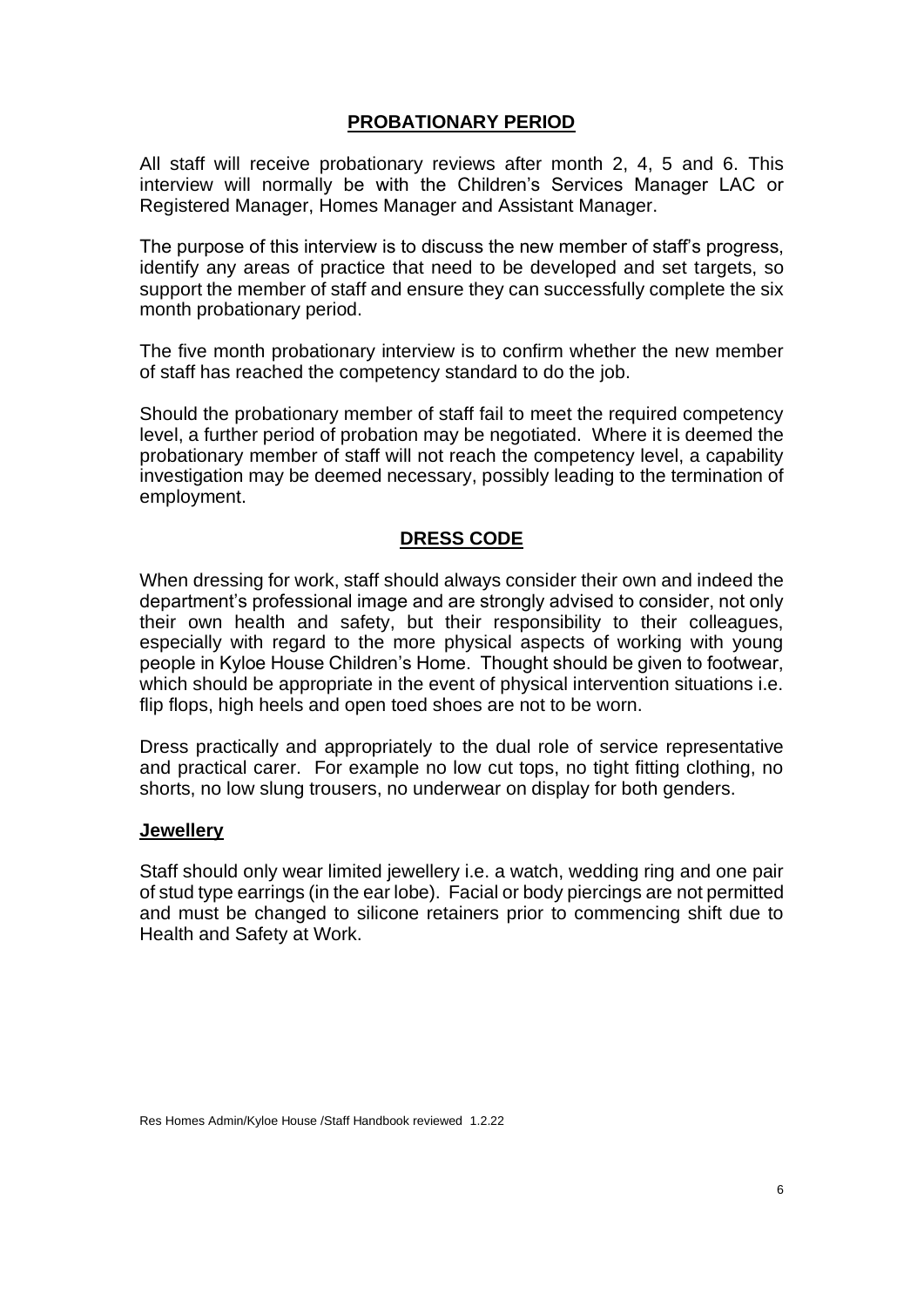## **PROBATIONARY PERIOD**

All staff will receive probationary reviews after month 2, 4, 5 and 6. This interview will normally be with the Children's Services Manager LAC or Registered Manager, Homes Manager and Assistant Manager.

The purpose of this interview is to discuss the new member of staff's progress, identify any areas of practice that need to be developed and set targets, so support the member of staff and ensure they can successfully complete the six month probationary period.

The five month probationary interview is to confirm whether the new member of staff has reached the competency standard to do the job.

Should the probationary member of staff fail to meet the required competency level, a further period of probation may be negotiated. Where it is deemed the probationary member of staff will not reach the competency level, a capability investigation may be deemed necessary, possibly leading to the termination of employment.

## **DRESS CODE**

When dressing for work, staff should always consider their own and indeed the department's professional image and are strongly advised to consider, not only their own health and safety, but their responsibility to their colleagues, especially with regard to the more physical aspects of working with young people in Kyloe House Children's Home. Thought should be given to footwear, which should be appropriate in the event of physical intervention situations i.e. flip flops, high heels and open toed shoes are not to be worn.

Dress practically and appropriately to the dual role of service representative and practical carer. For example no low cut tops, no tight fitting clothing, no shorts, no low slung trousers, no underwear on display for both genders.

#### **Jewellery**

Staff should only wear limited jewellery i.e. a watch, wedding ring and one pair of stud type earrings (in the ear lobe). Facial or body piercings are not permitted and must be changed to silicone retainers prior to commencing shift due to Health and Safety at Work.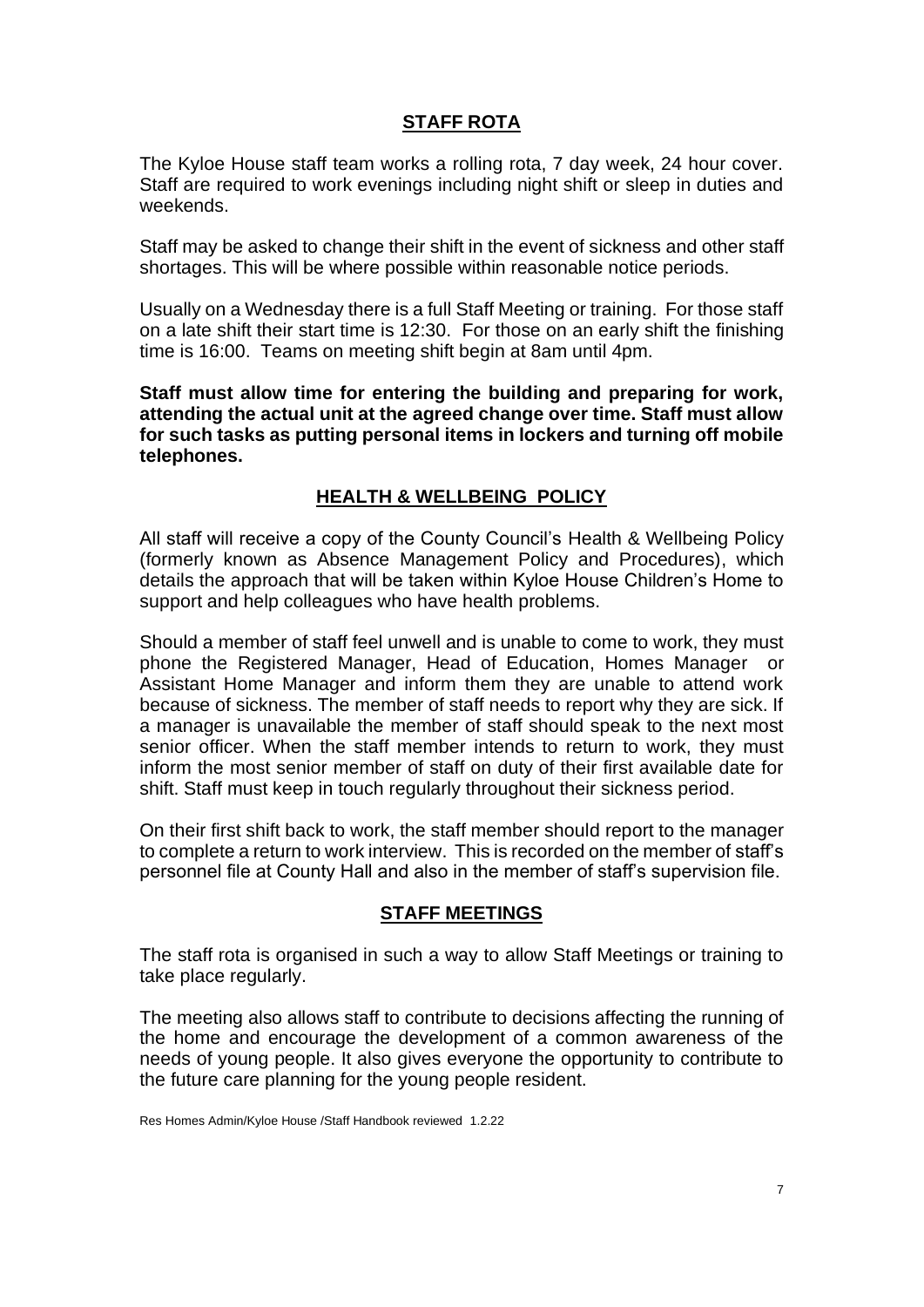# **STAFF ROTA**

The Kyloe House staff team works a rolling rota, 7 day week, 24 hour cover. Staff are required to work evenings including night shift or sleep in duties and weekends.

Staff may be asked to change their shift in the event of sickness and other staff shortages. This will be where possible within reasonable notice periods.

Usually on a Wednesday there is a full Staff Meeting or training. For those staff on a late shift their start time is 12:30. For those on an early shift the finishing time is 16:00. Teams on meeting shift begin at 8am until 4pm.

**Staff must allow time for entering the building and preparing for work, attending the actual unit at the agreed change over time. Staff must allow for such tasks as putting personal items in lockers and turning off mobile telephones.**

## **HEALTH & WELLBEING POLICY**

All staff will receive a copy of the County Council's Health & Wellbeing Policy (formerly known as Absence Management Policy and Procedures), which details the approach that will be taken within Kyloe House Children's Home to support and help colleagues who have health problems.

Should a member of staff feel unwell and is unable to come to work, they must phone the Registered Manager, Head of Education, Homes Manager or Assistant Home Manager and inform them they are unable to attend work because of sickness. The member of staff needs to report why they are sick. If a manager is unavailable the member of staff should speak to the next most senior officer. When the staff member intends to return to work, they must inform the most senior member of staff on duty of their first available date for shift. Staff must keep in touch regularly throughout their sickness period.

On their first shift back to work, the staff member should report to the manager to complete a return to work interview. This is recorded on the member of staff's personnel file at County Hall and also in the member of staff's supervision file.

#### **STAFF MEETINGS**

The staff rota is organised in such a way to allow Staff Meetings or training to take place regularly.

The meeting also allows staff to contribute to decisions affecting the running of the home and encourage the development of a common awareness of the needs of young people. It also gives everyone the opportunity to contribute to the future care planning for the young people resident.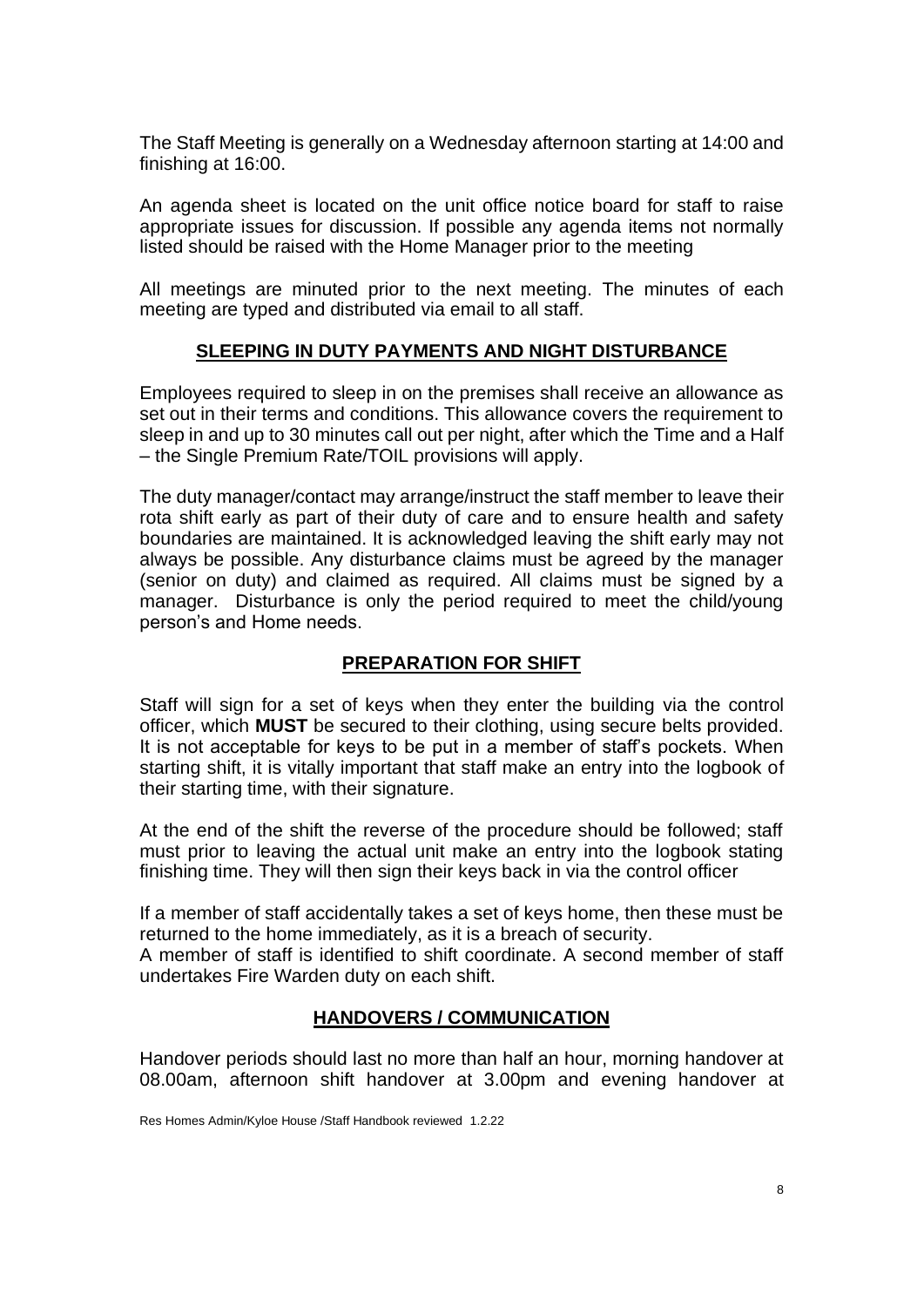The Staff Meeting is generally on a Wednesday afternoon starting at 14:00 and finishing at 16:00.

An agenda sheet is located on the unit office notice board for staff to raise appropriate issues for discussion. If possible any agenda items not normally listed should be raised with the Home Manager prior to the meeting

All meetings are minuted prior to the next meeting. The minutes of each meeting are typed and distributed via email to all staff.

## **SLEEPING IN DUTY PAYMENTS AND NIGHT DISTURBANCE**

Employees required to sleep in on the premises shall receive an allowance as set out in their terms and conditions. This allowance covers the requirement to sleep in and up to 30 minutes call out per night, after which the Time and a Half – the Single Premium Rate/TOIL provisions will apply.

The duty manager/contact may arrange/instruct the staff member to leave their rota shift early as part of their duty of care and to ensure health and safety boundaries are maintained. It is acknowledged leaving the shift early may not always be possible. Any disturbance claims must be agreed by the manager (senior on duty) and claimed as required. All claims must be signed by a manager. Disturbance is only the period required to meet the child/young person's and Home needs.

## **PREPARATION FOR SHIFT**

Staff will sign for a set of keys when they enter the building via the control officer, which **MUST** be secured to their clothing, using secure belts provided. It is not acceptable for keys to be put in a member of staff's pockets. When starting shift, it is vitally important that staff make an entry into the logbook of their starting time, with their signature.

At the end of the shift the reverse of the procedure should be followed; staff must prior to leaving the actual unit make an entry into the logbook stating finishing time. They will then sign their keys back in via the control officer

If a member of staff accidentally takes a set of keys home, then these must be returned to the home immediately, as it is a breach of security.

A member of staff is identified to shift coordinate. A second member of staff undertakes Fire Warden duty on each shift.

## **HANDOVERS / COMMUNICATION**

Handover periods should last no more than half an hour, morning handover at 08.00am, afternoon shift handover at 3.00pm and evening handover at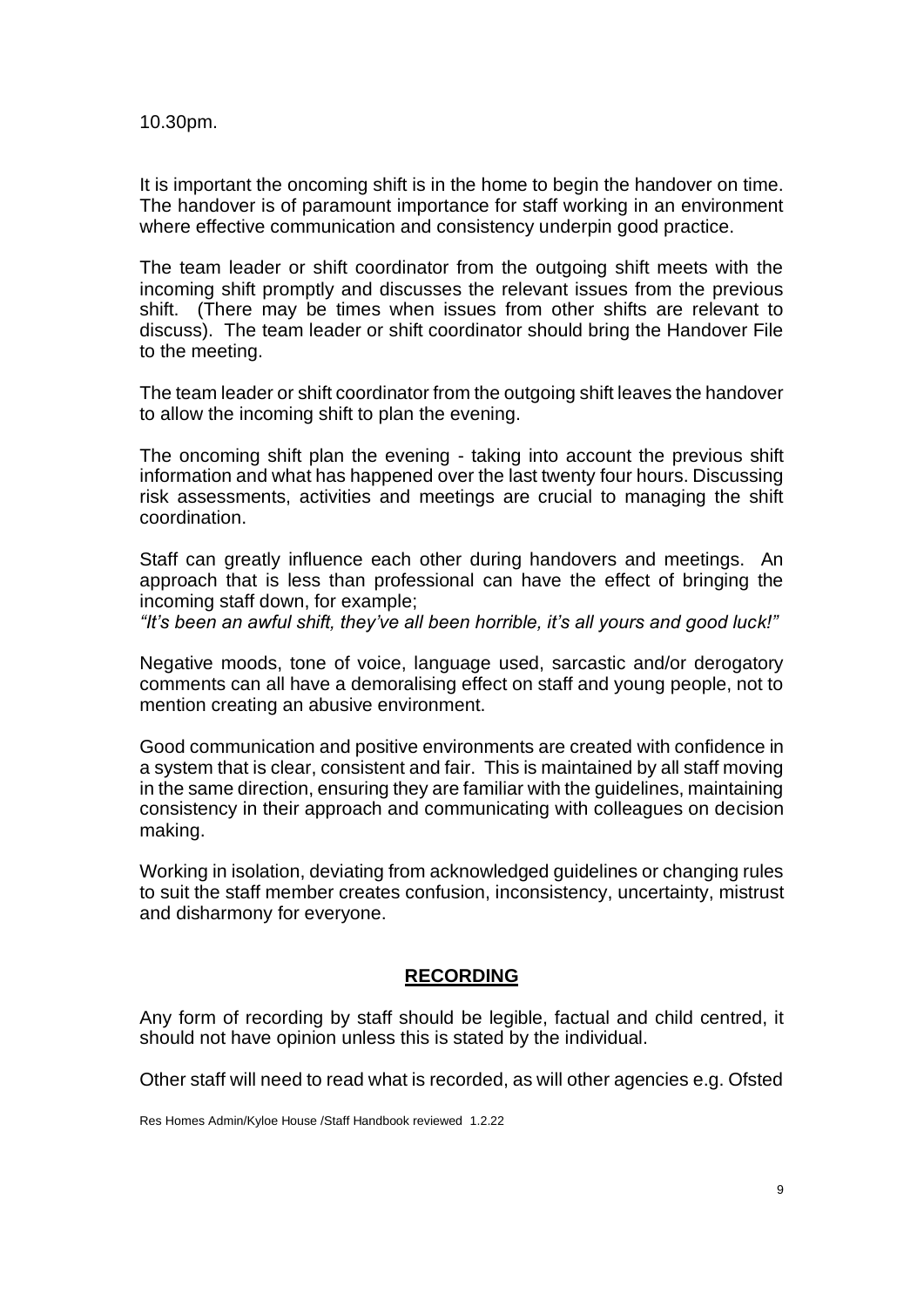10.30pm.

It is important the oncoming shift is in the home to begin the handover on time. The handover is of paramount importance for staff working in an environment where effective communication and consistency underpin good practice.

The team leader or shift coordinator from the outgoing shift meets with the incoming shift promptly and discusses the relevant issues from the previous shift. (There may be times when issues from other shifts are relevant to discuss). The team leader or shift coordinator should bring the Handover File to the meeting.

The team leader or shift coordinator from the outgoing shift leaves the handover to allow the incoming shift to plan the evening.

The oncoming shift plan the evening - taking into account the previous shift information and what has happened over the last twenty four hours. Discussing risk assessments, activities and meetings are crucial to managing the shift coordination.

Staff can greatly influence each other during handovers and meetings. An approach that is less than professional can have the effect of bringing the incoming staff down, for example;

*"It's been an awful shift, they've all been horrible, it's all yours and good luck!"*

Negative moods, tone of voice, language used, sarcastic and/or derogatory comments can all have a demoralising effect on staff and young people, not to mention creating an abusive environment.

Good communication and positive environments are created with confidence in a system that is clear, consistent and fair. This is maintained by all staff moving in the same direction, ensuring they are familiar with the guidelines, maintaining consistency in their approach and communicating with colleagues on decision making.

Working in isolation, deviating from acknowledged guidelines or changing rules to suit the staff member creates confusion, inconsistency, uncertainty, mistrust and disharmony for everyone.

#### **RECORDING**

Any form of recording by staff should be legible, factual and child centred, it should not have opinion unless this is stated by the individual.

Other staff will need to read what is recorded, as will other agencies e.g. Ofsted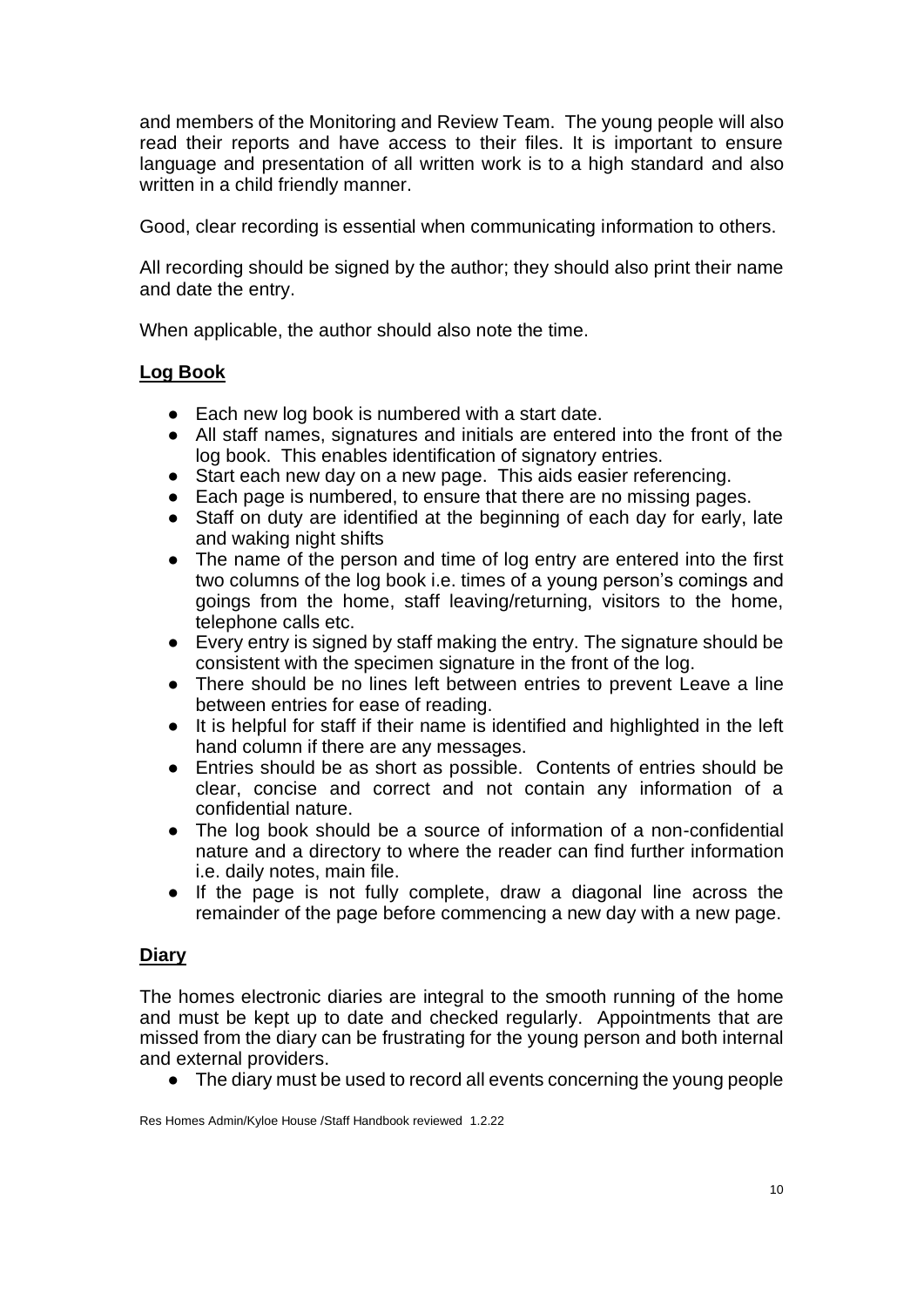and members of the Monitoring and Review Team. The young people will also read their reports and have access to their files. It is important to ensure language and presentation of all written work is to a high standard and also written in a child friendly manner.

Good, clear recording is essential when communicating information to others.

All recording should be signed by the author; they should also print their name and date the entry.

When applicable, the author should also note the time.

# **Log Book**

- Each new log book is numbered with a start date.
- All staff names, signatures and initials are entered into the front of the log book. This enables identification of signatory entries.
- Start each new day on a new page. This aids easier referencing.
- Each page is numbered, to ensure that there are no missing pages.
- Staff on duty are identified at the beginning of each day for early, late and waking night shifts
- The name of the person and time of log entry are entered into the first two columns of the log book i.e. times of a young person's comings and goings from the home, staff leaving/returning, visitors to the home, telephone calls etc.
- Every entry is signed by staff making the entry. The signature should be consistent with the specimen signature in the front of the log.
- There should be no lines left between entries to prevent Leave a line between entries for ease of reading.
- It is helpful for staff if their name is identified and highlighted in the left hand column if there are any messages.
- Entries should be as short as possible. Contents of entries should be clear, concise and correct and not contain any information of a confidential nature.
- The log book should be a source of information of a non-confidential nature and a directory to where the reader can find further information i.e. daily notes, main file.
- If the page is not fully complete, draw a diagonal line across the remainder of the page before commencing a new day with a new page.

# **Diary**

The homes electronic diaries are integral to the smooth running of the home and must be kept up to date and checked regularly. Appointments that are missed from the diary can be frustrating for the young person and both internal and external providers.

● The diary must be used to record all events concerning the young people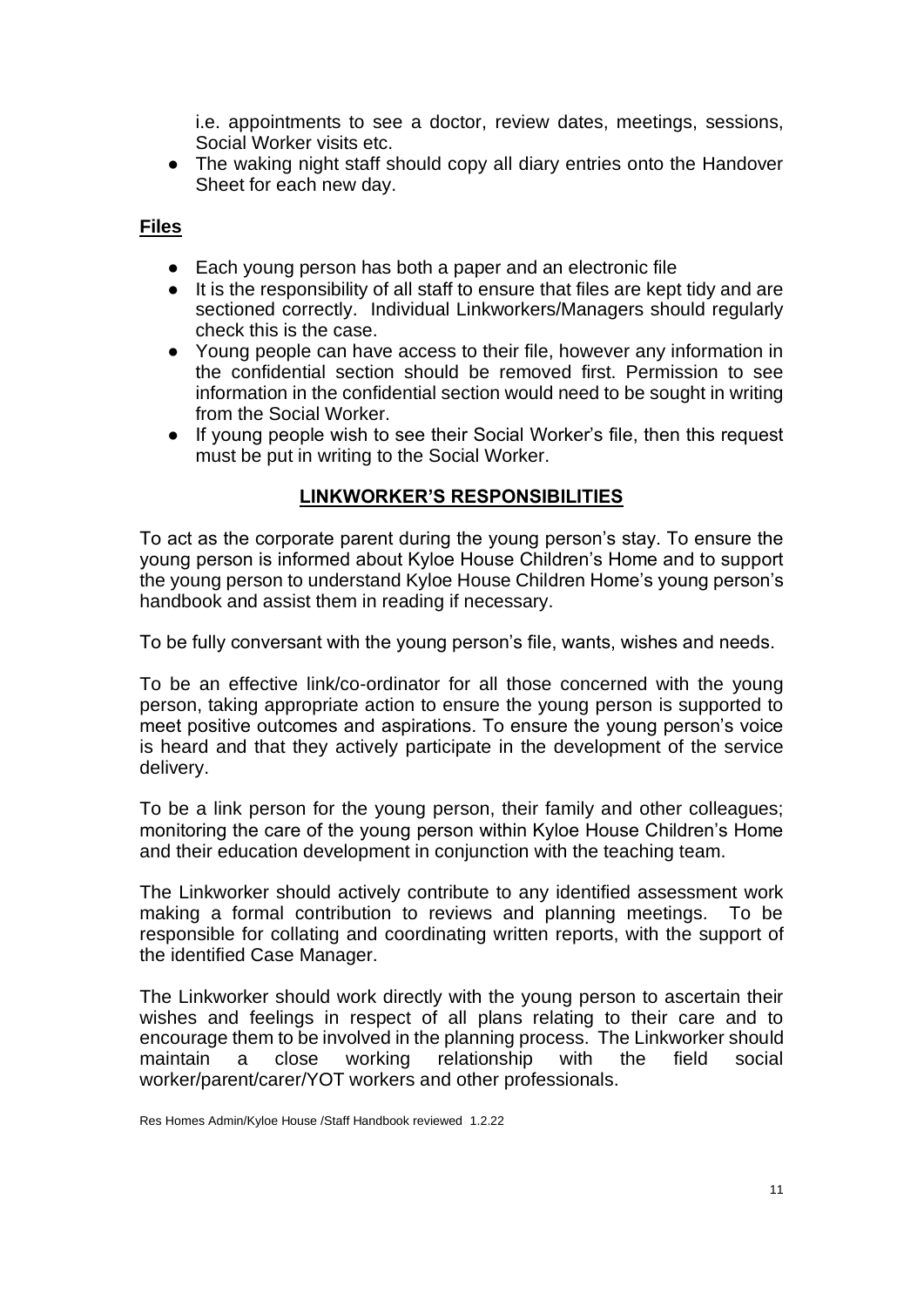i.e. appointments to see a doctor, review dates, meetings, sessions, Social Worker visits etc.

• The waking night staff should copy all diary entries onto the Handover Sheet for each new day.

#### **Files**

- Each young person has both a paper and an electronic file
- It is the responsibility of all staff to ensure that files are kept tidy and are sectioned correctly. Individual Linkworkers/Managers should regularly check this is the case.
- Young people can have access to their file, however any information in the confidential section should be removed first. Permission to see information in the confidential section would need to be sought in writing from the Social Worker.
- If young people wish to see their Social Worker's file, then this request must be put in writing to the Social Worker.

## **LINKWORKER'S RESPONSIBILITIES**

To act as the corporate parent during the young person's stay. To ensure the young person is informed about Kyloe House Children's Home and to support the young person to understand Kyloe House Children Home's young person's handbook and assist them in reading if necessary.

To be fully conversant with the young person's file, wants, wishes and needs.

To be an effective link/co-ordinator for all those concerned with the young person, taking appropriate action to ensure the young person is supported to meet positive outcomes and aspirations. To ensure the young person's voice is heard and that they actively participate in the development of the service delivery.

To be a link person for the young person, their family and other colleagues; monitoring the care of the young person within Kyloe House Children's Home and their education development in conjunction with the teaching team.

The Linkworker should actively contribute to any identified assessment work making a formal contribution to reviews and planning meetings. To be responsible for collating and coordinating written reports, with the support of the identified Case Manager.

The Linkworker should work directly with the young person to ascertain their wishes and feelings in respect of all plans relating to their care and to encourage them to be involved in the planning process. The Linkworker should maintain a close working relationship with the field social worker/parent/carer/YOT workers and other professionals.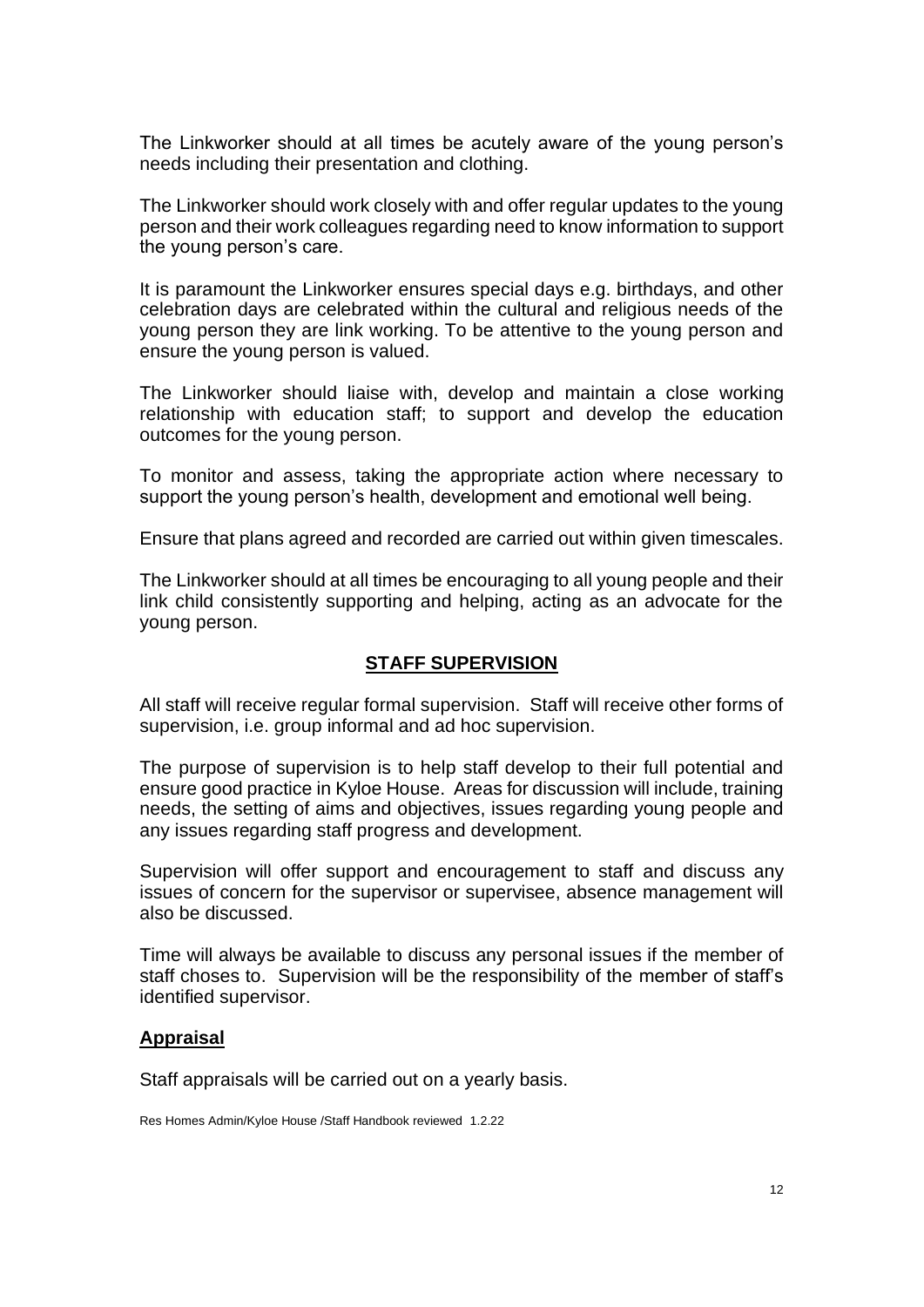The Linkworker should at all times be acutely aware of the young person's needs including their presentation and clothing.

The Linkworker should work closely with and offer regular updates to the young person and their work colleagues regarding need to know information to support the young person's care.

It is paramount the Linkworker ensures special days e.g. birthdays, and other celebration days are celebrated within the cultural and religious needs of the young person they are link working. To be attentive to the young person and ensure the young person is valued.

The Linkworker should liaise with, develop and maintain a close working relationship with education staff; to support and develop the education outcomes for the young person.

To monitor and assess, taking the appropriate action where necessary to support the young person's health, development and emotional well being.

Ensure that plans agreed and recorded are carried out within given timescales.

The Linkworker should at all times be encouraging to all young people and their link child consistently supporting and helping, acting as an advocate for the young person.

#### **STAFF SUPERVISION**

All staff will receive regular formal supervision. Staff will receive other forms of supervision, i.e. group informal and ad hoc supervision.

The purpose of supervision is to help staff develop to their full potential and ensure good practice in Kyloe House. Areas for discussion will include, training needs, the setting of aims and objectives, issues regarding young people and any issues regarding staff progress and development.

Supervision will offer support and encouragement to staff and discuss any issues of concern for the supervisor or supervisee, absence management will also be discussed.

Time will always be available to discuss any personal issues if the member of staff choses to. Supervision will be the responsibility of the member of staff's identified supervisor.

#### **Appraisal**

Staff appraisals will be carried out on a yearly basis.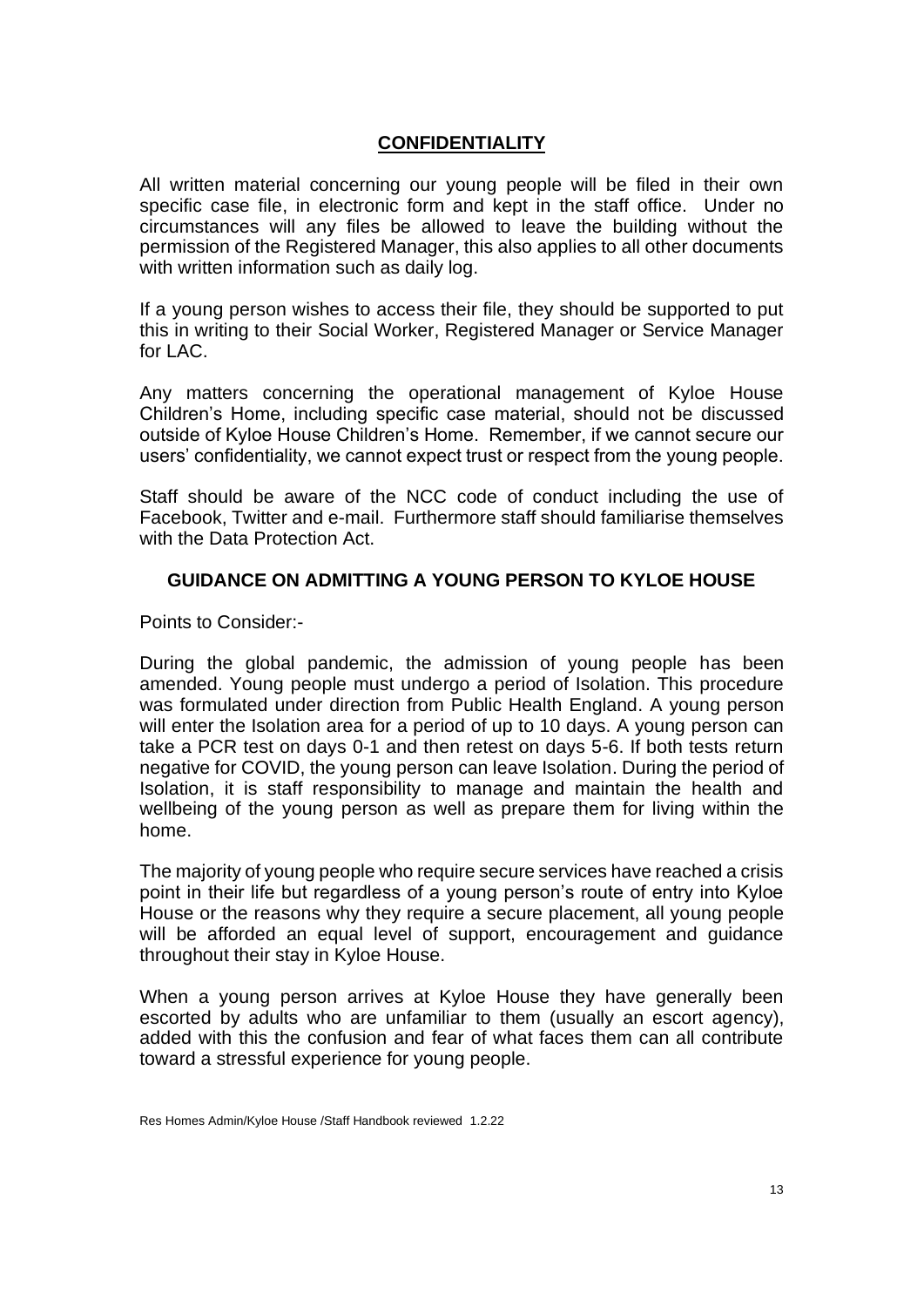# **CONFIDENTIALITY**

All written material concerning our young people will be filed in their own specific case file, in electronic form and kept in the staff office. Under no circumstances will any files be allowed to leave the building without the permission of the Registered Manager, this also applies to all other documents with written information such as daily log.

If a young person wishes to access their file, they should be supported to put this in writing to their Social Worker, Registered Manager or Service Manager for LAC.

Any matters concerning the operational management of Kyloe House Children's Home, including specific case material, should not be discussed outside of Kyloe House Children's Home. Remember, if we cannot secure our users' confidentiality, we cannot expect trust or respect from the young people.

Staff should be aware of the NCC code of conduct including the use of Facebook, Twitter and e-mail. Furthermore staff should familiarise themselves with the Data Protection Act.

#### **GUIDANCE ON ADMITTING A YOUNG PERSON TO KYLOE HOUSE**

Points to Consider:-

During the global pandemic, the admission of young people has been amended. Young people must undergo a period of Isolation. This procedure was formulated under direction from Public Health England. A young person will enter the Isolation area for a period of up to 10 days. A young person can take a PCR test on days 0-1 and then retest on days 5-6. If both tests return negative for COVID, the young person can leave Isolation. During the period of Isolation, it is staff responsibility to manage and maintain the health and wellbeing of the young person as well as prepare them for living within the home.

The majority of young people who require secure services have reached a crisis point in their life but regardless of a young person's route of entry into Kyloe House or the reasons why they require a secure placement, all young people will be afforded an equal level of support, encouragement and guidance throughout their stay in Kyloe House.

When a young person arrives at Kyloe House they have generally been escorted by adults who are unfamiliar to them (usually an escort agency), added with this the confusion and fear of what faces them can all contribute toward a stressful experience for young people.

Res Homes Admin/Kyloe House /Staff Handbook reviewed 1.2.22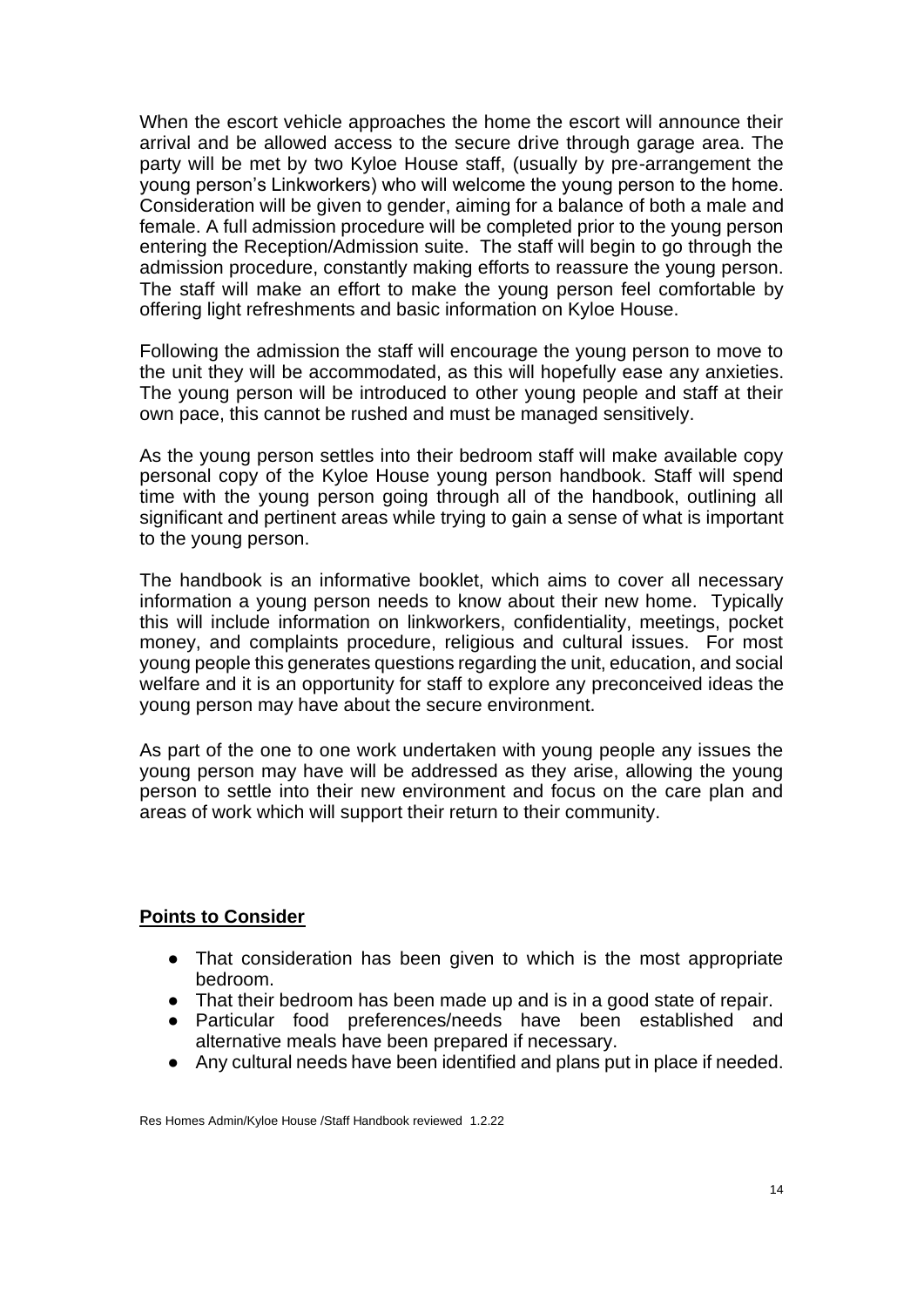When the escort vehicle approaches the home the escort will announce their arrival and be allowed access to the secure drive through garage area. The party will be met by two Kyloe House staff, (usually by pre-arrangement the young person's Linkworkers) who will welcome the young person to the home. Consideration will be given to gender, aiming for a balance of both a male and female. A full admission procedure will be completed prior to the young person entering the Reception/Admission suite. The staff will begin to go through the admission procedure, constantly making efforts to reassure the young person. The staff will make an effort to make the young person feel comfortable by offering light refreshments and basic information on Kyloe House.

Following the admission the staff will encourage the young person to move to the unit they will be accommodated, as this will hopefully ease any anxieties. The young person will be introduced to other young people and staff at their own pace, this cannot be rushed and must be managed sensitively.

As the young person settles into their bedroom staff will make available copy personal copy of the Kyloe House young person handbook. Staff will spend time with the young person going through all of the handbook, outlining all significant and pertinent areas while trying to gain a sense of what is important to the young person.

The handbook is an informative booklet, which aims to cover all necessary information a young person needs to know about their new home. Typically this will include information on linkworkers, confidentiality, meetings, pocket money, and complaints procedure, religious and cultural issues. For most young people this generates questions regarding the unit, education, and social welfare and it is an opportunity for staff to explore any preconceived ideas the young person may have about the secure environment.

As part of the one to one work undertaken with young people any issues the young person may have will be addressed as they arise, allowing the young person to settle into their new environment and focus on the care plan and areas of work which will support their return to their community.

#### **Points to Consider**

- That consideration has been given to which is the most appropriate bedroom.
- That their bedroom has been made up and is in a good state of repair.
- Particular food preferences/needs have been established and alternative meals have been prepared if necessary.
- Any cultural needs have been identified and plans put in place if needed.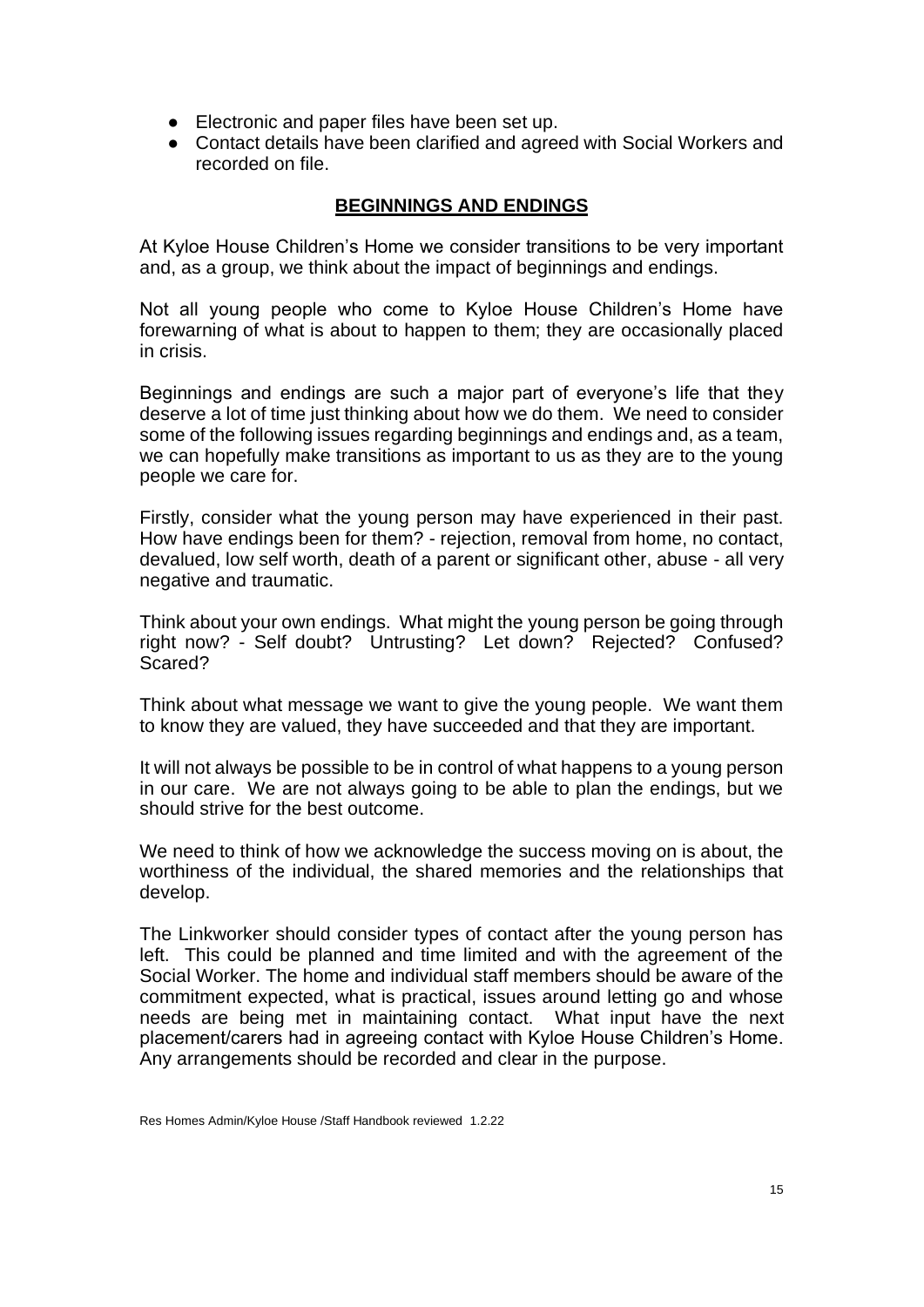- Electronic and paper files have been set up.
- Contact details have been clarified and agreed with Social Workers and recorded on file.

# **BEGINNINGS AND ENDINGS**

At Kyloe House Children's Home we consider transitions to be very important and, as a group, we think about the impact of beginnings and endings.

Not all young people who come to Kyloe House Children's Home have forewarning of what is about to happen to them; they are occasionally placed in crisis.

Beginnings and endings are such a major part of everyone's life that they deserve a lot of time just thinking about how we do them. We need to consider some of the following issues regarding beginnings and endings and, as a team, we can hopefully make transitions as important to us as they are to the young people we care for.

Firstly, consider what the young person may have experienced in their past. How have endings been for them? - rejection, removal from home, no contact, devalued, low self worth, death of a parent or significant other, abuse - all very negative and traumatic.

Think about your own endings. What might the young person be going through right now? - Self doubt? Untrusting? Let down? Rejected? Confused? Scared?

Think about what message we want to give the young people. We want them to know they are valued, they have succeeded and that they are important.

It will not always be possible to be in control of what happens to a young person in our care. We are not always going to be able to plan the endings, but we should strive for the best outcome.

We need to think of how we acknowledge the success moving on is about, the worthiness of the individual, the shared memories and the relationships that develop.

The Linkworker should consider types of contact after the young person has left. This could be planned and time limited and with the agreement of the Social Worker. The home and individual staff members should be aware of the commitment expected, what is practical, issues around letting go and whose needs are being met in maintaining contact. What input have the next placement/carers had in agreeing contact with Kyloe House Children's Home. Any arrangements should be recorded and clear in the purpose.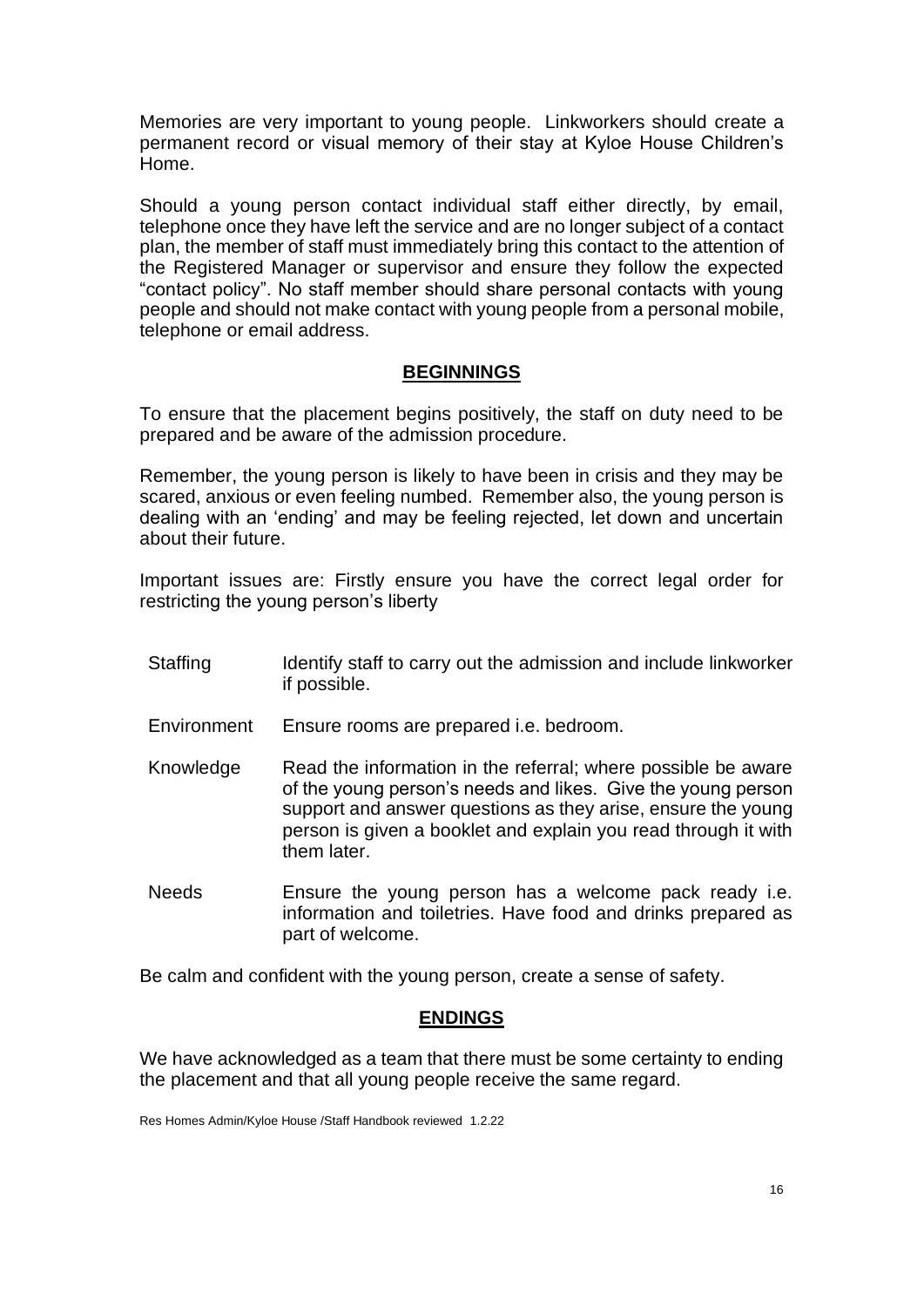Memories are very important to young people. Linkworkers should create a permanent record or visual memory of their stay at Kyloe House Children's Home.

Should a young person contact individual staff either directly, by email, telephone once they have left the service and are no longer subject of a contact plan, the member of staff must immediately bring this contact to the attention of the Registered Manager or supervisor and ensure they follow the expected "contact policy". No staff member should share personal contacts with young people and should not make contact with young people from a personal mobile, telephone or email address.

#### **BEGINNINGS**

To ensure that the placement begins positively, the staff on duty need to be prepared and be aware of the admission procedure.

Remember, the young person is likely to have been in crisis and they may be scared, anxious or even feeling numbed. Remember also, the young person is dealing with an 'ending' and may be feeling rejected, let down and uncertain about their future.

Important issues are: Firstly ensure you have the correct legal order for restricting the young person's liberty

- Staffing Identify staff to carry out the admission and include linkworker if possible.
- Environment Ensure rooms are prepared i.e. bedroom.
- Knowledge Read the information in the referral; where possible be aware of the young person's needs and likes. Give the young person support and answer questions as they arise, ensure the young person is given a booklet and explain you read through it with them later.
- Needs Ensure the young person has a welcome pack ready i.e. information and toiletries. Have food and drinks prepared as part of welcome.

Be calm and confident with the young person, create a sense of safety.

#### **ENDINGS**

We have acknowledged as a team that there must be some certainty to ending the placement and that all young people receive the same regard.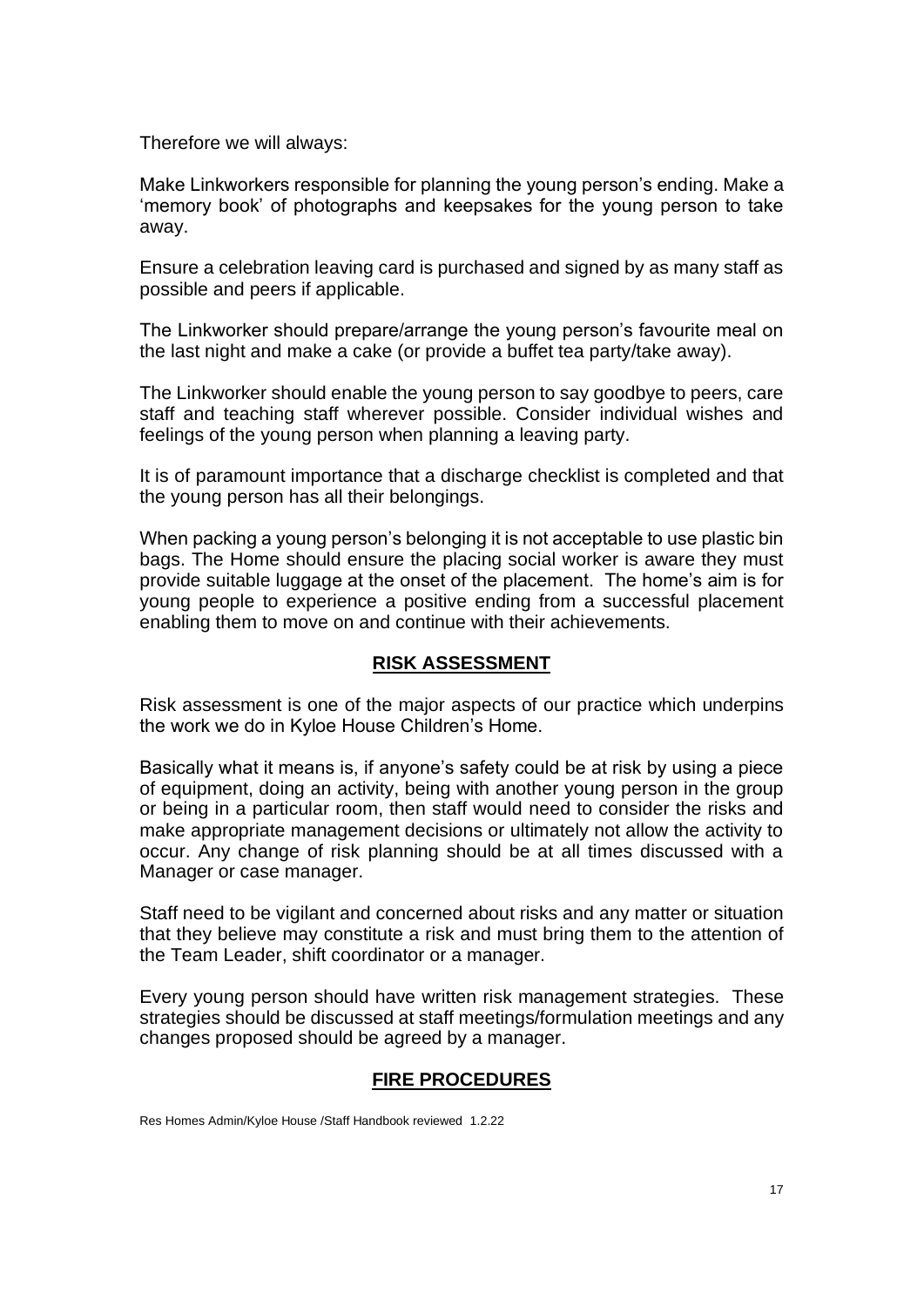Therefore we will always:

Make Linkworkers responsible for planning the young person's ending. Make a 'memory book' of photographs and keepsakes for the young person to take away.

Ensure a celebration leaving card is purchased and signed by as many staff as possible and peers if applicable.

The Linkworker should prepare/arrange the young person's favourite meal on the last night and make a cake (or provide a buffet tea party/take away).

The Linkworker should enable the young person to say goodbye to peers, care staff and teaching staff wherever possible. Consider individual wishes and feelings of the young person when planning a leaving party.

It is of paramount importance that a discharge checklist is completed and that the young person has all their belongings.

When packing a young person's belonging it is not acceptable to use plastic bin bags. The Home should ensure the placing social worker is aware they must provide suitable luggage at the onset of the placement. The home's aim is for young people to experience a positive ending from a successful placement enabling them to move on and continue with their achievements.

## **RISK ASSESSMENT**

Risk assessment is one of the major aspects of our practice which underpins the work we do in Kyloe House Children's Home.

Basically what it means is, if anyone's safety could be at risk by using a piece of equipment, doing an activity, being with another young person in the group or being in a particular room, then staff would need to consider the risks and make appropriate management decisions or ultimately not allow the activity to occur. Any change of risk planning should be at all times discussed with a Manager or case manager.

Staff need to be vigilant and concerned about risks and any matter or situation that they believe may constitute a risk and must bring them to the attention of the Team Leader, shift coordinator or a manager.

Every young person should have written risk management strategies. These strategies should be discussed at staff meetings/formulation meetings and any changes proposed should be agreed by a manager.

## **FIRE PROCEDURES**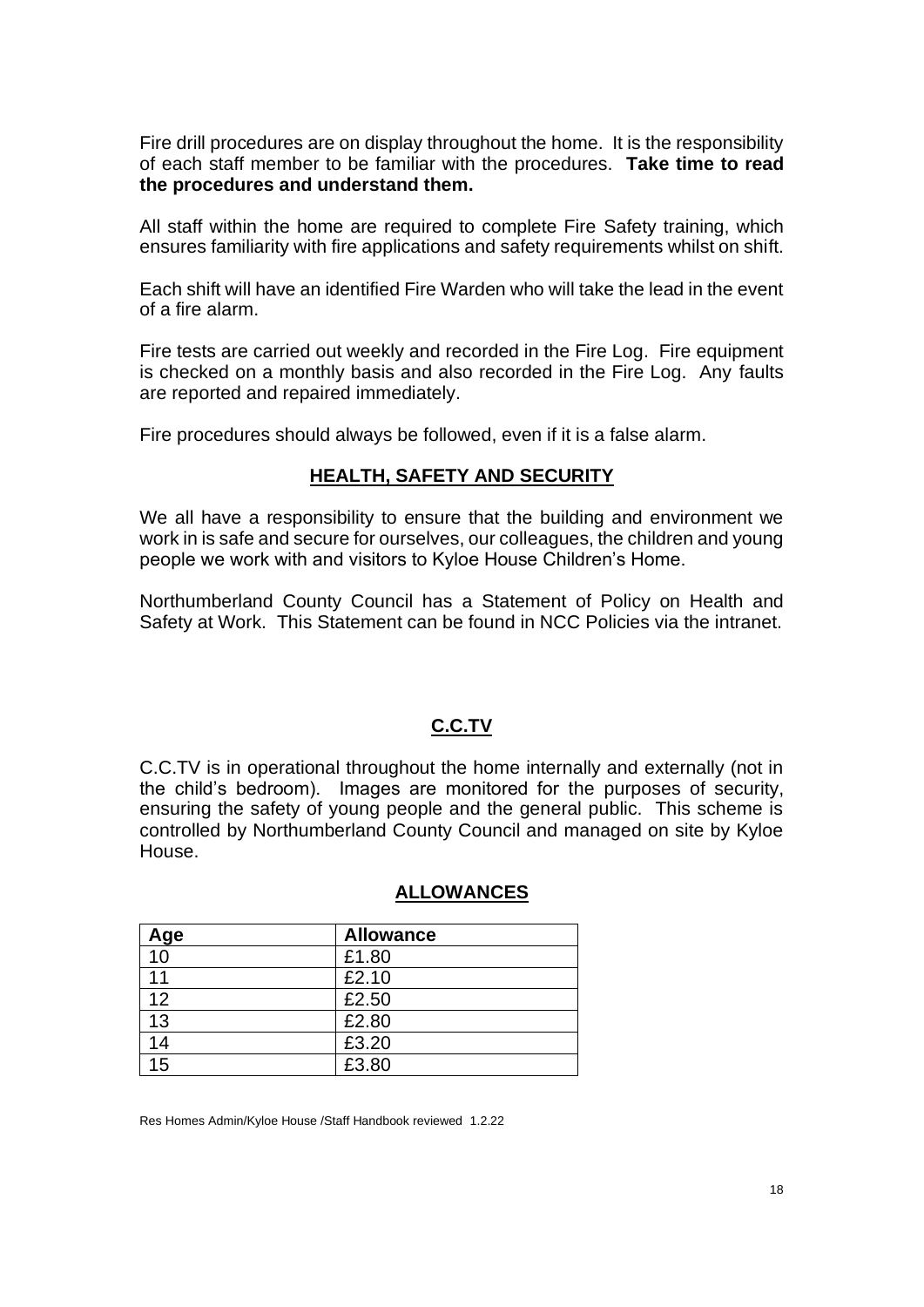Fire drill procedures are on display throughout the home. It is the responsibility of each staff member to be familiar with the procedures. **Take time to read the procedures and understand them.**

All staff within the home are required to complete Fire Safety training, which ensures familiarity with fire applications and safety requirements whilst on shift.

Each shift will have an identified Fire Warden who will take the lead in the event of a fire alarm.

Fire tests are carried out weekly and recorded in the Fire Log. Fire equipment is checked on a monthly basis and also recorded in the Fire Log. Any faults are reported and repaired immediately.

Fire procedures should always be followed, even if it is a false alarm.

#### **HEALTH, SAFETY AND SECURITY**

We all have a responsibility to ensure that the building and environment we work in is safe and secure for ourselves, our colleagues, the children and young people we work with and visitors to Kyloe House Children's Home.

Northumberland County Council has a Statement of Policy on Health and Safety at Work. This Statement can be found in NCC Policies via the intranet.

#### **C.C.TV**

C.C.TV is in operational throughout the home internally and externally (not in the child's bedroom). Images are monitored for the purposes of security, ensuring the safety of young people and the general public. This scheme is controlled by Northumberland County Council and managed on site by Kyloe House.

| Age | <b>Allowance</b> |
|-----|------------------|
| 10  | £1.80            |
| 11  | £2.10            |
| 12  | £2.50            |
| 13  | £2.80            |
| 14  | £3.20            |
| 15  | £3.80            |

#### **ALLOWANCES**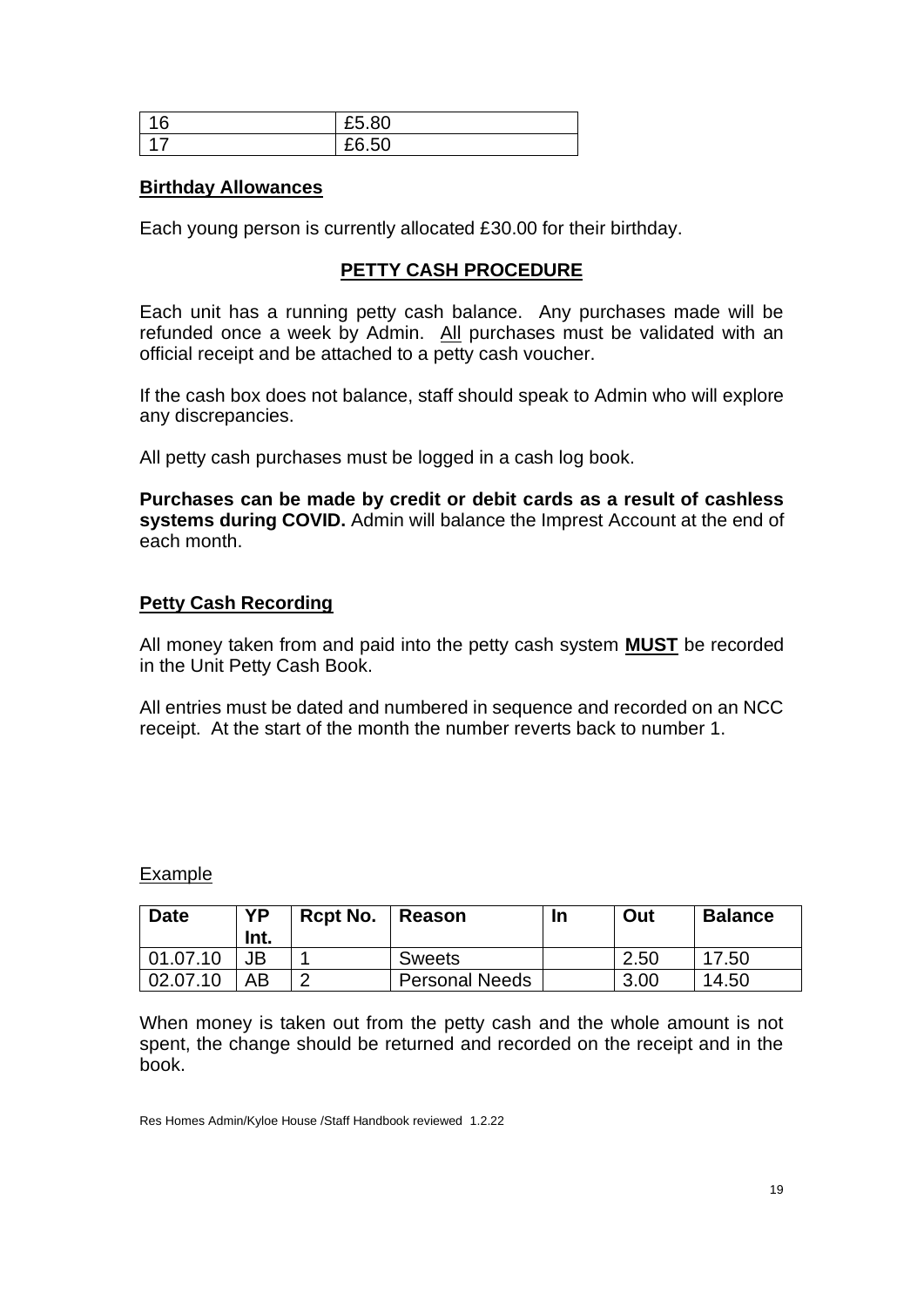| ◠<br>O | £5.80                             |
|--------|-----------------------------------|
|        | $\mathsf{r}\circ$<br>co.<br>£6.50 |

#### **Birthday Allowances**

Each young person is currently allocated £30.00 for their birthday.

## **PETTY CASH PROCEDURE**

Each unit has a running petty cash balance. Any purchases made will be refunded once a week by Admin. All purchases must be validated with an official receipt and be attached to a petty cash voucher.

If the cash box does not balance, staff should speak to Admin who will explore any discrepancies.

All petty cash purchases must be logged in a cash log book.

**Purchases can be made by credit or debit cards as a result of cashless systems during COVID.** Admin will balance the Imprest Account at the end of each month.

## **Petty Cash Recording**

All money taken from and paid into the petty cash system **MUST** be recorded in the Unit Petty Cash Book.

All entries must be dated and numbered in sequence and recorded on an NCC receipt. At the start of the month the number reverts back to number 1.

#### Example

| <b>Date</b> | <b>YP</b><br>Int. | <b>Rcpt No.</b> | Reason                | In | Out  | <b>Balance</b> |
|-------------|-------------------|-----------------|-----------------------|----|------|----------------|
| 01.07.10    |                   |                 | <b>Sweets</b>         |    | 2.50 | 17.50          |
| 02.07.10    | AB                | ◠<br>_          | <b>Personal Needs</b> |    | 3.00 | 14.50          |

When money is taken out from the petty cash and the whole amount is not spent, the change should be returned and recorded on the receipt and in the book.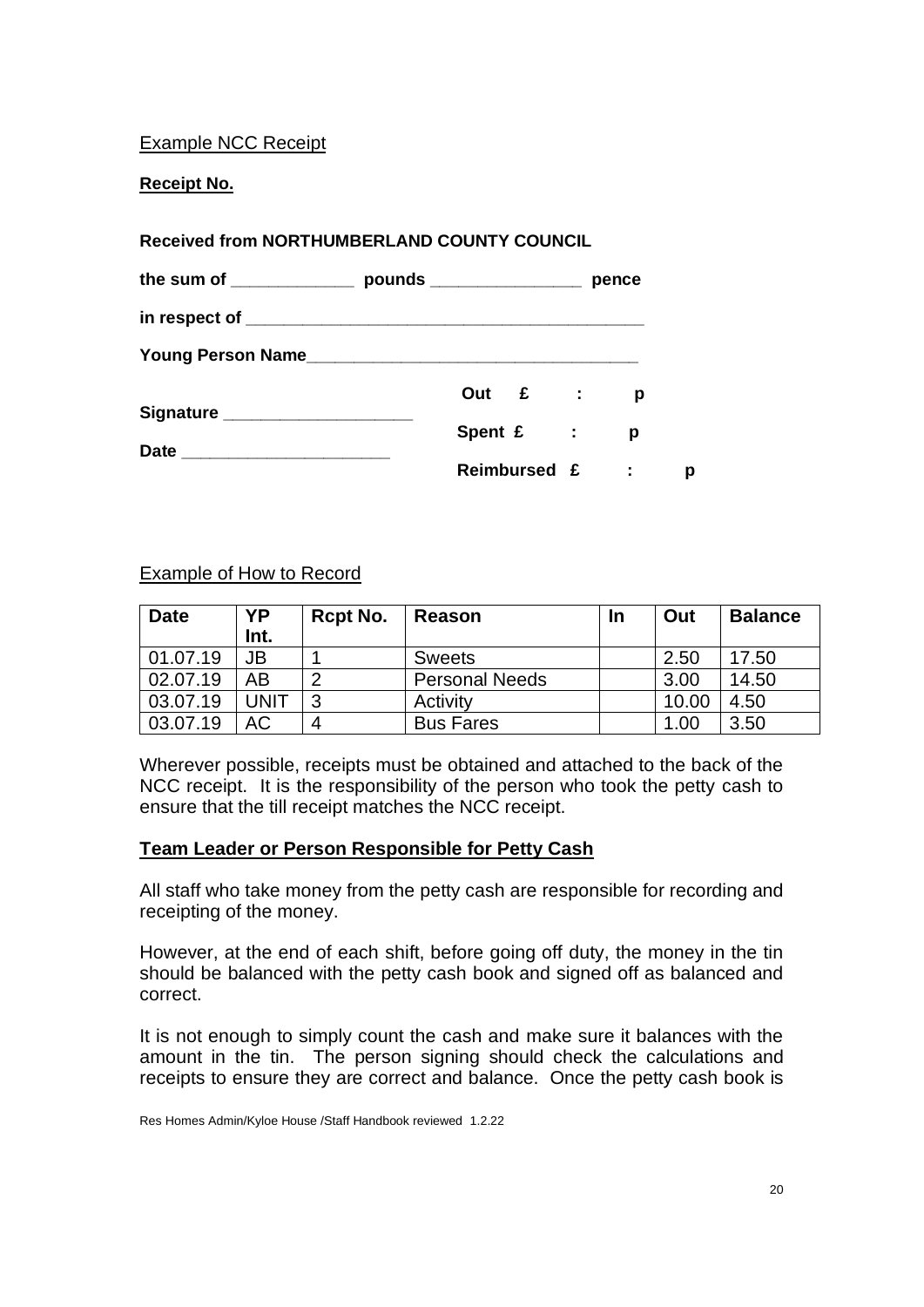## Example NCC Receipt

**Receipt No.**

## **Received from NORTHUMBERLAND COUNTY COUNCIL**

|                                  |           |              | pence |   |
|----------------------------------|-----------|--------------|-------|---|
|                                  |           |              |       |   |
| Young Person Name                |           |              |       |   |
|                                  |           | Out £ :      | р     |   |
| Signature ______________________ | Spent £ : |              | р     |   |
|                                  |           | Reimbursed £ | ÷     | р |

## Example of How to Record

| <b>Date</b> | YP<br>Int.  | Rcpt No. | Reason                | <u>In</u> | Out   | <b>Balance</b> |
|-------------|-------------|----------|-----------------------|-----------|-------|----------------|
| 01.07.19    | JB          |          | <b>Sweets</b>         |           | 2.50  | 17.50          |
| 02.07.19    | AB          | റ        | <b>Personal Needs</b> |           | 3.00  | 14.50          |
| 03.07.19    | <b>UNIT</b> | ◠        | Activity              |           | 10.00 | 4.50           |
| 03.07.19    | АC          | 4        | <b>Bus Fares</b>      |           | 1.00  | 3.50           |

Wherever possible, receipts must be obtained and attached to the back of the NCC receipt. It is the responsibility of the person who took the petty cash to ensure that the till receipt matches the NCC receipt.

## **Team Leader or Person Responsible for Petty Cash**

All staff who take money from the petty cash are responsible for recording and receipting of the money.

However, at the end of each shift, before going off duty, the money in the tin should be balanced with the petty cash book and signed off as balanced and correct.

It is not enough to simply count the cash and make sure it balances with the amount in the tin. The person signing should check the calculations and receipts to ensure they are correct and balance. Once the petty cash book is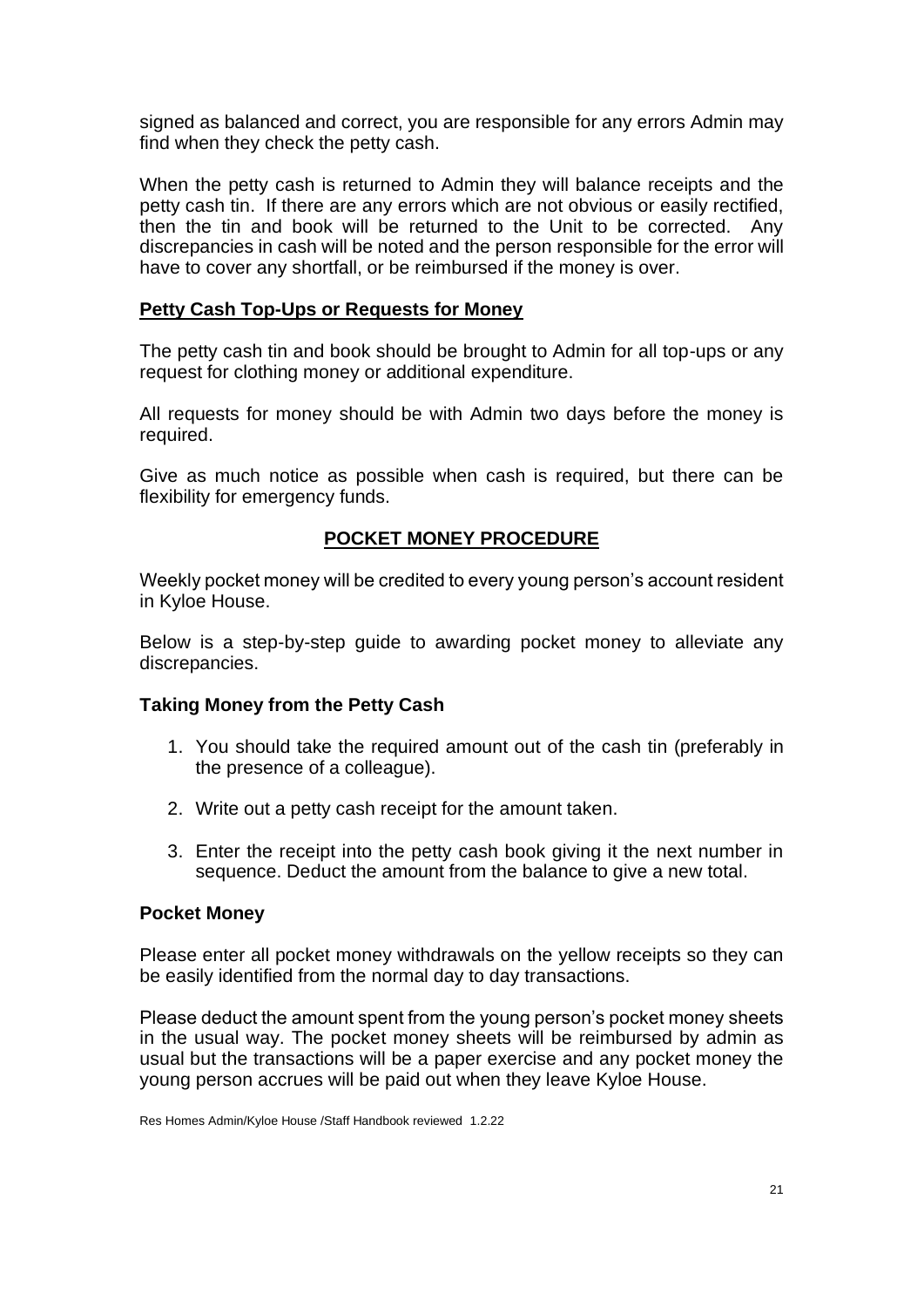signed as balanced and correct, you are responsible for any errors Admin may find when they check the petty cash.

When the petty cash is returned to Admin they will balance receipts and the petty cash tin. If there are any errors which are not obvious or easily rectified, then the tin and book will be returned to the Unit to be corrected. Any discrepancies in cash will be noted and the person responsible for the error will have to cover any shortfall, or be reimbursed if the money is over.

#### **Petty Cash Top-Ups or Requests for Money**

The petty cash tin and book should be brought to Admin for all top-ups or any request for clothing money or additional expenditure.

All requests for money should be with Admin two days before the money is required.

Give as much notice as possible when cash is required, but there can be flexibility for emergency funds.

## **POCKET MONEY PROCEDURE**

Weekly pocket money will be credited to every young person's account resident in Kyloe House.

Below is a step-by-step guide to awarding pocket money to alleviate any discrepancies.

#### **Taking Money from the Petty Cash**

- 1. You should take the required amount out of the cash tin (preferably in the presence of a colleague).
- 2. Write out a petty cash receipt for the amount taken.
- 3. Enter the receipt into the petty cash book giving it the next number in sequence. Deduct the amount from the balance to give a new total.

#### **Pocket Money**

Please enter all pocket money withdrawals on the yellow receipts so they can be easily identified from the normal day to day transactions.

Please deduct the amount spent from the young person's pocket money sheets in the usual way. The pocket money sheets will be reimbursed by admin as usual but the transactions will be a paper exercise and any pocket money the young person accrues will be paid out when they leave Kyloe House.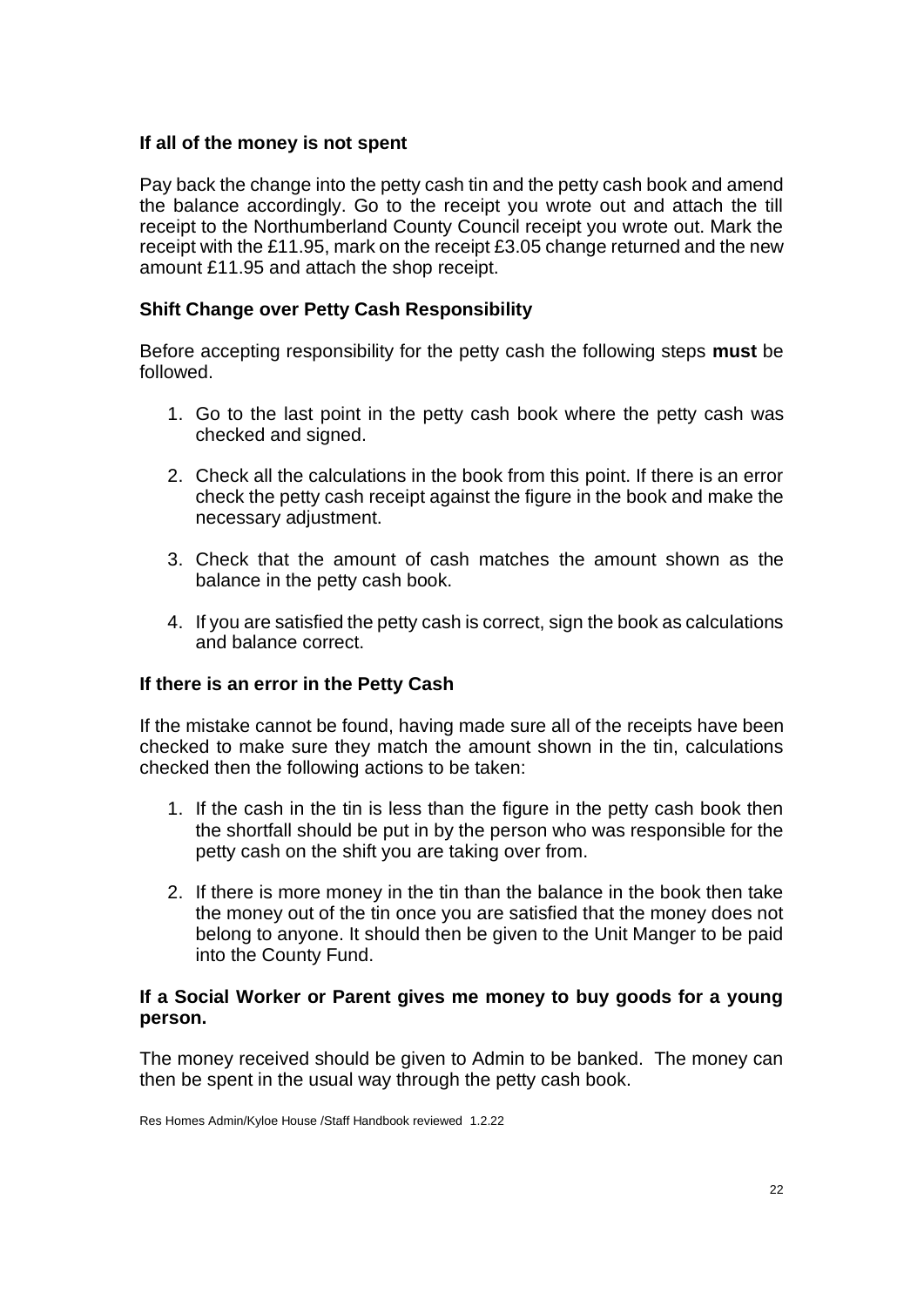## **If all of the money is not spent**

Pay back the change into the petty cash tin and the petty cash book and amend the balance accordingly. Go to the receipt you wrote out and attach the till receipt to the Northumberland County Council receipt you wrote out. Mark the receipt with the £11.95, mark on the receipt £3.05 change returned and the new amount £11.95 and attach the shop receipt.

## **Shift Change over Petty Cash Responsibility**

Before accepting responsibility for the petty cash the following steps **must** be followed.

- 1. Go to the last point in the petty cash book where the petty cash was checked and signed.
- 2. Check all the calculations in the book from this point. If there is an error check the petty cash receipt against the figure in the book and make the necessary adjustment.
- 3. Check that the amount of cash matches the amount shown as the balance in the petty cash book.
- 4. If you are satisfied the petty cash is correct, sign the book as calculations and balance correct.

#### **If there is an error in the Petty Cash**

If the mistake cannot be found, having made sure all of the receipts have been checked to make sure they match the amount shown in the tin, calculations checked then the following actions to be taken:

- 1. If the cash in the tin is less than the figure in the petty cash book then the shortfall should be put in by the person who was responsible for the petty cash on the shift you are taking over from.
- 2. If there is more money in the tin than the balance in the book then take the money out of the tin once you are satisfied that the money does not belong to anyone. It should then be given to the Unit Manger to be paid into the County Fund.

#### **If a Social Worker or Parent gives me money to buy goods for a young person.**

The money received should be given to Admin to be banked. The money can then be spent in the usual way through the petty cash book.

Res Homes Admin/Kyloe House /Staff Handbook reviewed 1.2.22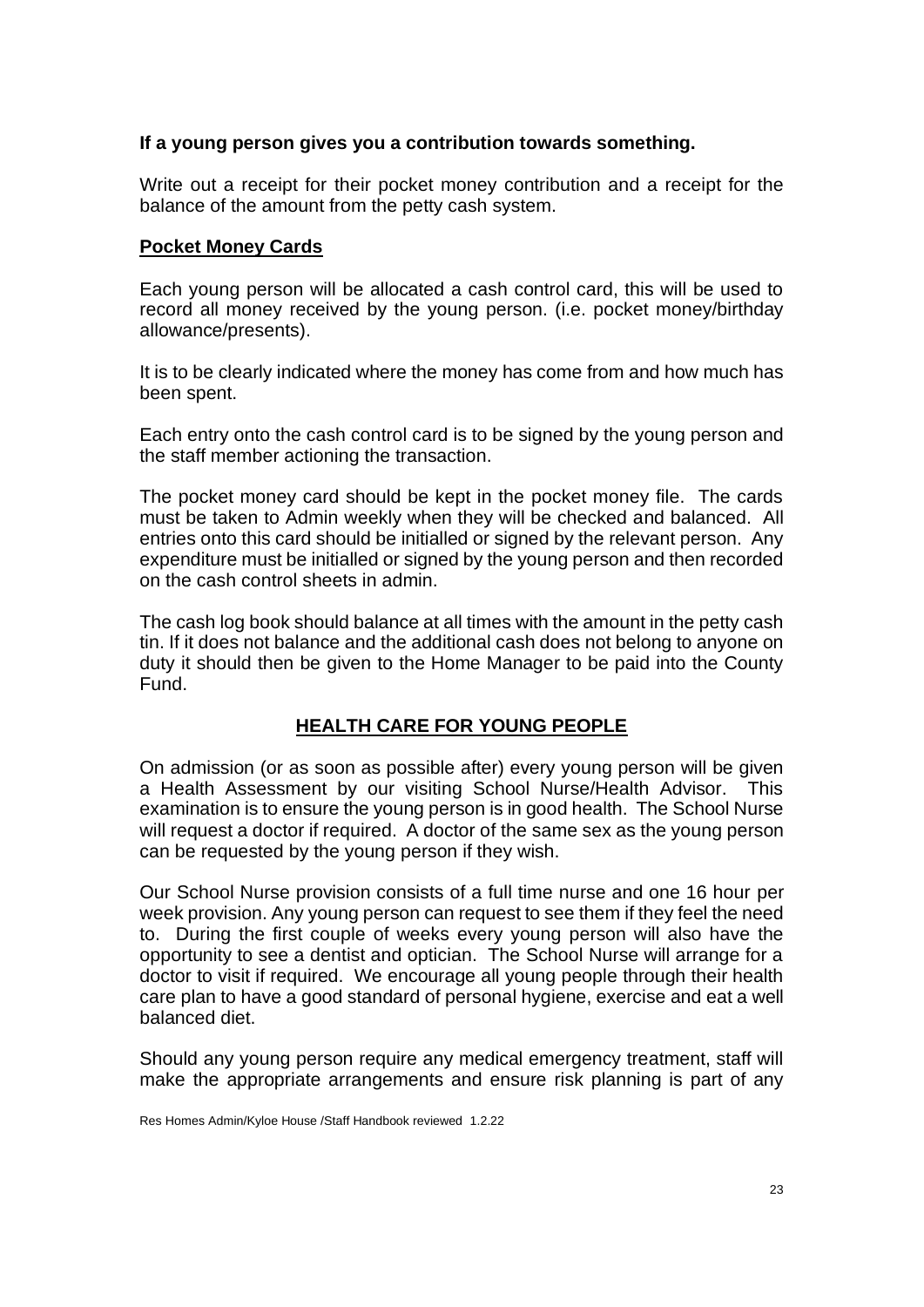## **If a young person gives you a contribution towards something.**

Write out a receipt for their pocket money contribution and a receipt for the balance of the amount from the petty cash system.

#### **Pocket Money Cards**

Each young person will be allocated a cash control card, this will be used to record all money received by the young person. (i.e. pocket money/birthday allowance/presents).

It is to be clearly indicated where the money has come from and how much has been spent.

Each entry onto the cash control card is to be signed by the young person and the staff member actioning the transaction.

The pocket money card should be kept in the pocket money file. The cards must be taken to Admin weekly when they will be checked and balanced. All entries onto this card should be initialled or signed by the relevant person. Any expenditure must be initialled or signed by the young person and then recorded on the cash control sheets in admin.

The cash log book should balance at all times with the amount in the petty cash tin. If it does not balance and the additional cash does not belong to anyone on duty it should then be given to the Home Manager to be paid into the County Fund.

# **HEALTH CARE FOR YOUNG PEOPLE**

On admission (or as soon as possible after) every young person will be given a Health Assessment by our visiting School Nurse/Health Advisor. This examination is to ensure the young person is in good health. The School Nurse will request a doctor if required. A doctor of the same sex as the young person can be requested by the young person if they wish.

Our School Nurse provision consists of a full time nurse and one 16 hour per week provision. Any young person can request to see them if they feel the need to. During the first couple of weeks every young person will also have the opportunity to see a dentist and optician. The School Nurse will arrange for a doctor to visit if required. We encourage all young people through their health care plan to have a good standard of personal hygiene, exercise and eat a well balanced diet.

Should any young person require any medical emergency treatment, staff will make the appropriate arrangements and ensure risk planning is part of any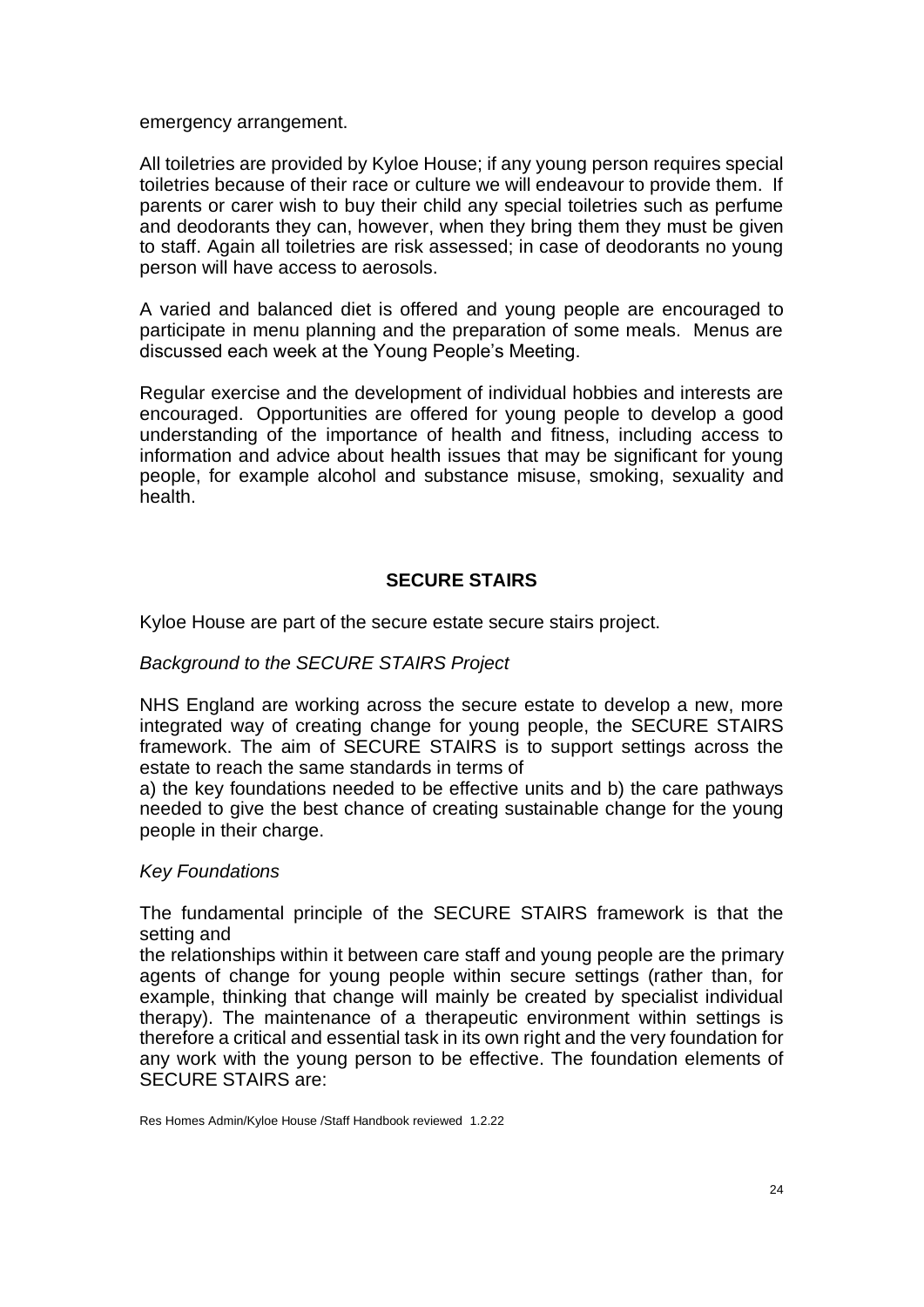emergency arrangement.

All toiletries are provided by Kyloe House; if any young person requires special toiletries because of their race or culture we will endeavour to provide them. If parents or carer wish to buy their child any special toiletries such as perfume and deodorants they can, however, when they bring them they must be given to staff. Again all toiletries are risk assessed; in case of deodorants no young person will have access to aerosols.

A varied and balanced diet is offered and young people are encouraged to participate in menu planning and the preparation of some meals. Menus are discussed each week at the Young People's Meeting.

Regular exercise and the development of individual hobbies and interests are encouraged. Opportunities are offered for young people to develop a good understanding of the importance of health and fitness, including access to information and advice about health issues that may be significant for young people, for example alcohol and substance misuse, smoking, sexuality and health.

## **SECURE STAIRS**

Kyloe House are part of the secure estate secure stairs project.

#### *Background to the SECURE STAIRS Project*

NHS England are working across the secure estate to develop a new, more integrated way of creating change for young people, the SECURE STAIRS framework. The aim of SECURE STAIRS is to support settings across the estate to reach the same standards in terms of

a) the key foundations needed to be effective units and b) the care pathways needed to give the best chance of creating sustainable change for the young people in their charge.

#### *Key Foundations*

The fundamental principle of the SECURE STAIRS framework is that the setting and

the relationships within it between care staff and young people are the primary agents of change for young people within secure settings (rather than, for example, thinking that change will mainly be created by specialist individual therapy). The maintenance of a therapeutic environment within settings is therefore a critical and essential task in its own right and the very foundation for any work with the young person to be effective. The foundation elements of SECURE STAIRS are: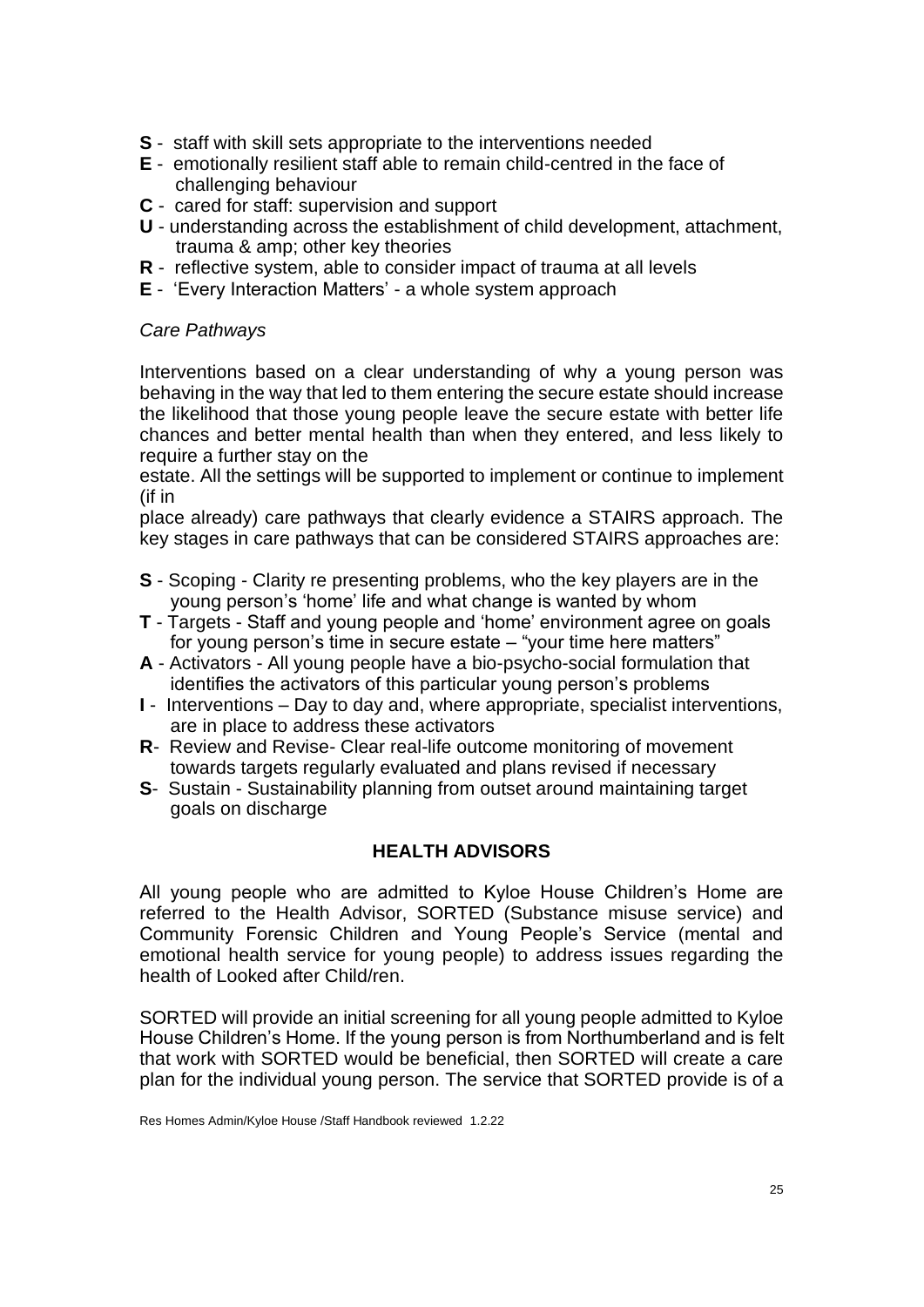- **S** staff with skill sets appropriate to the interventions needed
- **E** emotionally resilient staff able to remain child-centred in the face of challenging behaviour
- **C** cared for staff: supervision and support
- **U**  understanding across the establishment of child development, attachment, trauma & amp; other key theories
- **R**  reflective system, able to consider impact of trauma at all levels
- **E** 'Every Interaction Matters' a whole system approach

#### *Care Pathways*

Interventions based on a clear understanding of why a young person was behaving in the way that led to them entering the secure estate should increase the likelihood that those young people leave the secure estate with better life chances and better mental health than when they entered, and less likely to require a further stay on the

estate. All the settings will be supported to implement or continue to implement (if in

place already) care pathways that clearly evidence a STAIRS approach. The key stages in care pathways that can be considered STAIRS approaches are:

- **S** Scoping Clarity re presenting problems, who the key players are in the young person's 'home' life and what change is wanted by whom
- **T** Targets Staff and young people and 'home' environment agree on goals for young person's time in secure estate – "your time here matters"
- **A** Activators All young people have a bio-psycho-social formulation that identifies the activators of this particular young person's problems
- **I**  Interventions Day to day and, where appropriate, specialist interventions, are in place to address these activators
- **R** Review and Revise- Clear real-life outcome monitoring of movement towards targets regularly evaluated and plans revised if necessary
- **S** Sustain Sustainability planning from outset around maintaining target goals on discharge

## **HEALTH ADVISORS**

All young people who are admitted to Kyloe House Children's Home are referred to the Health Advisor, SORTED (Substance misuse service) and Community Forensic Children and Young People's Service (mental and emotional health service for young people) to address issues regarding the health of Looked after Child/ren.

SORTED will provide an initial screening for all young people admitted to Kyloe House Children's Home. If the young person is from Northumberland and is felt that work with SORTED would be beneficial, then SORTED will create a care plan for the individual young person. The service that SORTED provide is of a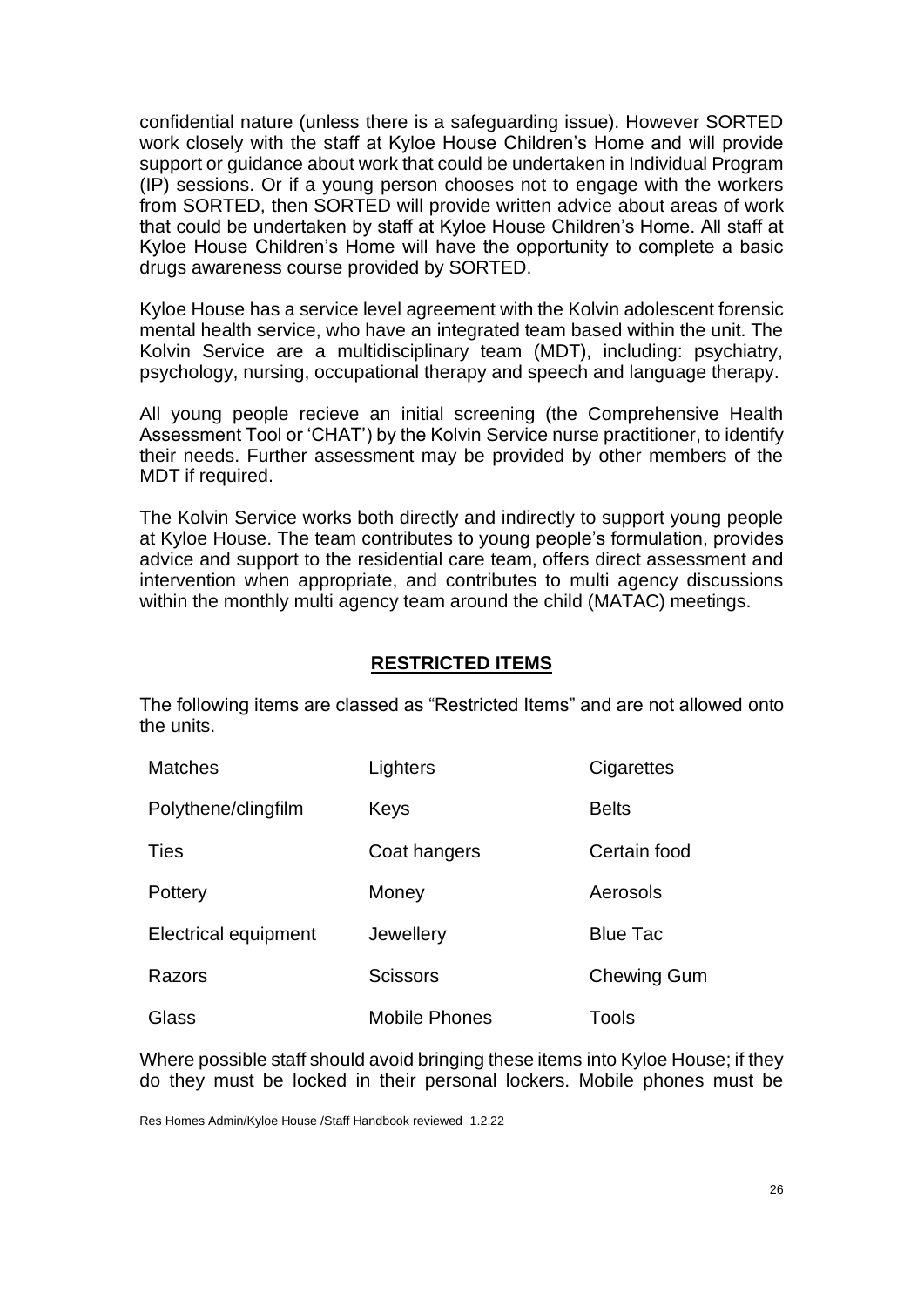confidential nature (unless there is a safeguarding issue). However SORTED work closely with the staff at Kyloe House Children's Home and will provide support or guidance about work that could be undertaken in Individual Program (IP) sessions. Or if a young person chooses not to engage with the workers from SORTED, then SORTED will provide written advice about areas of work that could be undertaken by staff at Kyloe House Children's Home. All staff at Kyloe House Children's Home will have the opportunity to complete a basic drugs awareness course provided by SORTED.

Kyloe House has a service level agreement with the Kolvin adolescent forensic mental health service, who have an integrated team based within the unit. The Kolvin Service are a multidisciplinary team (MDT), including: psychiatry, psychology, nursing, occupational therapy and speech and language therapy.

All young people recieve an initial screening (the Comprehensive Health Assessment Tool or 'CHAT') by the Kolvin Service nurse practitioner, to identify their needs. Further assessment may be provided by other members of the MDT if required.

The Kolvin Service works both directly and indirectly to support young people at Kyloe House. The team contributes to young people's formulation, provides advice and support to the residential care team, offers direct assessment and intervention when appropriate, and contributes to multi agency discussions within the monthly multi agency team around the child (MATAC) meetings.

#### **RESTRICTED ITEMS**

The following items are classed as "Restricted Items" and are not allowed onto the units.

| <b>Matches</b>       | Lighters             | Cigarettes         |
|----------------------|----------------------|--------------------|
| Polythene/clingfilm  | Keys                 | <b>Belts</b>       |
| <b>Ties</b>          | Coat hangers         | Certain food       |
| Pottery              | Money                | Aerosols           |
| Electrical equipment | Jewellery            | <b>Blue Tac</b>    |
| Razors               | <b>Scissors</b>      | <b>Chewing Gum</b> |
| Glass                | <b>Mobile Phones</b> | Tools              |

Where possible staff should avoid bringing these items into Kyloe House; if they do they must be locked in their personal lockers. Mobile phones must be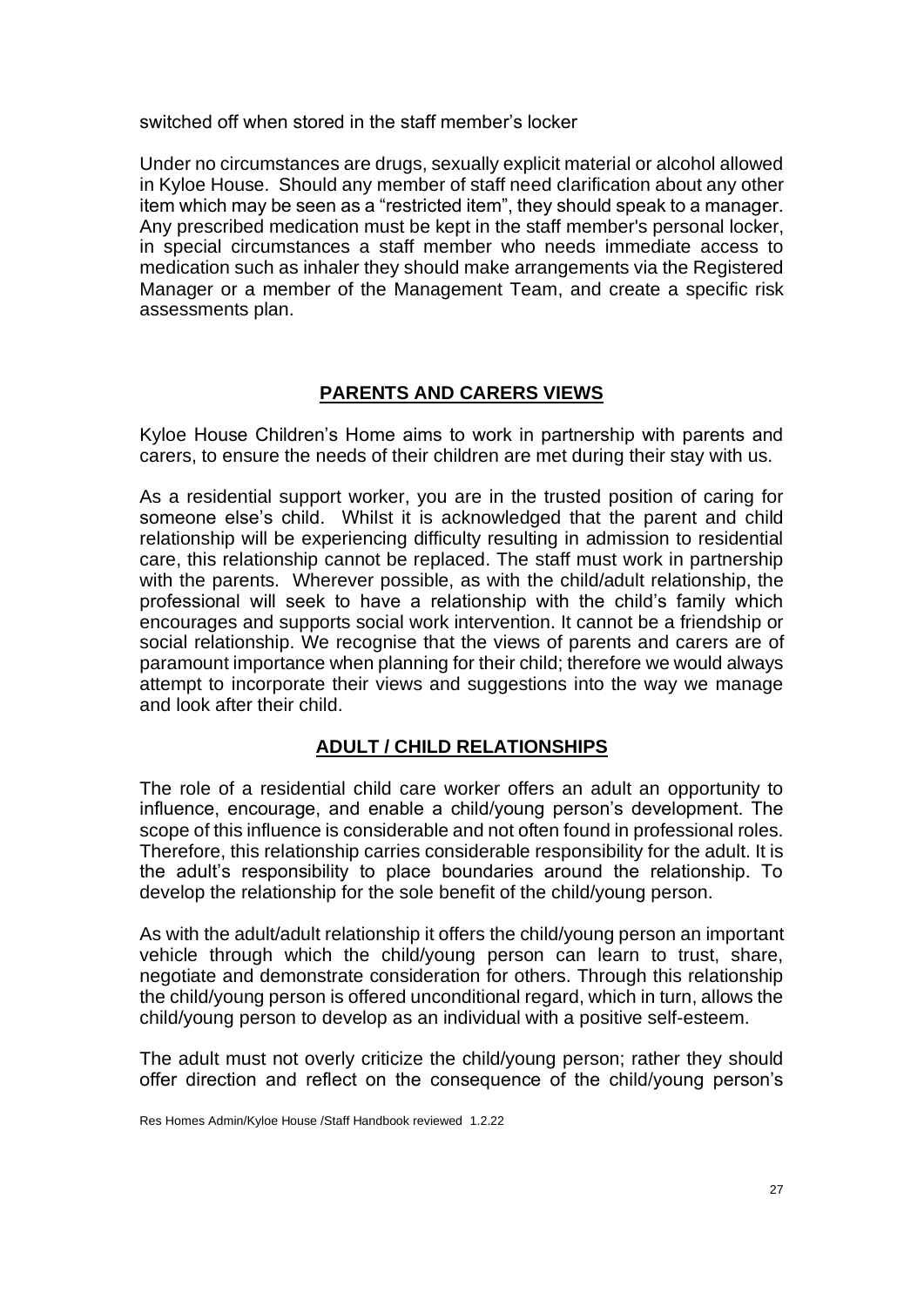switched off when stored in the staff member's locker

Under no circumstances are drugs, sexually explicit material or alcohol allowed in Kyloe House. Should any member of staff need clarification about any other item which may be seen as a "restricted item", they should speak to a manager. Any prescribed medication must be kept in the staff member's personal locker, in special circumstances a staff member who needs immediate access to medication such as inhaler they should make arrangements via the Registered Manager or a member of the Management Team, and create a specific risk assessments plan.

# **PARENTS AND CARERS VIEWS**

Kyloe House Children's Home aims to work in partnership with parents and carers, to ensure the needs of their children are met during their stay with us.

As a residential support worker, you are in the trusted position of caring for someone else's child. Whilst it is acknowledged that the parent and child relationship will be experiencing difficulty resulting in admission to residential care, this relationship cannot be replaced. The staff must work in partnership with the parents. Wherever possible, as with the child/adult relationship, the professional will seek to have a relationship with the child's family which encourages and supports social work intervention. It cannot be a friendship or social relationship. We recognise that the views of parents and carers are of paramount importance when planning for their child; therefore we would always attempt to incorporate their views and suggestions into the way we manage and look after their child.

# **ADULT / CHILD RELATIONSHIPS**

The role of a residential child care worker offers an adult an opportunity to influence, encourage, and enable a child/young person's development. The scope of this influence is considerable and not often found in professional roles. Therefore, this relationship carries considerable responsibility for the adult. It is the adult's responsibility to place boundaries around the relationship. To develop the relationship for the sole benefit of the child/young person.

As with the adult/adult relationship it offers the child/young person an important vehicle through which the child/young person can learn to trust, share, negotiate and demonstrate consideration for others. Through this relationship the child/young person is offered unconditional regard, which in turn, allows the child/young person to develop as an individual with a positive self-esteem.

The adult must not overly criticize the child/young person; rather they should offer direction and reflect on the consequence of the child/young person's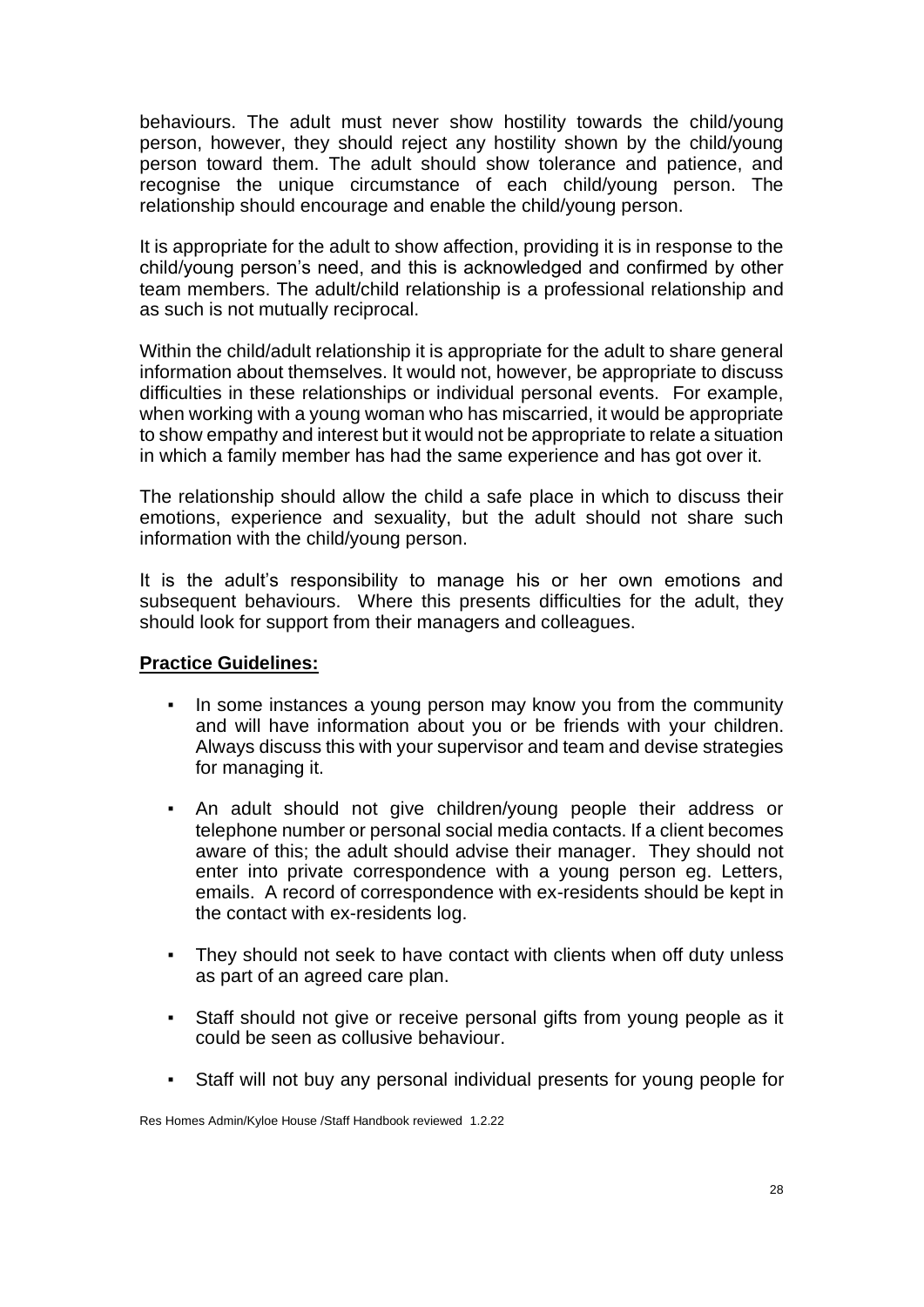behaviours. The adult must never show hostility towards the child/young person, however, they should reject any hostility shown by the child/young person toward them. The adult should show tolerance and patience, and recognise the unique circumstance of each child/young person. The relationship should encourage and enable the child/young person.

It is appropriate for the adult to show affection, providing it is in response to the child/young person's need, and this is acknowledged and confirmed by other team members. The adult/child relationship is a professional relationship and as such is not mutually reciprocal.

Within the child/adult relationship it is appropriate for the adult to share general information about themselves. It would not, however, be appropriate to discuss difficulties in these relationships or individual personal events. For example, when working with a young woman who has miscarried, it would be appropriate to show empathy and interest but it would not be appropriate to relate a situation in which a family member has had the same experience and has got over it.

The relationship should allow the child a safe place in which to discuss their emotions, experience and sexuality, but the adult should not share such information with the child/young person.

It is the adult's responsibility to manage his or her own emotions and subsequent behaviours. Where this presents difficulties for the adult, they should look for support from their managers and colleagues.

#### **Practice Guidelines:**

- In some instances a young person may know you from the community and will have information about you or be friends with your children. Always discuss this with your supervisor and team and devise strategies for managing it.
- An adult should not give children/young people their address or telephone number or personal social media contacts. If a client becomes aware of this; the adult should advise their manager. They should not enter into private correspondence with a young person eg. Letters, emails. A record of correspondence with ex-residents should be kept in the contact with ex-residents log.
- They should not seek to have contact with clients when off duty unless as part of an agreed care plan.
- Staff should not give or receive personal gifts from young people as it could be seen as collusive behaviour.
- Staff will not buy any personal individual presents for young people for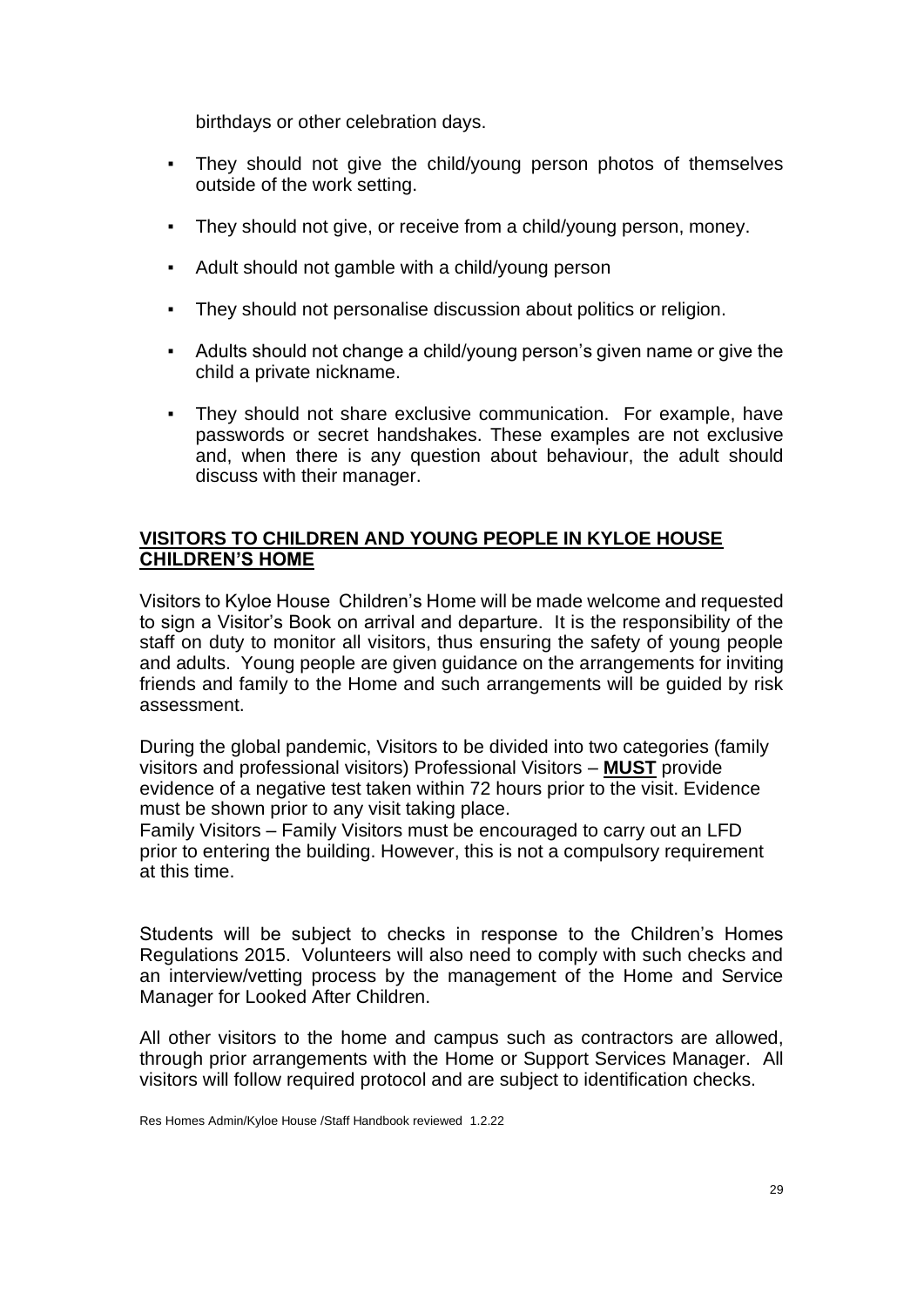birthdays or other celebration days.

- They should not give the child/young person photos of themselves outside of the work setting.
- They should not give, or receive from a child/young person, money.
- Adult should not gamble with a child/young person
- They should not personalise discussion about politics or religion.
- Adults should not change a child/young person's given name or give the child a private nickname.
- They should not share exclusive communication. For example, have passwords or secret handshakes. These examples are not exclusive and, when there is any question about behaviour, the adult should discuss with their manager.

## **VISITORS TO CHILDREN AND YOUNG PEOPLE IN KYLOE HOUSE CHILDREN'S HOME**

Visitors to Kyloe House Children's Home will be made welcome and requested to sign a Visitor's Book on arrival and departure. It is the responsibility of the staff on duty to monitor all visitors, thus ensuring the safety of young people and adults. Young people are given guidance on the arrangements for inviting friends and family to the Home and such arrangements will be guided by risk assessment.

During the global pandemic, Visitors to be divided into two categories (family visitors and professional visitors) Professional Visitors – **MUST** provide evidence of a negative test taken within 72 hours prior to the visit. Evidence must be shown prior to any visit taking place.

Family Visitors – Family Visitors must be encouraged to carry out an LFD prior to entering the building. However, this is not a compulsory requirement at this time.

Students will be subject to checks in response to the Children's Homes Regulations 2015. Volunteers will also need to comply with such checks and an interview/vetting process by the management of the Home and Service Manager for Looked After Children.

All other visitors to the home and campus such as contractors are allowed, through prior arrangements with the Home or Support Services Manager. All visitors will follow required protocol and are subject to identification checks.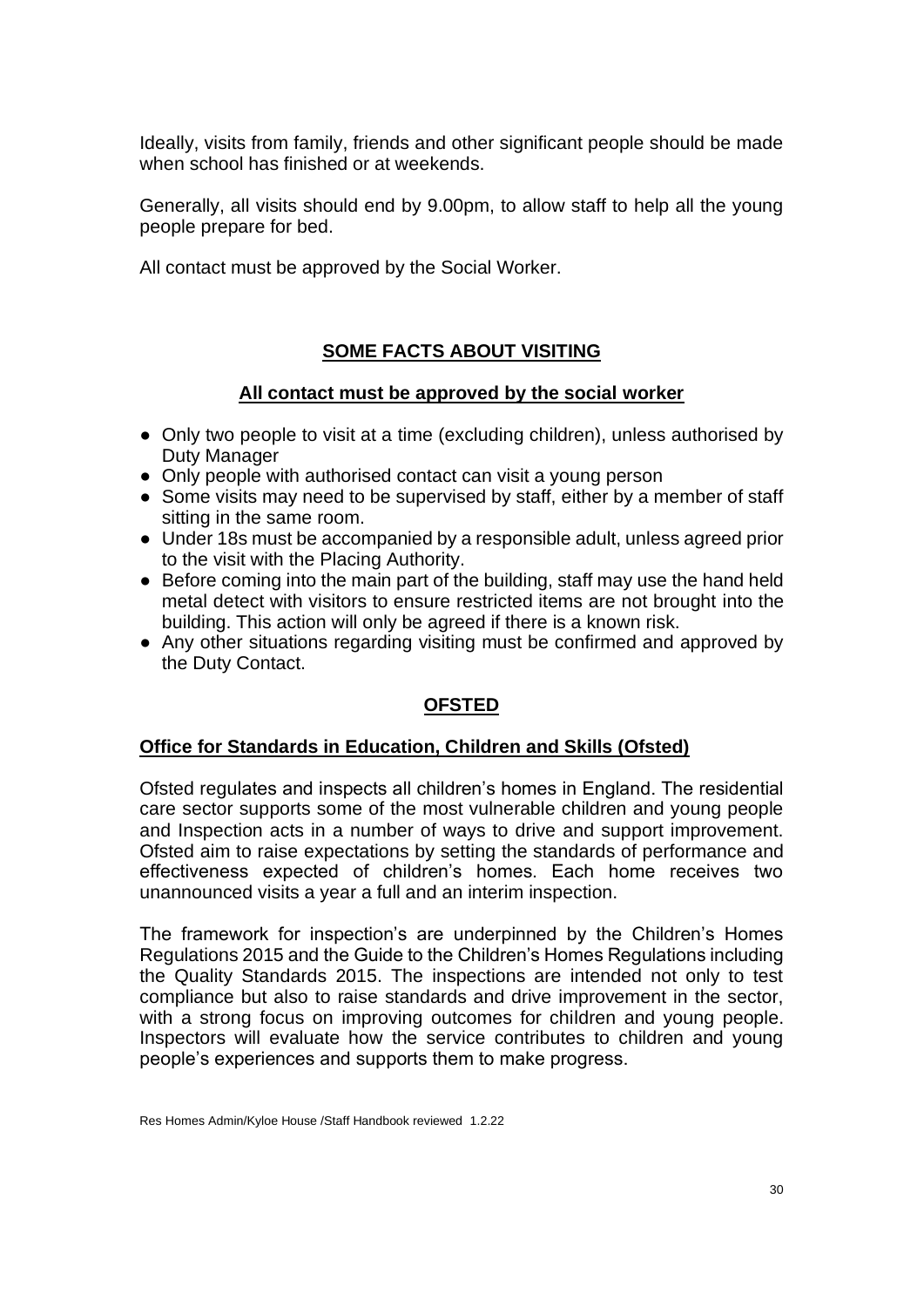Ideally, visits from family, friends and other significant people should be made when school has finished or at weekends.

Generally, all visits should end by 9.00pm, to allow staff to help all the young people prepare for bed.

All contact must be approved by the Social Worker.

# **SOME FACTS ABOUT VISITING**

# **All contact must be approved by the social worker**

- Only two people to visit at a time (excluding children), unless authorised by Duty Manager
- Only people with authorised contact can visit a young person
- Some visits may need to be supervised by staff, either by a member of staff sitting in the same room.
- Under 18s must be accompanied by a responsible adult, unless agreed prior to the visit with the Placing Authority.
- Before coming into the main part of the building, staff may use the hand held metal detect with visitors to ensure restricted items are not brought into the building. This action will only be agreed if there is a known risk.
- Any other situations regarding visiting must be confirmed and approved by the Duty Contact.

# **OFSTED**

## **Office for Standards in Education, Children and Skills (Ofsted)**

Ofsted regulates and inspects all children's homes in England. The residential care sector supports some of the most vulnerable children and young people and Inspection acts in a number of ways to drive and support improvement. Ofsted aim to raise expectations by setting the standards of performance and effectiveness expected of children's homes. Each home receives two unannounced visits a year a full and an interim inspection.

The framework for inspection's are underpinned by the Children's Homes Regulations 2015 and the Guide to the Children's Homes Regulations including the Quality Standards 2015. The inspections are intended not only to test compliance but also to raise standards and drive improvement in the sector, with a strong focus on improving outcomes for children and young people. Inspectors will evaluate how the service contributes to children and young people's experiences and supports them to make progress.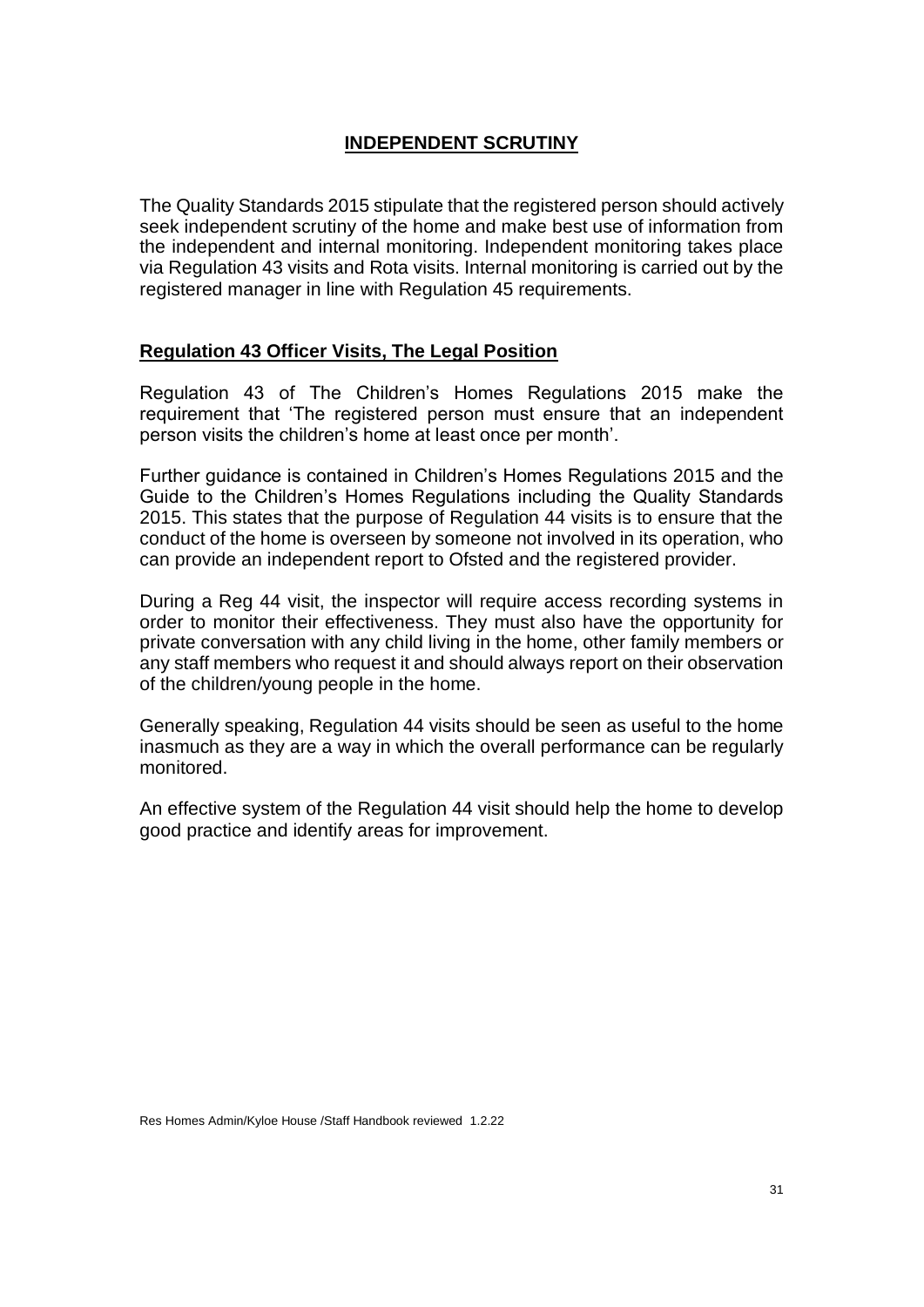# **INDEPENDENT SCRUTINY**

The Quality Standards 2015 stipulate that the registered person should actively seek independent scrutiny of the home and make best use of information from the independent and internal monitoring. Independent monitoring takes place via Regulation 43 visits and Rota visits. Internal monitoring is carried out by the registered manager in line with Regulation 45 requirements.

## **Regulation 43 Officer Visits, The Legal Position**

Regulation 43 of The Children's Homes Regulations 2015 make the requirement that 'The registered person must ensure that an independent person visits the children's home at least once per month'.

Further guidance is contained in Children's Homes Regulations 2015 and the Guide to the Children's Homes Regulations including the Quality Standards 2015. This states that the purpose of Regulation 44 visits is to ensure that the conduct of the home is overseen by someone not involved in its operation, who can provide an independent report to Ofsted and the registered provider.

During a Reg 44 visit, the inspector will require access recording systems in order to monitor their effectiveness. They must also have the opportunity for private conversation with any child living in the home, other family members or any staff members who request it and should always report on their observation of the children/young people in the home.

Generally speaking, Regulation 44 visits should be seen as useful to the home inasmuch as they are a way in which the overall performance can be regularly monitored.

An effective system of the Regulation 44 visit should help the home to develop good practice and identify areas for improvement.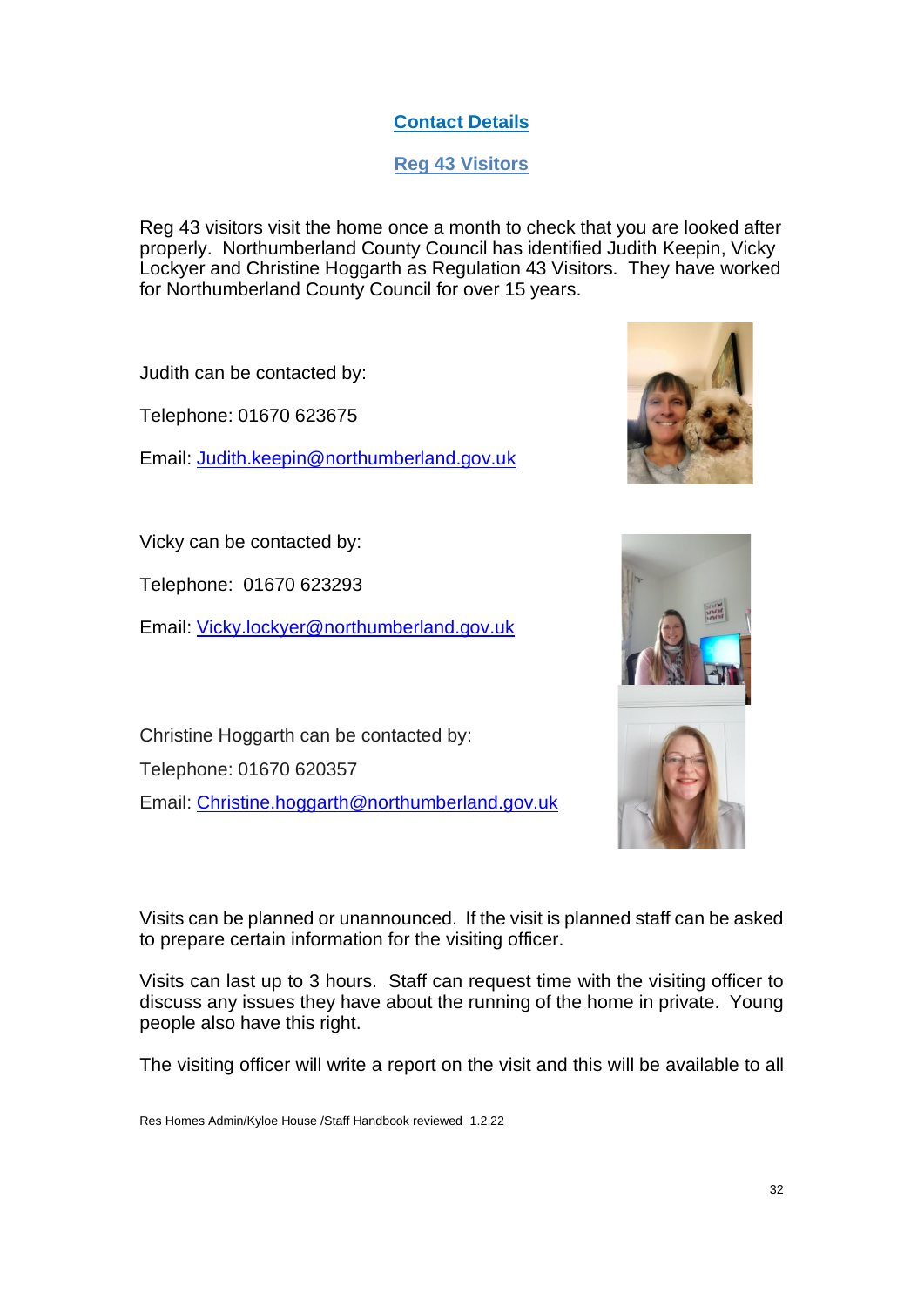# **Contact Details**

**Reg 43 Visitors**

Reg 43 visitors visit the home once a month to check that you are looked after properly. Northumberland County Council has identified Judith Keepin, Vicky Lockyer and Christine Hoggarth as Regulation 43 Visitors. They have worked for Northumberland County Council for over 15 years.

Judith can be contacted by:

Telephone: 01670 623675

Email: [Judith.keepin@northumberland.gov.uk](mailto:Judith.keepin@northumberland.gov.uk)

Vicky can be contacted by:

Telephone: 01670 623293

Email: [Vicky.lockyer@northumberland.gov.uk](mailto:Vicky.lockyer@northumberland.gov.uk)

Christine Hoggarth can be contacted by: Telephone: 01670 620357 Email: [Christine.hoggarth@northumberland.gov.uk](mailto:Christine.hoggarth@northumberland.gov.uk)

Visits can be planned or unannounced. If the visit is planned staff can be asked to prepare certain information for the visiting officer.

Visits can last up to 3 hours. Staff can request time with the visiting officer to discuss any issues they have about the running of the home in private. Young people also have this right.

The visiting officer will write a report on the visit and this will be available to all



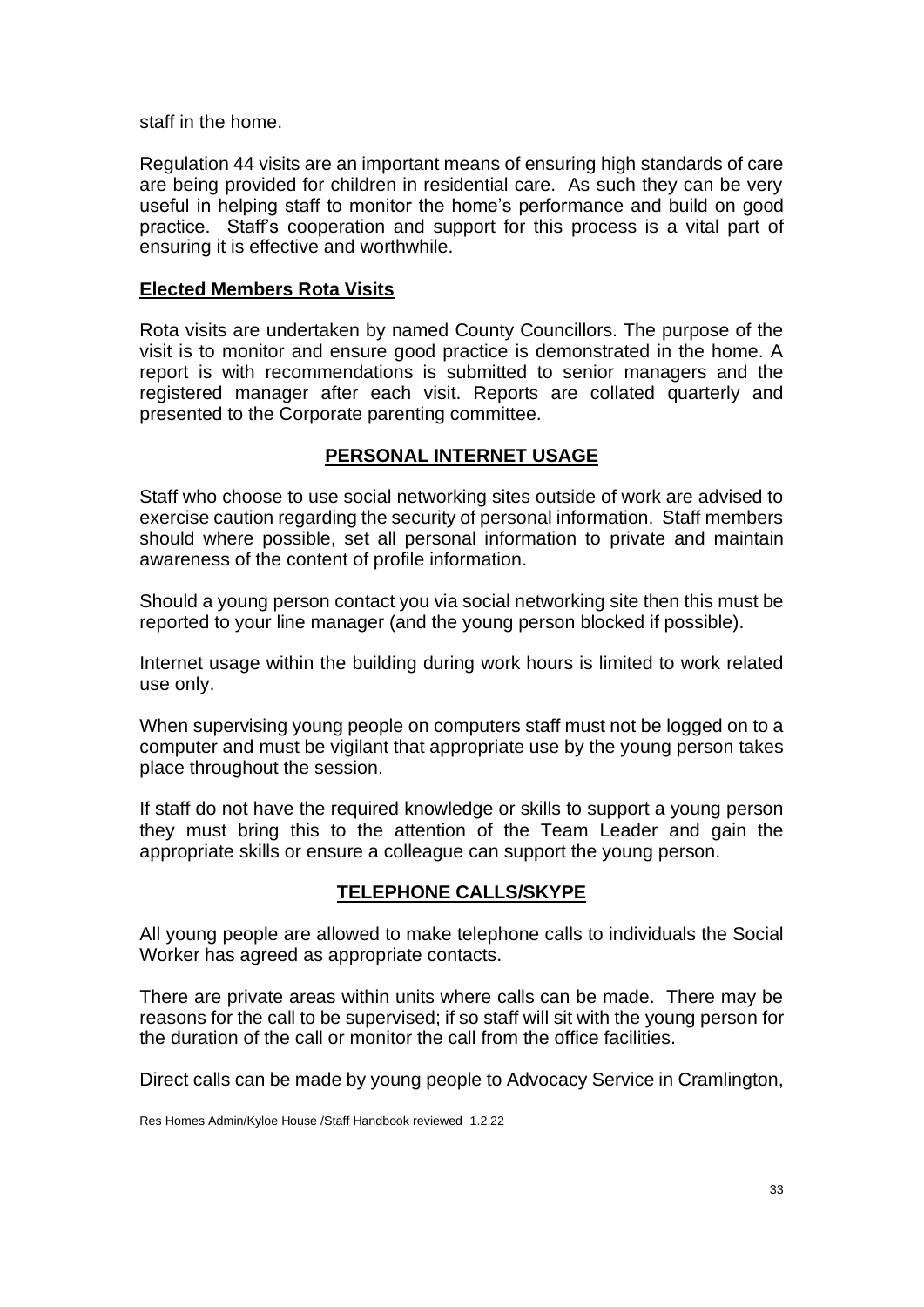staff in the home.

Regulation 44 visits are an important means of ensuring high standards of care are being provided for children in residential care. As such they can be very useful in helping staff to monitor the home's performance and build on good practice. Staff's cooperation and support for this process is a vital part of ensuring it is effective and worthwhile.

## **Elected Members Rota Visits**

Rota visits are undertaken by named County Councillors. The purpose of the visit is to monitor and ensure good practice is demonstrated in the home. A report is with recommendations is submitted to senior managers and the registered manager after each visit. Reports are collated quarterly and presented to the Corporate parenting committee.

# **PERSONAL INTERNET USAGE**

Staff who choose to use social networking sites outside of work are advised to exercise caution regarding the security of personal information. Staff members should where possible, set all personal information to private and maintain awareness of the content of profile information.

Should a young person contact you via social networking site then this must be reported to your line manager (and the young person blocked if possible).

Internet usage within the building during work hours is limited to work related use only.

When supervising young people on computers staff must not be logged on to a computer and must be vigilant that appropriate use by the young person takes place throughout the session.

If staff do not have the required knowledge or skills to support a young person they must bring this to the attention of the Team Leader and gain the appropriate skills or ensure a colleague can support the young person.

## **TELEPHONE CALLS/SKYPE**

All young people are allowed to make telephone calls to individuals the Social Worker has agreed as appropriate contacts.

There are private areas within units where calls can be made. There may be reasons for the call to be supervised; if so staff will sit with the young person for the duration of the call or monitor the call from the office facilities.

Direct calls can be made by young people to Advocacy Service in Cramlington,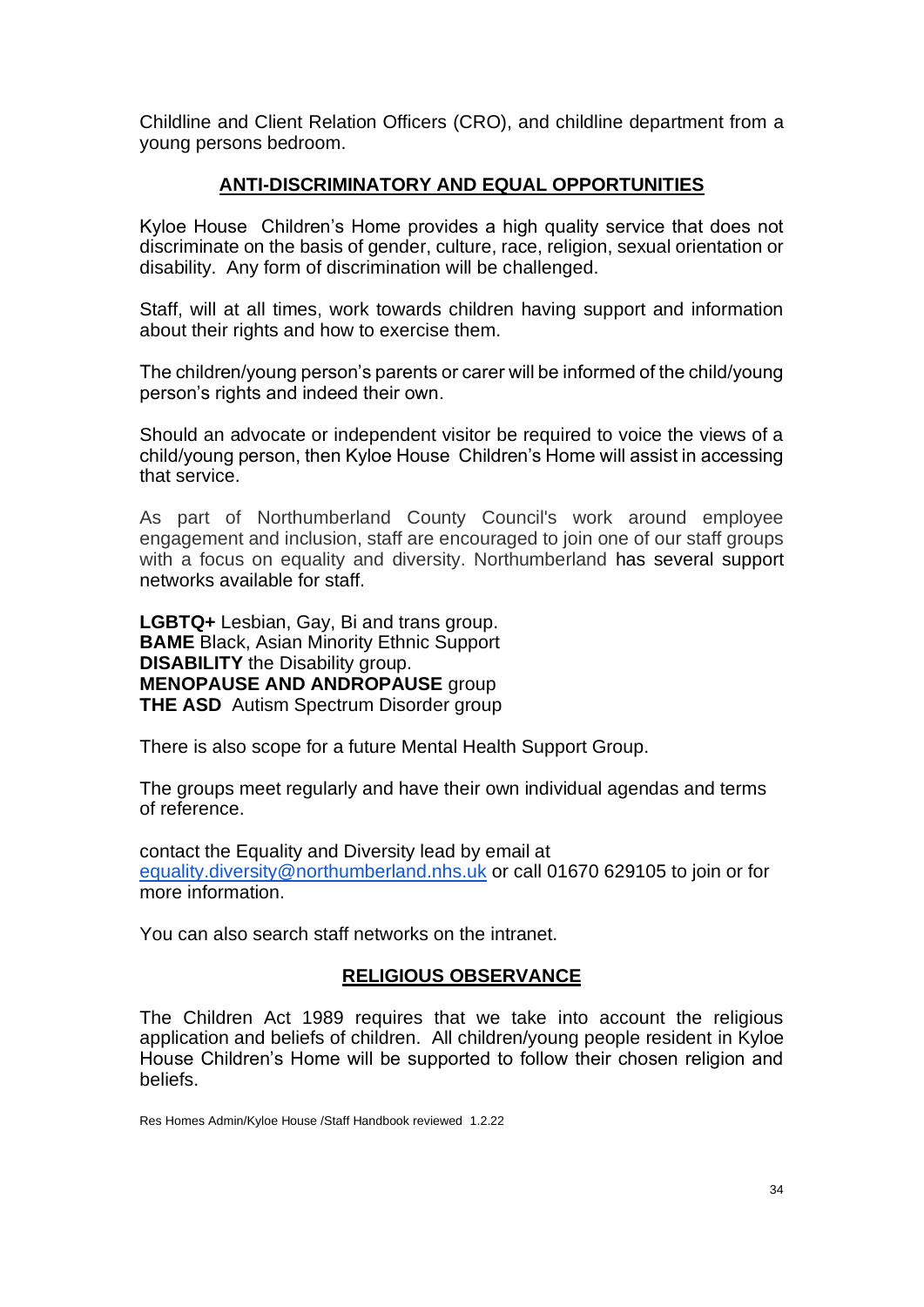Childline and Client Relation Officers (CRO), and childline department from a young persons bedroom.

#### **ANTI-DISCRIMINATORY AND EQUAL OPPORTUNITIES**

Kyloe House Children's Home provides a high quality service that does not discriminate on the basis of gender, culture, race, religion, sexual orientation or disability. Any form of discrimination will be challenged.

Staff, will at all times, work towards children having support and information about their rights and how to exercise them.

The children/young person's parents or carer will be informed of the child/young person's rights and indeed their own.

Should an advocate or independent visitor be required to voice the views of a child/young person, then Kyloe House Children's Home will assist in accessing that service.

As part of Northumberland County Council's work around employee engagement and inclusion, staff are encouraged to join one of our staff groups with a focus on equality and diversity. Northumberland has several support networks available for staff.

**LGBTQ+** Lesbian, Gay, Bi and trans group. **BAME** Black, Asian Minority Ethnic Support **DISABILITY** the Disability group. **MENOPAUSE AND ANDROPAUSE** group **THE ASD** Autism Spectrum Disorder group

There is also scope for a future Mental Health Support Group.

The groups meet regularly and have their own individual agendas and terms of reference.

contact the Equality and Diversity lead by email at [equality.diversity@northumberland.nhs.uk](mailto:equality.diversity@northumberland.nhs.uk) or call 01670 629105 to join or for more information.

You can also search staff networks on the intranet.

#### **RELIGIOUS OBSERVANCE**

The Children Act 1989 requires that we take into account the religious application and beliefs of children. All children/young people resident in Kyloe House Children's Home will be supported to follow their chosen religion and beliefs.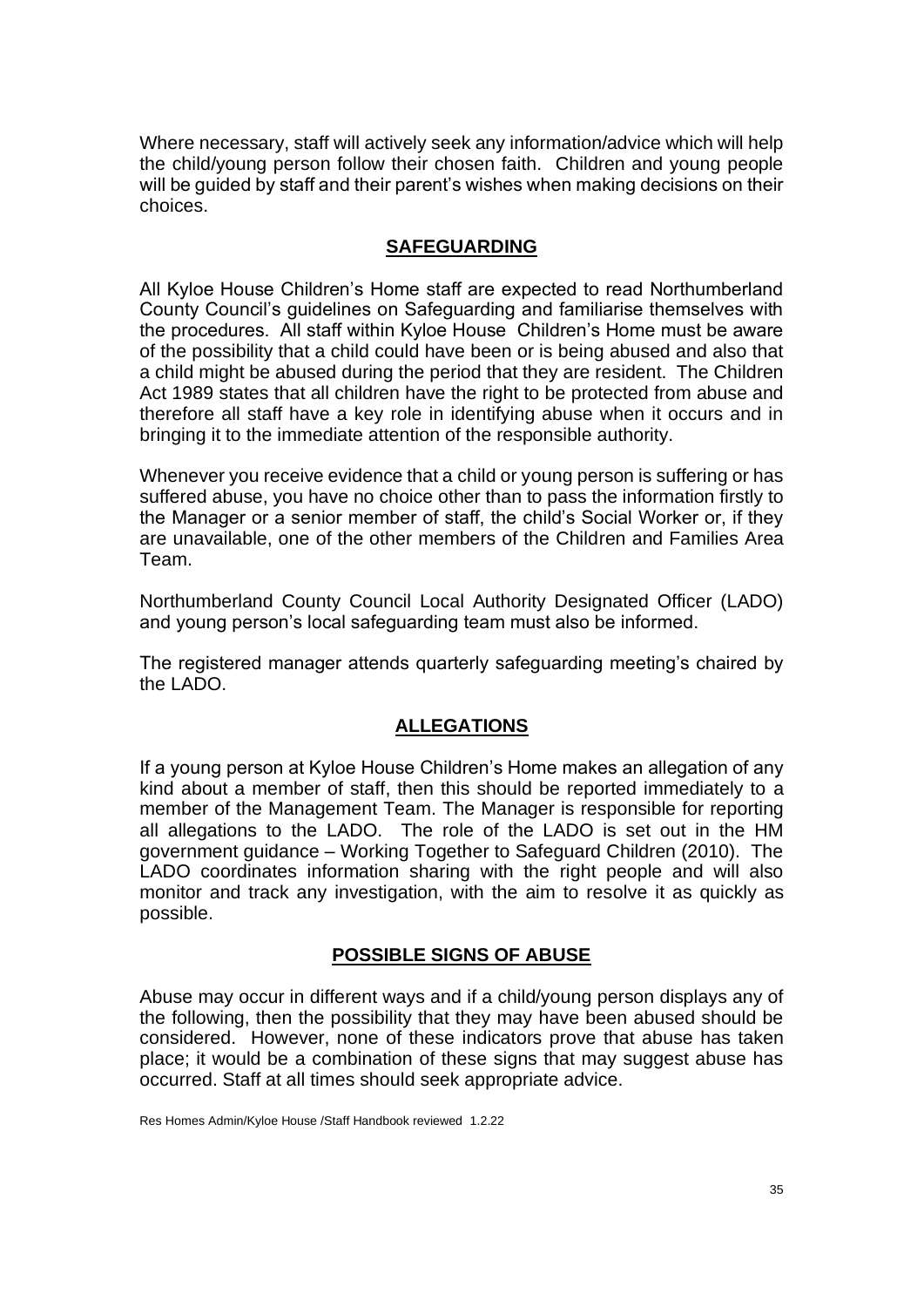Where necessary, staff will actively seek any information/advice which will help the child/young person follow their chosen faith. Children and young people will be guided by staff and their parent's wishes when making decisions on their choices.

#### **SAFEGUARDING**

All Kyloe House Children's Home staff are expected to read Northumberland County Council's guidelines on Safeguarding and familiarise themselves with the procedures. All staff within Kyloe House Children's Home must be aware of the possibility that a child could have been or is being abused and also that a child might be abused during the period that they are resident. The Children Act 1989 states that all children have the right to be protected from abuse and therefore all staff have a key role in identifying abuse when it occurs and in bringing it to the immediate attention of the responsible authority.

Whenever you receive evidence that a child or young person is suffering or has suffered abuse, you have no choice other than to pass the information firstly to the Manager or a senior member of staff, the child's Social Worker or, if they are unavailable, one of the other members of the Children and Families Area Team.

Northumberland County Council Local Authority Designated Officer (LADO) and young person's local safeguarding team must also be informed.

The registered manager attends quarterly safeguarding meeting's chaired by the LADO.

## **ALLEGATIONS**

If a young person at Kyloe House Children's Home makes an allegation of any kind about a member of staff, then this should be reported immediately to a member of the Management Team. The Manager is responsible for reporting all allegations to the LADO. The role of the LADO is set out in the HM government guidance – Working Together to Safeguard Children (2010). The LADO coordinates information sharing with the right people and will also monitor and track any investigation, with the aim to resolve it as quickly as possible.

## **POSSIBLE SIGNS OF ABUSE**

Abuse may occur in different ways and if a child/young person displays any of the following, then the possibility that they may have been abused should be considered. However, none of these indicators prove that abuse has taken place; it would be a combination of these signs that may suggest abuse has occurred. Staff at all times should seek appropriate advice.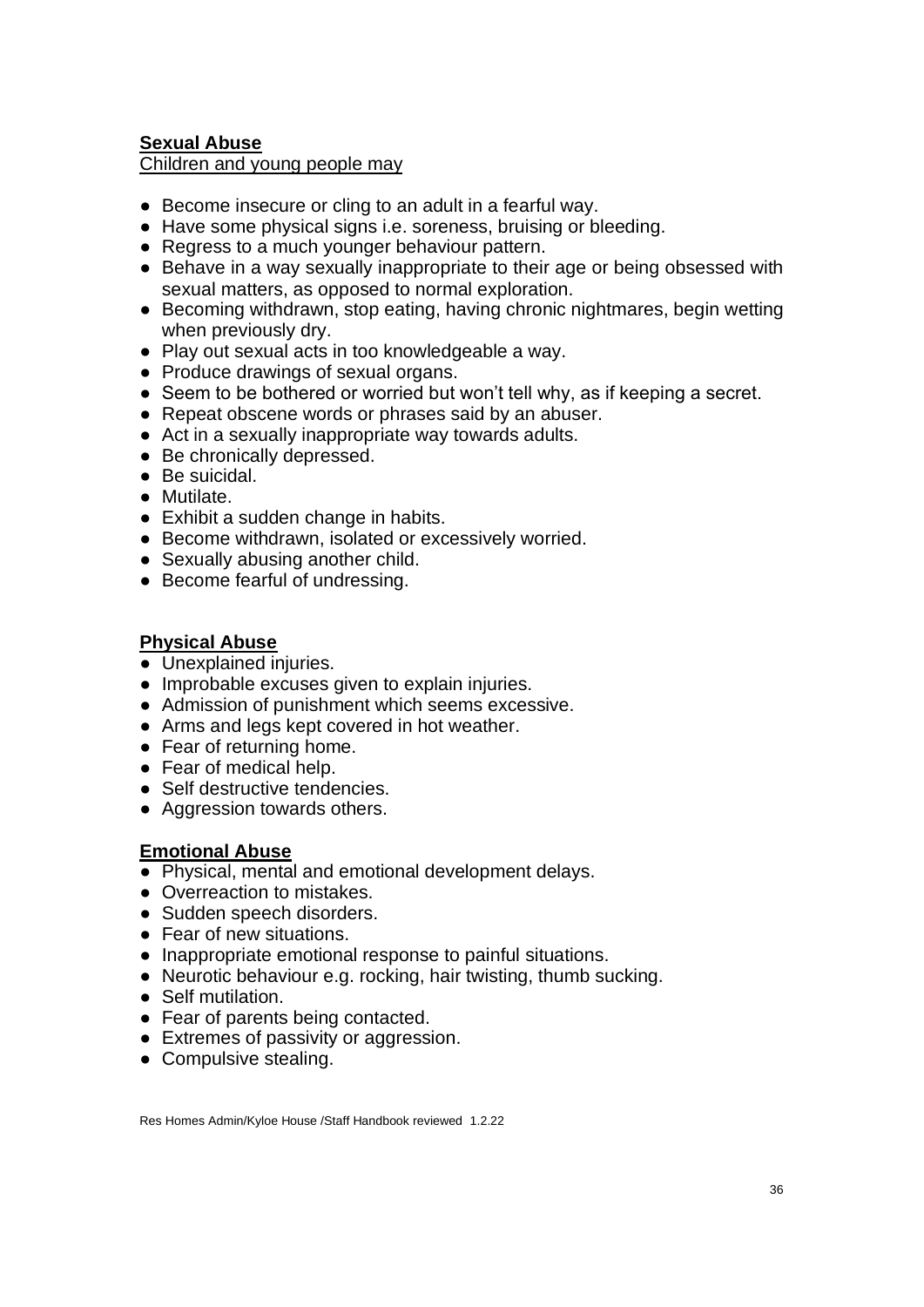## **Sexual Abuse**

Children and young people may

- Become insecure or cling to an adult in a fearful way.
- Have some physical signs i.e. soreness, bruising or bleeding.
- Regress to a much younger behaviour pattern.
- Behave in a way sexually inappropriate to their age or being obsessed with sexual matters, as opposed to normal exploration.
- Becoming withdrawn, stop eating, having chronic nightmares, begin wetting when previously dry.
- Play out sexual acts in too knowledgeable a way.
- Produce drawings of sexual organs.
- Seem to be bothered or worried but won't tell why, as if keeping a secret.
- Repeat obscene words or phrases said by an abuser.
- Act in a sexually inappropriate way towards adults.
- Be chronically depressed.
- Be suicidal.
- Mutilate.
- Exhibit a sudden change in habits.
- Become withdrawn, isolated or excessively worried.
- Sexually abusing another child.
- Become fearful of undressing.

### **Physical Abuse**

- Unexplained injuries.
- Improbable excuses given to explain injuries.
- Admission of punishment which seems excessive.
- Arms and legs kept covered in hot weather.
- Fear of returning home.
- Fear of medical help.
- Self destructive tendencies.
- Aggression towards others.

#### **Emotional Abuse**

- Physical, mental and emotional development delays.
- Overreaction to mistakes.
- Sudden speech disorders.
- Fear of new situations.
- Inappropriate emotional response to painful situations.
- Neurotic behaviour e.g. rocking, hair twisting, thumb sucking.
- Self mutilation.
- Fear of parents being contacted.
- Extremes of passivity or aggression.
- Compulsive stealing.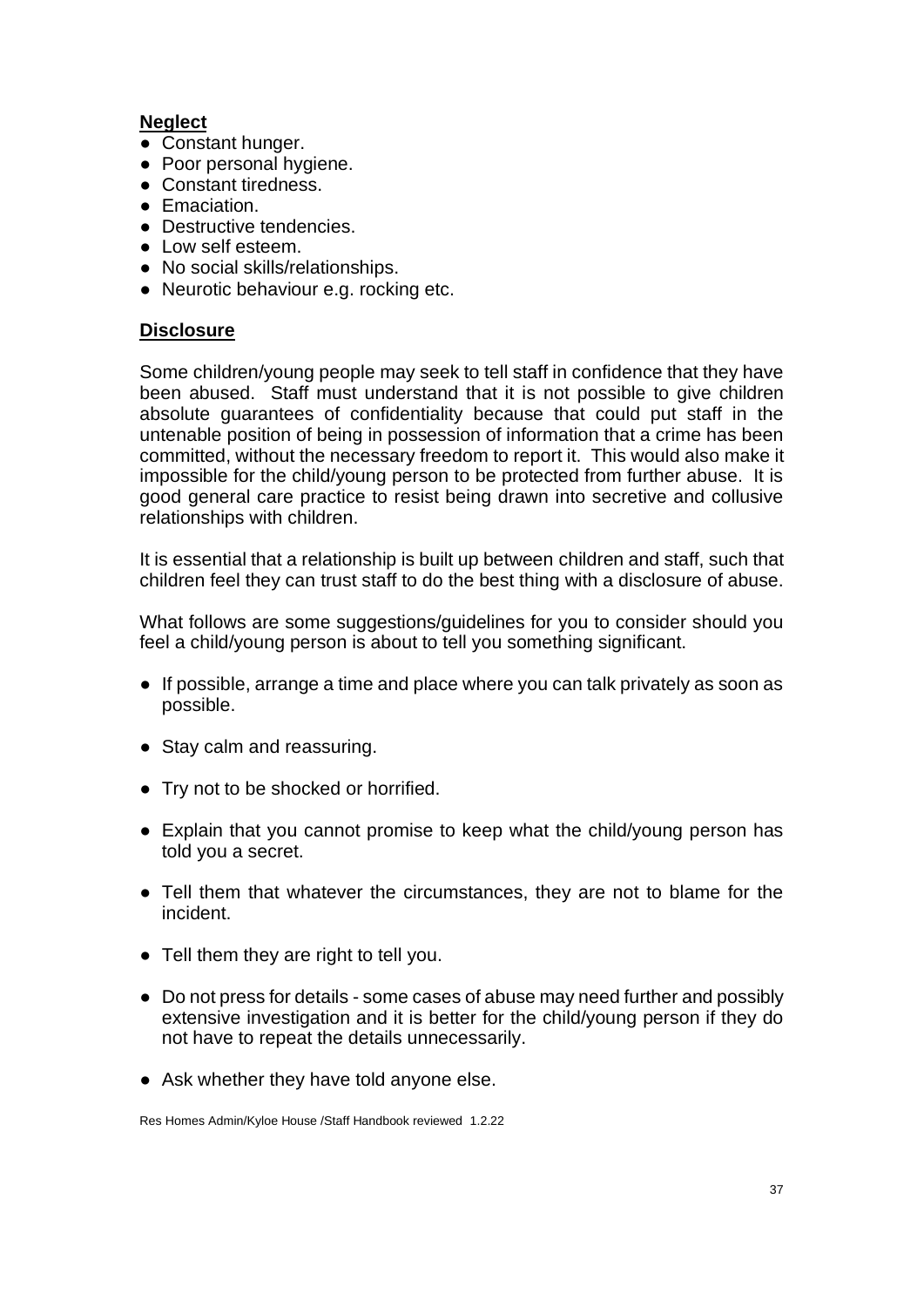# **Neglect**

- Constant hunger.
- Poor personal hygiene.
- Constant tiredness.
- Emaciation.
- Destructive tendencies.
- Low self esteem.
- No social skills/relationships.
- Neurotic behaviour e.g. rocking etc.

## **Disclosure**

Some children/young people may seek to tell staff in confidence that they have been abused. Staff must understand that it is not possible to give children absolute guarantees of confidentiality because that could put staff in the untenable position of being in possession of information that a crime has been committed, without the necessary freedom to report it. This would also make it impossible for the child/young person to be protected from further abuse. It is good general care practice to resist being drawn into secretive and collusive relationships with children.

It is essential that a relationship is built up between children and staff, such that children feel they can trust staff to do the best thing with a disclosure of abuse.

What follows are some suggestions/guidelines for you to consider should you feel a child/young person is about to tell you something significant.

- If possible, arrange a time and place where you can talk privately as soon as possible.
- Stay calm and reassuring.
- Try not to be shocked or horrified.
- Explain that you cannot promise to keep what the child/young person has told you a secret.
- Tell them that whatever the circumstances, they are not to blame for the incident.
- Tell them they are right to tell you.
- Do not press for details some cases of abuse may need further and possibly extensive investigation and it is better for the child/young person if they do not have to repeat the details unnecessarily.
- Ask whether they have told anyone else.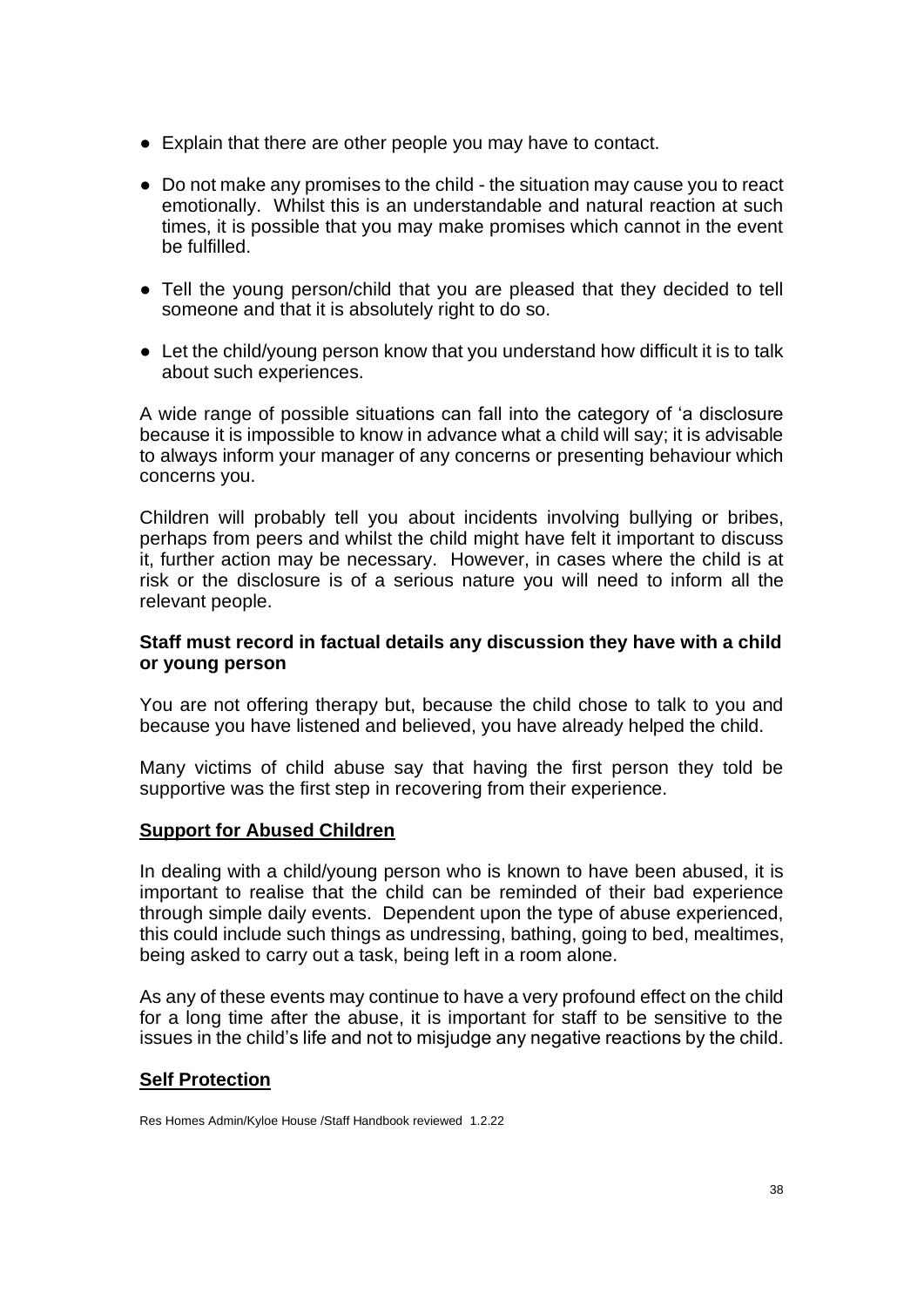- Explain that there are other people you may have to contact.
- Do not make any promises to the child the situation may cause you to react emotionally. Whilst this is an understandable and natural reaction at such times, it is possible that you may make promises which cannot in the event be fulfilled.
- Tell the young person/child that you are pleased that they decided to tell someone and that it is absolutely right to do so.
- Let the child/young person know that you understand how difficult it is to talk about such experiences.

A wide range of possible situations can fall into the category of 'a disclosure because it is impossible to know in advance what a child will say; it is advisable to always inform your manager of any concerns or presenting behaviour which concerns you.

Children will probably tell you about incidents involving bullying or bribes, perhaps from peers and whilst the child might have felt it important to discuss it, further action may be necessary. However, in cases where the child is at risk or the disclosure is of a serious nature you will need to inform all the relevant people.

### **Staff must record in factual details any discussion they have with a child or young person**

You are not offering therapy but, because the child chose to talk to you and because you have listened and believed, you have already helped the child.

Many victims of child abuse say that having the first person they told be supportive was the first step in recovering from their experience.

## **Support for Abused Children**

In dealing with a child/young person who is known to have been abused, it is important to realise that the child can be reminded of their bad experience through simple daily events. Dependent upon the type of abuse experienced, this could include such things as undressing, bathing, going to bed, mealtimes, being asked to carry out a task, being left in a room alone.

As any of these events may continue to have a very profound effect on the child for a long time after the abuse, it is important for staff to be sensitive to the issues in the child's life and not to misjudge any negative reactions by the child.

#### **Self Protection**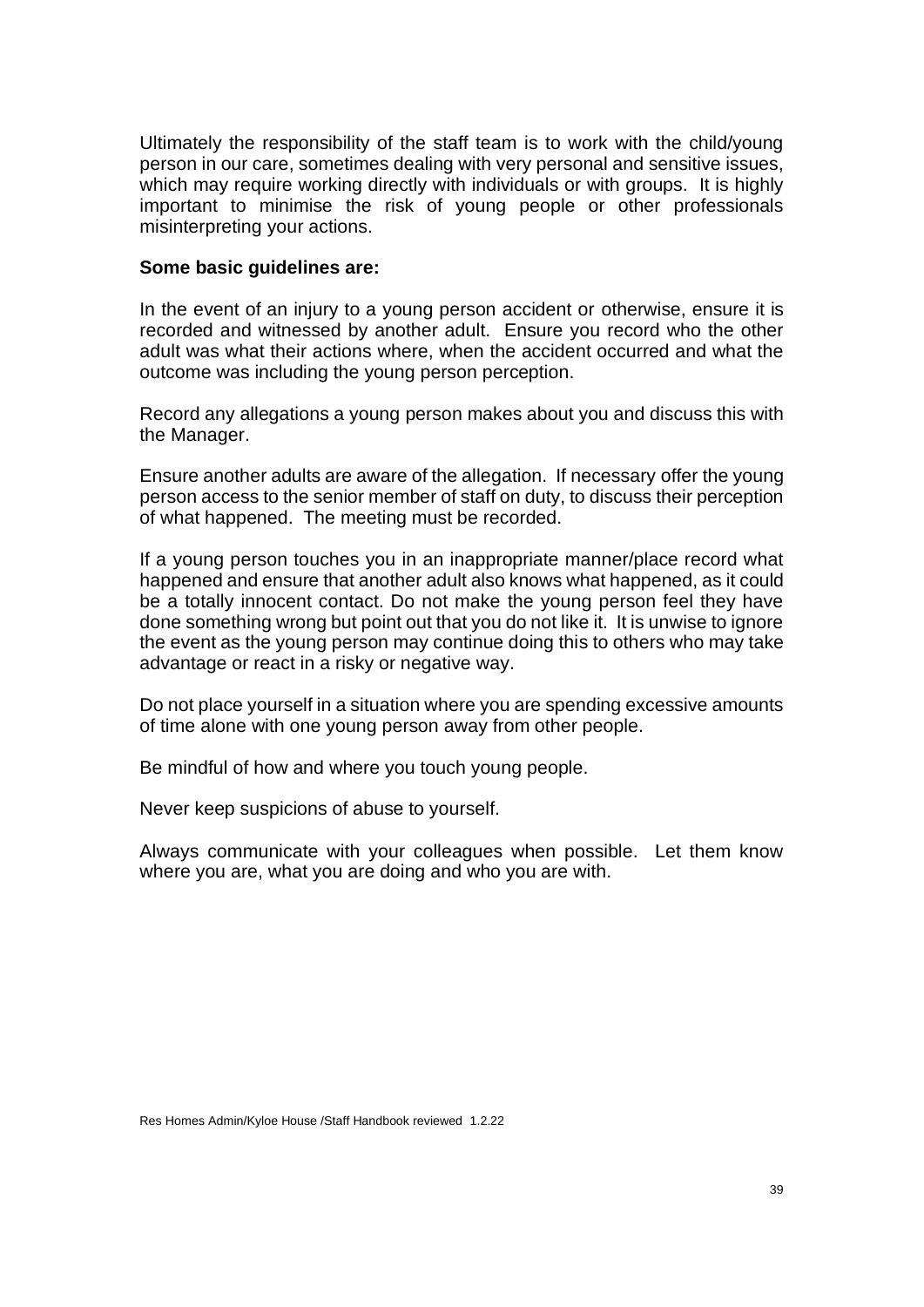Ultimately the responsibility of the staff team is to work with the child/young person in our care, sometimes dealing with very personal and sensitive issues, which may require working directly with individuals or with groups. It is highly important to minimise the risk of young people or other professionals misinterpreting your actions.

### **Some basic guidelines are:**

In the event of an injury to a young person accident or otherwise, ensure it is recorded and witnessed by another adult. Ensure you record who the other adult was what their actions where, when the accident occurred and what the outcome was including the young person perception.

Record any allegations a young person makes about you and discuss this with the Manager.

Ensure another adults are aware of the allegation. If necessary offer the young person access to the senior member of staff on duty, to discuss their perception of what happened. The meeting must be recorded.

If a young person touches you in an inappropriate manner/place record what happened and ensure that another adult also knows what happened, as it could be a totally innocent contact. Do not make the young person feel they have done something wrong but point out that you do not like it. It is unwise to ignore the event as the young person may continue doing this to others who may take advantage or react in a risky or negative way.

Do not place yourself in a situation where you are spending excessive amounts of time alone with one young person away from other people.

Be mindful of how and where you touch young people.

Never keep suspicions of abuse to yourself.

Always communicate with your colleagues when possible. Let them know where you are, what you are doing and who you are with.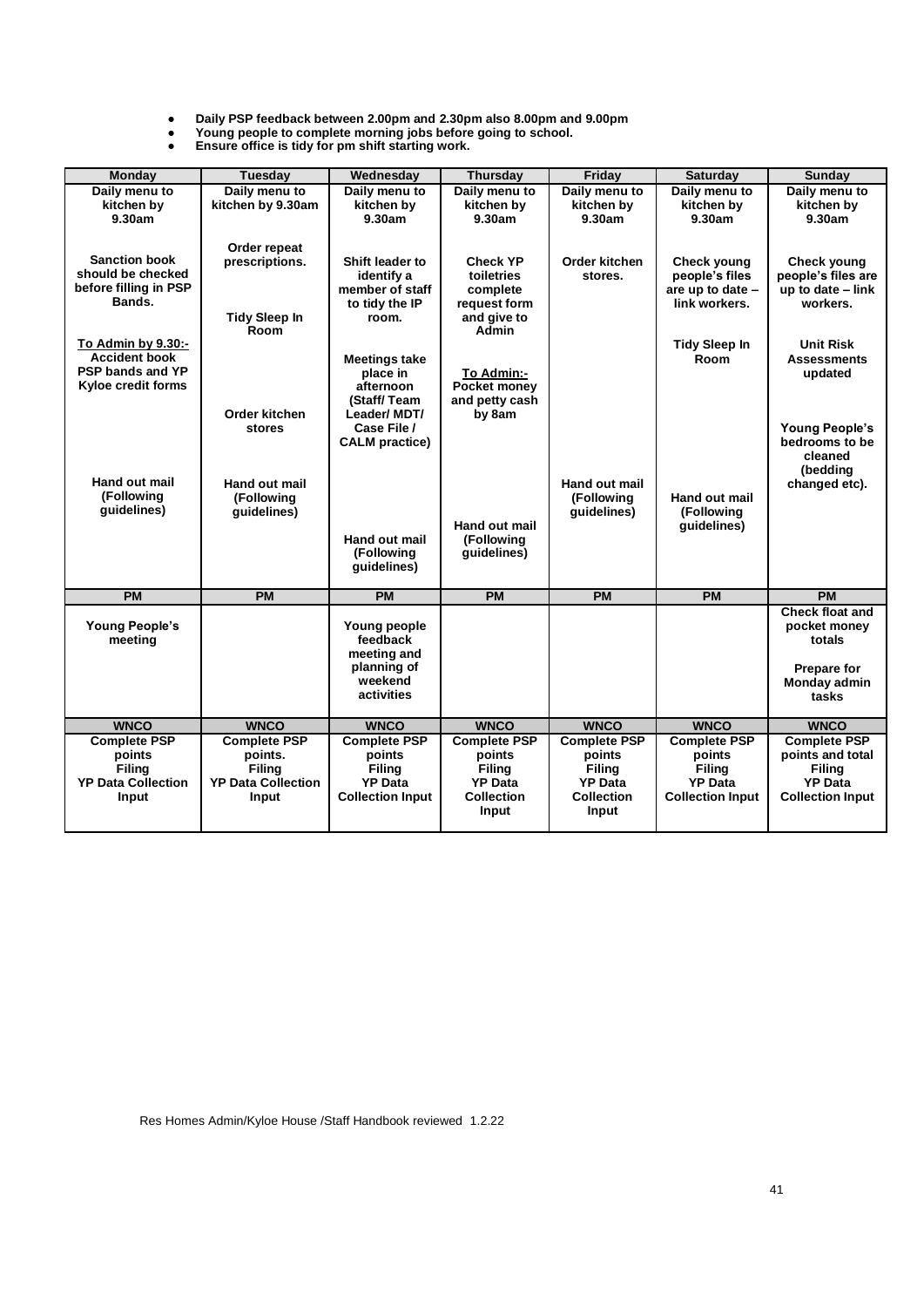● **Daily PSP feedback between 2.00pm and 2.30pm also 8.00pm and 9.00pm**

● **Young people to complete morning jobs before going to school.** ● **Ensure office is tidy for pm shift starting work.**

| Monday                                     | Tuesday                   | Wednesday                     | <b>Thursday</b>            | Friday                     | <b>Saturday</b>                    | Sunday                                  |
|--------------------------------------------|---------------------------|-------------------------------|----------------------------|----------------------------|------------------------------------|-----------------------------------------|
| Daily menu to                              | Daily menu to             | Daily menu to                 | Daily menu to              | Daily menu to              | Daily menu to                      | Daily menu to                           |
| kitchen by                                 | kitchen by 9.30am         | kitchen by                    | kitchen by                 | kitchen by                 | kitchen by                         | kitchen by                              |
| 9.30am                                     |                           | 9.30am                        | 9.30am                     | 9.30am                     | 9.30am                             | 9.30am                                  |
|                                            |                           |                               |                            |                            |                                    |                                         |
|                                            | Order repeat              |                               |                            |                            |                                    |                                         |
| <b>Sanction book</b>                       | prescriptions.            | Shift leader to               | <b>Check YP</b>            | Order kitchen              | Check young                        | Check young                             |
| should be checked<br>before filling in PSP |                           | identify a<br>member of staff | toiletries                 | stores.                    | people's files<br>are up to date - | people's files are<br>up to date - link |
| Bands.                                     |                           | to tidy the IP                | complete<br>request form   |                            | link workers.                      | workers.                                |
|                                            | <b>Tidy Sleep In</b>      | room.                         | and give to                |                            |                                    |                                         |
|                                            | Room                      |                               | Admin                      |                            |                                    |                                         |
| To Admin by 9.30:-                         |                           |                               |                            |                            | <b>Tidy Sleep In</b>               | <b>Unit Risk</b>                        |
| <b>Accident book</b>                       |                           | <b>Meetings take</b>          |                            |                            | Room                               | <b>Assessments</b>                      |
| <b>PSP bands and YP</b>                    |                           | place in                      | To Admin:-                 |                            |                                    | updated                                 |
| <b>Kyloe credit forms</b>                  |                           | afternoon                     | Pocket money               |                            |                                    |                                         |
|                                            | Order kitchen             | (Staff/Team<br>Leader/ MDT/   | and petty cash<br>by 8am   |                            |                                    |                                         |
|                                            | stores                    | Case File /                   |                            |                            |                                    | <b>Young People's</b>                   |
|                                            |                           | <b>CALM</b> practice)         |                            |                            |                                    | bedrooms to be                          |
|                                            |                           |                               |                            |                            |                                    | cleaned                                 |
|                                            |                           |                               |                            |                            |                                    | (bedding                                |
| Hand out mail<br>(Following                | Hand out mail             |                               |                            | Hand out mail              |                                    | changed etc).                           |
| quidelines)                                | (Following<br>quidelines) |                               |                            | (Following<br>quidelines)  | Hand out mail<br>(Following        |                                         |
|                                            |                           |                               | Hand out mail              |                            | quidelines)                        |                                         |
|                                            |                           | <b>Hand out mail</b>          | (Following                 |                            |                                    |                                         |
|                                            |                           | (Following                    | quidelines)                |                            |                                    |                                         |
|                                            |                           | guidelines)                   |                            |                            |                                    |                                         |
| <b>PM</b>                                  | <b>PM</b>                 | <b>PM</b>                     | <b>PM</b>                  | <b>PM</b>                  | <b>PM</b>                          | <b>PM</b>                               |
|                                            |                           |                               |                            |                            |                                    | <b>Check float and</b>                  |
| <b>Young People's</b>                      |                           | Young people                  |                            |                            |                                    | pocket money                            |
| meeting                                    |                           | feedback                      |                            |                            |                                    | totals                                  |
|                                            |                           | meeting and                   |                            |                            |                                    |                                         |
|                                            |                           | planning of<br>weekend        |                            |                            |                                    | <b>Prepare for</b><br>Monday admin      |
|                                            |                           | activities                    |                            |                            |                                    | tasks                                   |
|                                            |                           |                               |                            |                            |                                    |                                         |
| <b>WNCO</b>                                | <b>WNCO</b>               | <b>WNCO</b>                   | <b>WNCO</b>                | <b>WNCO</b>                | <b>WNCO</b>                        | <b>WNCO</b>                             |
|                                            |                           |                               |                            |                            |                                    |                                         |
| <b>Complete PSP</b>                        | <b>Complete PSP</b>       | <b>Complete PSP</b>           | <b>Complete PSP</b>        | <b>Complete PSP</b>        | <b>Complete PSP</b>                | <b>Complete PSP</b>                     |
| points                                     | points.                   | points                        | points                     | points                     | points                             | points and total                        |
| Filina                                     | <b>Filina</b>             | <b>Filing</b>                 | <b>Filing</b>              | <b>Filing</b>              | <b>Filing</b>                      | Filina                                  |
| <b>YP Data Collection</b>                  | <b>YP Data Collection</b> | <b>YP Data</b>                | <b>YP Data</b>             | <b>YP Data</b>             | <b>YP Data</b>                     | <b>YP Data</b>                          |
| Input                                      | Input                     | <b>Collection Input</b>       | <b>Collection</b><br>Input | <b>Collection</b><br>Input | <b>Collection Input</b>            | <b>Collection Input</b>                 |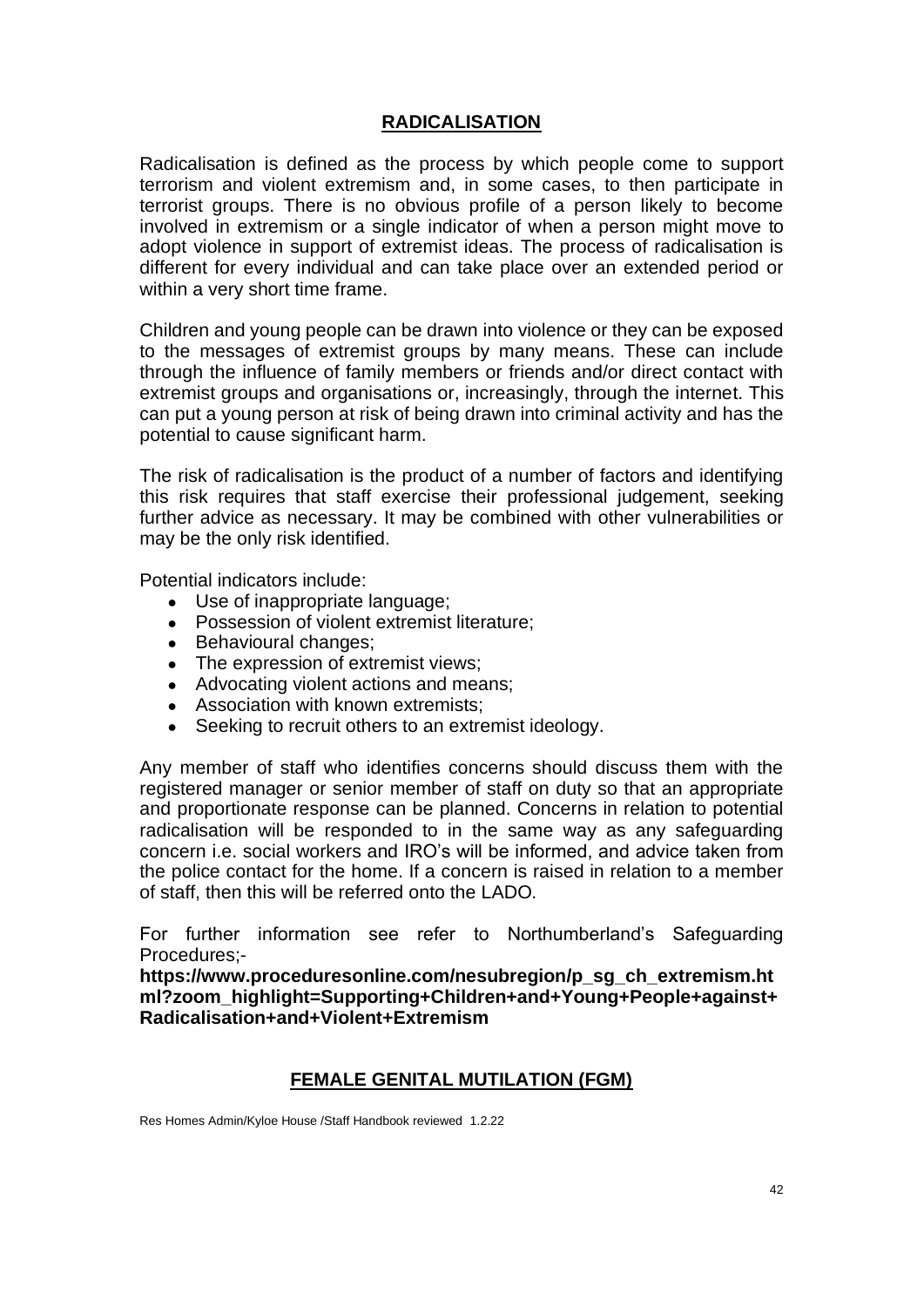## **RADICALISATION**

Radicalisation is defined as the process by which people come to support terrorism and violent extremism and, in some cases, to then participate in terrorist groups. There is no obvious profile of a person likely to become involved in extremism or a single indicator of when a person might move to adopt violence in support of extremist ideas. The process of radicalisation is different for every individual and can take place over an extended period or within a very short time frame.

Children and young people can be drawn into violence or they can be exposed to the messages of extremist groups by many means. These can include through the influence of family members or friends and/or direct contact with extremist groups and organisations or, increasingly, through the internet. This can put a young person at risk of being drawn into criminal activity and has the potential to cause significant harm.

The risk of radicalisation is the product of a number of factors and identifying this risk requires that staff exercise their professional judgement, seeking further advice as necessary. It may be combined with other vulnerabilities or may be the only risk identified.

Potential indicators include:

- Use of inappropriate language;
- Possession of violent extremist literature:
- Behavioural changes:
- The expression of extremist views;
- Advocating violent actions and means;
- Association with known extremists:
- Seeking to recruit others to an extremist ideology.

Any member of staff who identifies concerns should discuss them with the registered manager or senior member of staff on duty so that an appropriate and proportionate response can be planned. Concerns in relation to potential radicalisation will be responded to in the same way as any safeguarding concern i.e. social workers and IRO's will be informed, and advice taken from the police contact for the home. If a concern is raised in relation to a member of staff, then this will be referred onto the LADO.

For further information see refer to Northumberland's Safeguarding Procedures;-

**https://www.proceduresonline.com/nesubregion/p\_sg\_ch\_extremism.ht ml?zoom\_highlight=Supporting+Children+and+Young+People+against+ Radicalisation+and+Violent+Extremism**

## **FEMALE GENITAL MUTILATION (FGM)**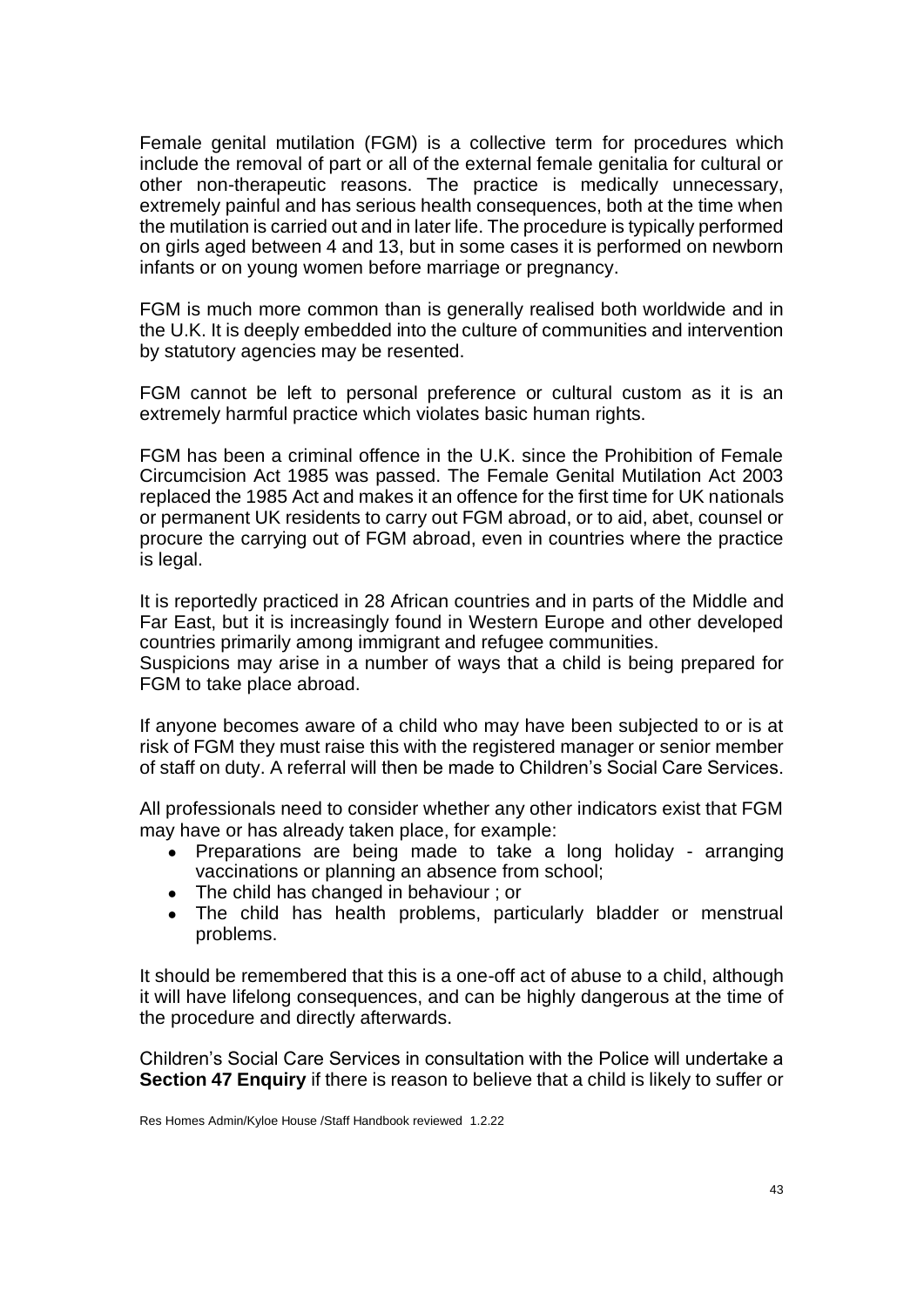Female genital mutilation (FGM) is a collective term for procedures which include the removal of part or all of the external female genitalia for cultural or other non-therapeutic reasons. The practice is medically unnecessary, extremely painful and has serious health consequences, both at the time when the mutilation is carried out and in later life. The procedure is typically performed on girls aged between 4 and 13, but in some cases it is performed on newborn infants or on young women before marriage or pregnancy.

FGM is much more common than is generally realised both worldwide and in the U.K. It is deeply embedded into the culture of communities and intervention by statutory agencies may be resented.

FGM cannot be left to personal preference or cultural custom as it is an extremely harmful practice which violates basic human rights.

FGM has been a criminal offence in the U.K. since the Prohibition of Female Circumcision Act 1985 was passed. The Female Genital Mutilation Act 2003 replaced the 1985 Act and makes it an offence for the first time for UK nationals or permanent UK residents to carry out FGM abroad, or to aid, abet, counsel or procure the carrying out of FGM abroad, even in countries where the practice is legal.

It is reportedly practiced in 28 African countries and in parts of the Middle and Far East, but it is increasingly found in Western Europe and other developed countries primarily among immigrant and refugee communities.

Suspicions may arise in a number of ways that a child is being prepared for FGM to take place abroad.

If anyone becomes aware of a child who may have been subjected to or is at risk of FGM they must raise this with the registered manager or senior member of staff on duty. A referral will then be made to Children's Social Care Services.

All professionals need to consider whether any other indicators exist that FGM may have or has already taken place, for example:

- Preparations are being made to take a long holiday arranging vaccinations or planning an absence from school;
- The child has changed in behaviour : or
- The child has health problems, particularly bladder or menstrual problems.

It should be remembered that this is a one-off act of abuse to a child, although it will have lifelong consequences, and can be highly dangerous at the time of the procedure and directly afterwards.

Children's Social Care Services in consultation with the Police will undertake a **[Section 47 Enquiry](http://trixresources.proceduresonline.com/nat_key/keywords/sec_47_enq.html)** if there is reason to believe that a child is likely to suffer or

Res Homes Admin/Kyloe House /Staff Handbook reviewed 1.2.22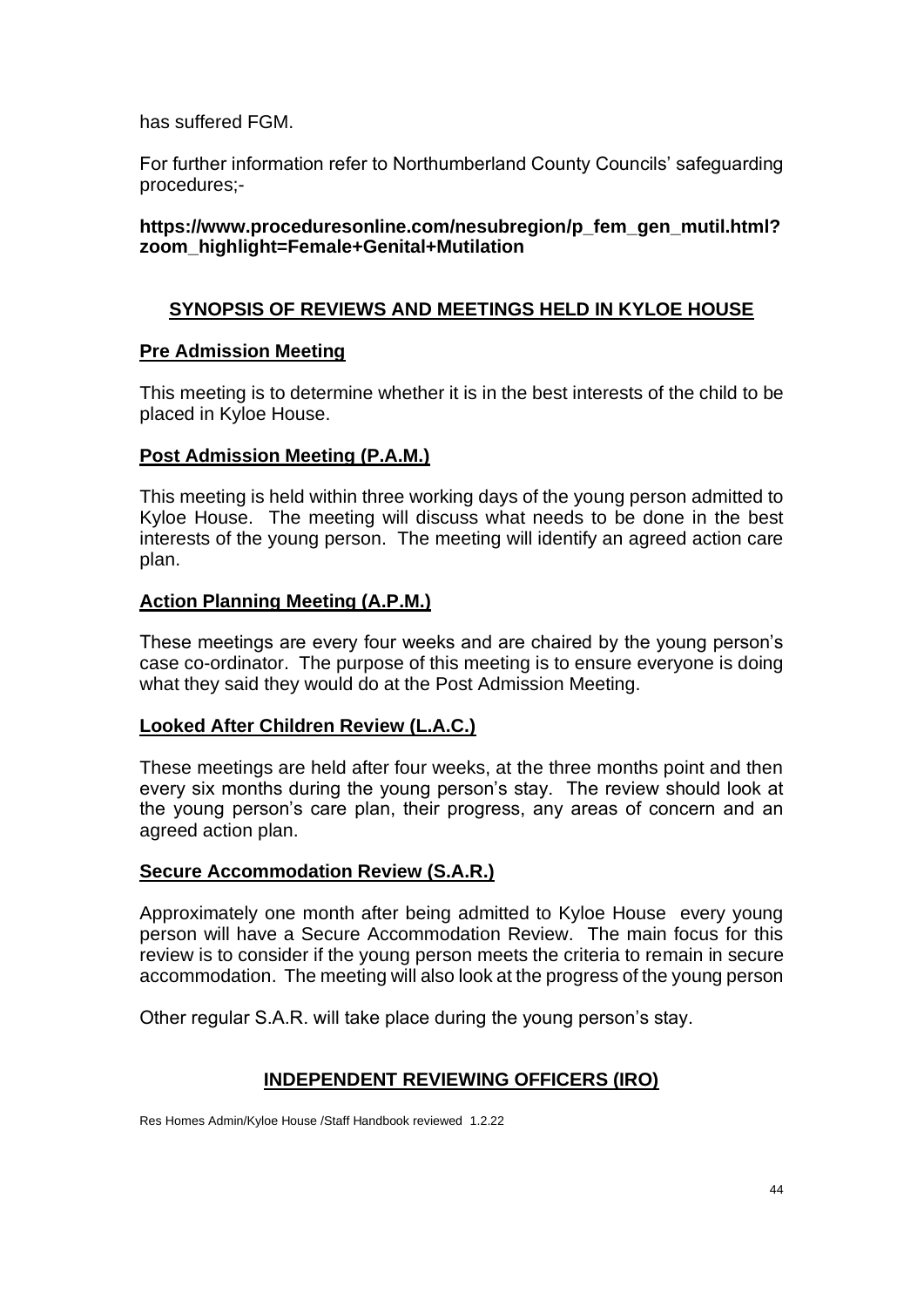has suffered FGM.

For further information refer to Northumberland County Councils' safeguarding procedures;-

## **https://www.proceduresonline.com/nesubr[egion/p\\_fem\\_gen\\_mutil.html?](http://northumberlandlscb.proceduresonline.com/chapters/p_fem_gen_mut.html) zoom\_highlight=Female+Genital+Mutilation**

# **SYNOPSIS OF REVIEWS AND MEETINGS HELD IN KYLOE HOUSE**

## **Pre Admission Meeting**

This meeting is to determine whether it is in the best interests of the child to be placed in Kyloe House.

## **Post Admission Meeting (P.A.M.)**

This meeting is held within three working days of the young person admitted to Kyloe House. The meeting will discuss what needs to be done in the best interests of the young person. The meeting will identify an agreed action care plan.

## **Action Planning Meeting (A.P.M.)**

These meetings are every four weeks and are chaired by the young person's case co-ordinator. The purpose of this meeting is to ensure everyone is doing what they said they would do at the Post Admission Meeting.

## **Looked After Children Review (L.A.C.)**

These meetings are held after four weeks, at the three months point and then every six months during the young person's stay. The review should look at the young person's care plan, their progress, any areas of concern and an agreed action plan.

## **Secure Accommodation Review (S.A.R.)**

Approximately one month after being admitted to Kyloe House every young person will have a Secure Accommodation Review. The main focus for this review is to consider if the young person meets the criteria to remain in secure accommodation. The meeting will also look at the progress of the young person

Other regular S.A.R. will take place during the young person's stay.

# **INDEPENDENT REVIEWING OFFICERS (IRO)**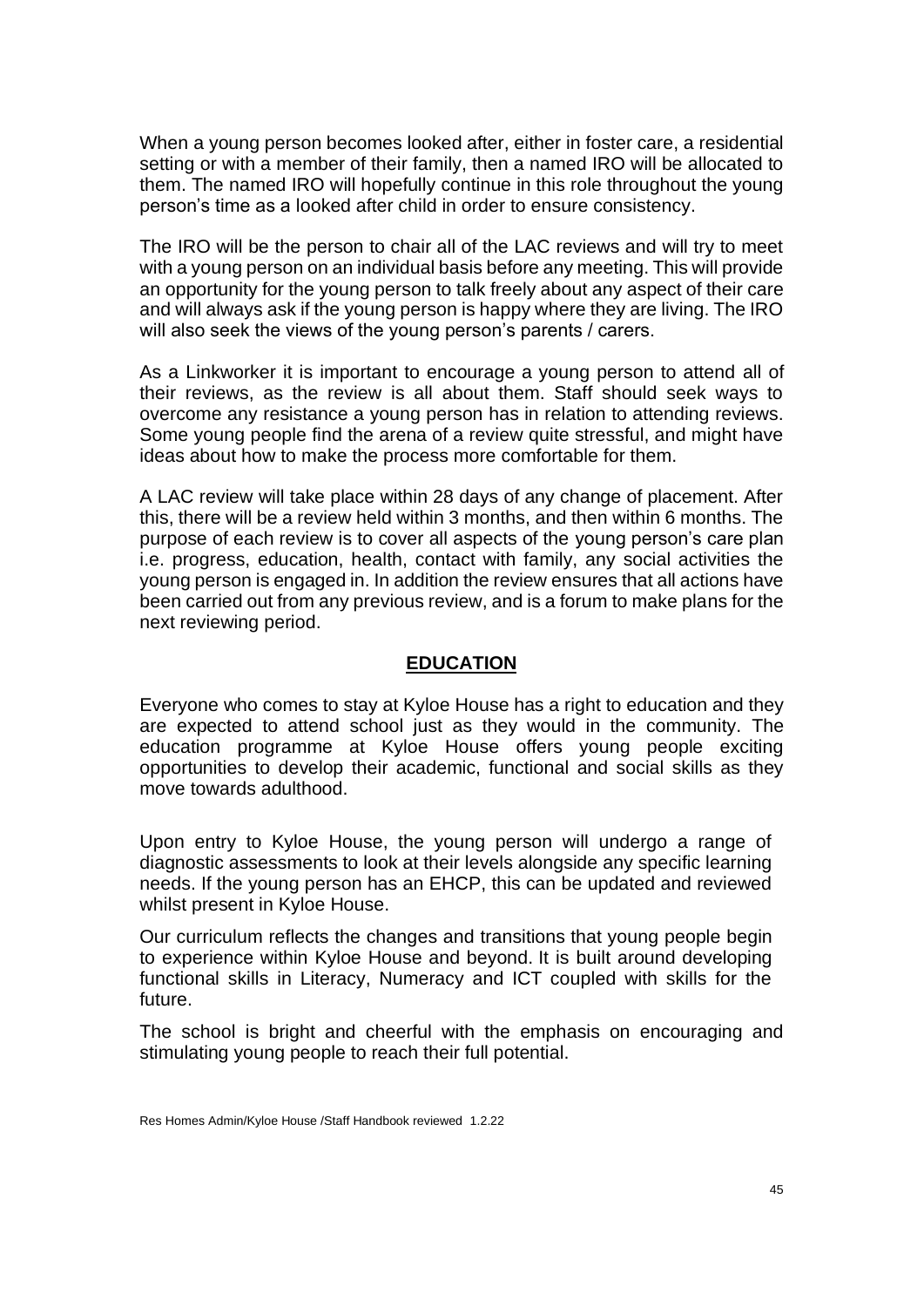When a young person becomes looked after, either in foster care, a residential setting or with a member of their family, then a named IRO will be allocated to them. The named IRO will hopefully continue in this role throughout the young person's time as a looked after child in order to ensure consistency.

The IRO will be the person to chair all of the LAC reviews and will try to meet with a young person on an individual basis before any meeting. This will provide an opportunity for the young person to talk freely about any aspect of their care and will always ask if the young person is happy where they are living. The IRO will also seek the views of the young person's parents / carers.

As a Linkworker it is important to encourage a young person to attend all of their reviews, as the review is all about them. Staff should seek ways to overcome any resistance a young person has in relation to attending reviews. Some young people find the arena of a review quite stressful, and might have ideas about how to make the process more comfortable for them.

A LAC review will take place within 28 days of any change of placement. After this, there will be a review held within 3 months, and then within 6 months. The purpose of each review is to cover all aspects of the young person's care plan i.e. progress, education, health, contact with family, any social activities the young person is engaged in. In addition the review ensures that all actions have been carried out from any previous review, and is a forum to make plans for the next reviewing period.

#### **EDUCATION**

Everyone who comes to stay at Kyloe House has a right to education and they are expected to attend school just as they would in the community. The education programme at Kyloe House offers young people exciting opportunities to develop their academic, functional and social skills as they move towards adulthood.

Upon entry to Kyloe House, the young person will undergo a range of diagnostic assessments to look at their levels alongside any specific learning needs. If the young person has an EHCP, this can be updated and reviewed whilst present in Kyloe House.

Our curriculum reflects the changes and transitions that young people begin to experience within Kyloe House and beyond. It is built around developing functional skills in Literacy, Numeracy and ICT coupled with skills for the future.

The school is bright and cheerful with the emphasis on encouraging and stimulating young people to reach their full potential.

Res Homes Admin/Kyloe House /Staff Handbook reviewed 1.2.22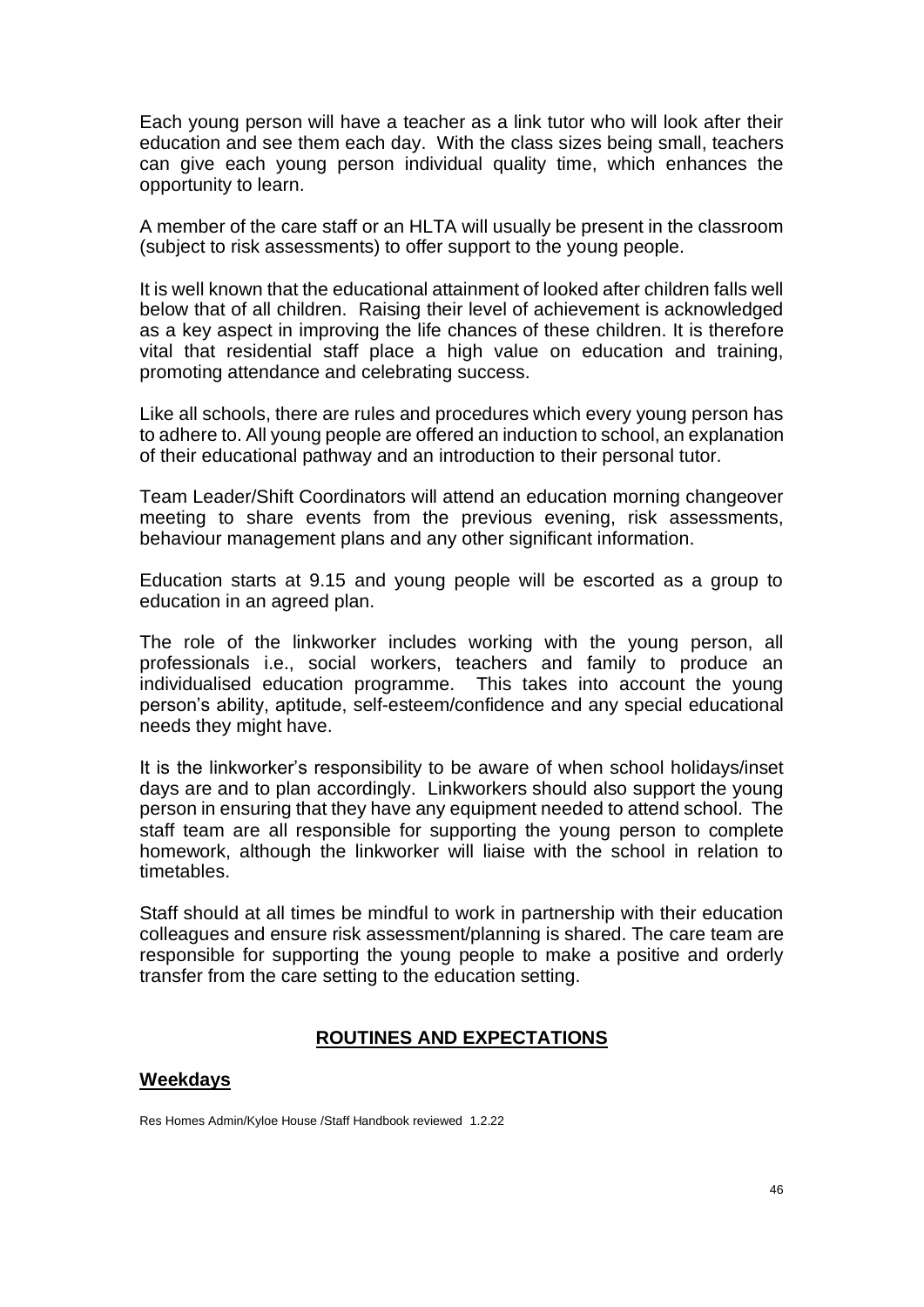Each young person will have a teacher as a link tutor who will look after their education and see them each day. With the class sizes being small, teachers can give each young person individual quality time, which enhances the opportunity to learn.

A member of the care staff or an HLTA will usually be present in the classroom (subject to risk assessments) to offer support to the young people.

It is well known that the educational attainment of looked after children falls well below that of all children. Raising their level of achievement is acknowledged as a key aspect in improving the life chances of these children. It is therefore vital that residential staff place a high value on education and training, promoting attendance and celebrating success.

Like all schools, there are rules and procedures which every young person has to adhere to. All young people are offered an induction to school, an explanation of their educational pathway and an introduction to their personal tutor.

Team Leader/Shift Coordinators will attend an education morning changeover meeting to share events from the previous evening, risk assessments, behaviour management plans and any other significant information.

Education starts at 9.15 and young people will be escorted as a group to education in an agreed plan.

The role of the linkworker includes working with the young person, all professionals i.e., social workers, teachers and family to produce an individualised education programme. This takes into account the young person's ability, aptitude, self-esteem/confidence and any special educational needs they might have.

It is the linkworker's responsibility to be aware of when school holidays/inset days are and to plan accordingly. Linkworkers should also support the young person in ensuring that they have any equipment needed to attend school. The staff team are all responsible for supporting the young person to complete homework, although the linkworker will liaise with the school in relation to timetables.

Staff should at all times be mindful to work in partnership with their education colleagues and ensure risk assessment/planning is shared. The care team are responsible for supporting the young people to make a positive and orderly transfer from the care setting to the education setting.

#### **ROUTINES AND EXPECTATIONS**

#### **Weekdays**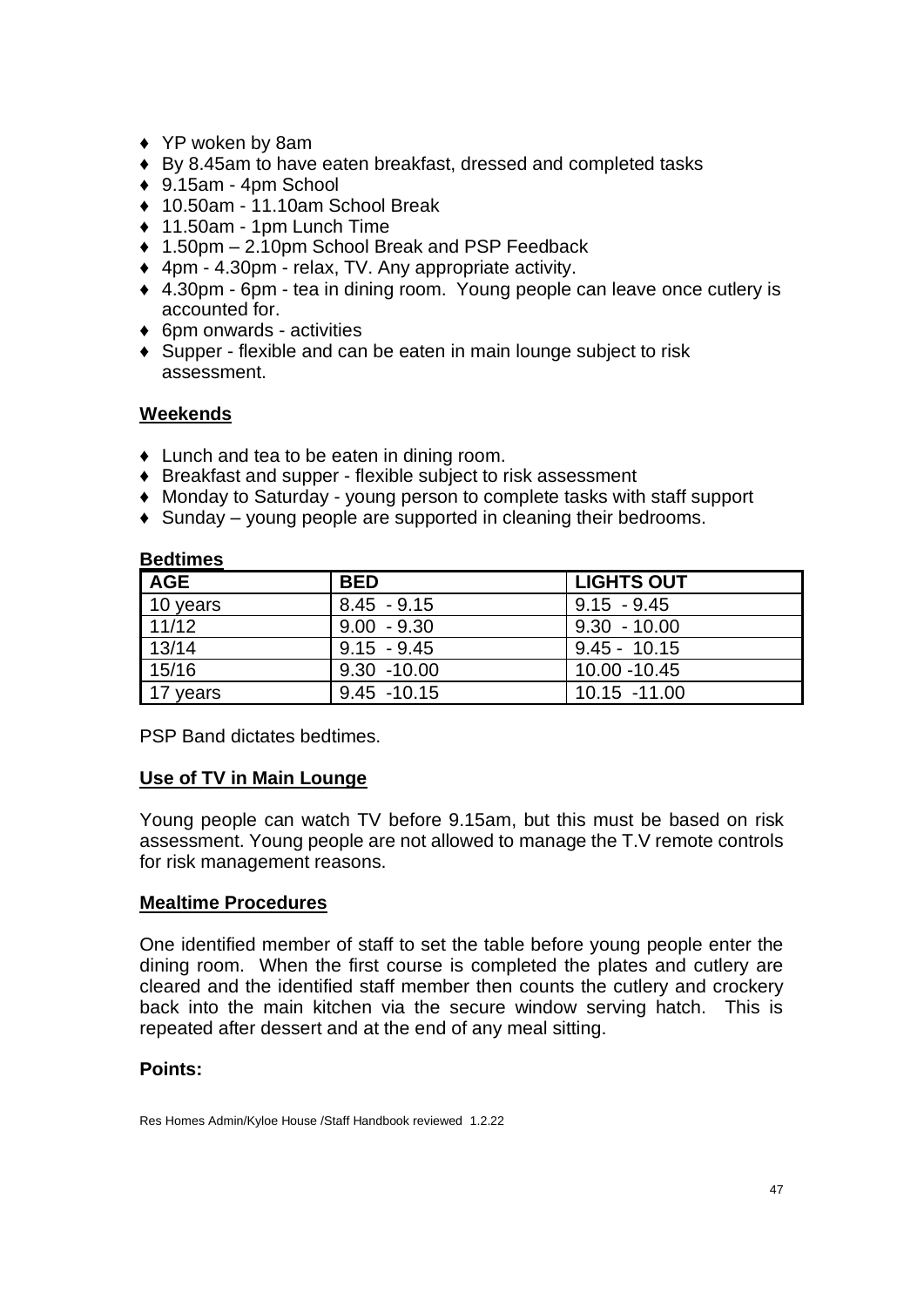- ♦ YP woken by 8am
- ♦ By 8.45am to have eaten breakfast, dressed and completed tasks
- $\div$  9.15am 4pm School
- ◆ 10.50am 11.10am School Break
- ♦ 11.50am 1pm Lunch Time
- ♦ 1.50pm 2.10pm School Break and PSP Feedback
- ♦ 4pm 4.30pm relax, TV. Any appropriate activity.
- ♦ 4.30pm 6pm tea in dining room. Young people can leave once cutlery is accounted for.
- ♦ 6pm onwards activities
- ♦ Supper flexible and can be eaten in main lounge subject to risk assessment.

## **Weekends**

- ♦ Lunch and tea to be eaten in dining room.
- ♦ Breakfast and supper flexible subject to risk assessment
- ♦ Monday to Saturday young person to complete tasks with staff support
- $\triangle$  Sunday young people are supported in cleaning their bedrooms.

| pouunivo   |                |                   |
|------------|----------------|-------------------|
| <b>AGE</b> | <b>BED</b>     | <b>LIGHTS OUT</b> |
| 10 years   | $8.45 - 9.15$  | $9.15 - 9.45$     |
| 11/12      | $9.00 - 9.30$  | $9.30 - 10.00$    |
| 13/14      | $9.15 - 9.45$  | $9.45 - 10.15$    |
| 15/16      | $9.30 - 10.00$ | 10.00 -10.45      |
| 117 years  | $9.45 - 10.15$ | 10.15 -11.00      |

### **Bedtimes**

PSP Band dictates bedtimes.

#### **Use of TV in Main Lounge**

Young people can watch TV before 9.15am, but this must be based on risk assessment. Young people are not allowed to manage the T.V remote controls for risk management reasons.

#### **Mealtime Procedures**

One identified member of staff to set the table before young people enter the dining room. When the first course is completed the plates and cutlery are cleared and the identified staff member then counts the cutlery and crockery back into the main kitchen via the secure window serving hatch. This is repeated after dessert and at the end of any meal sitting.

#### **Points:**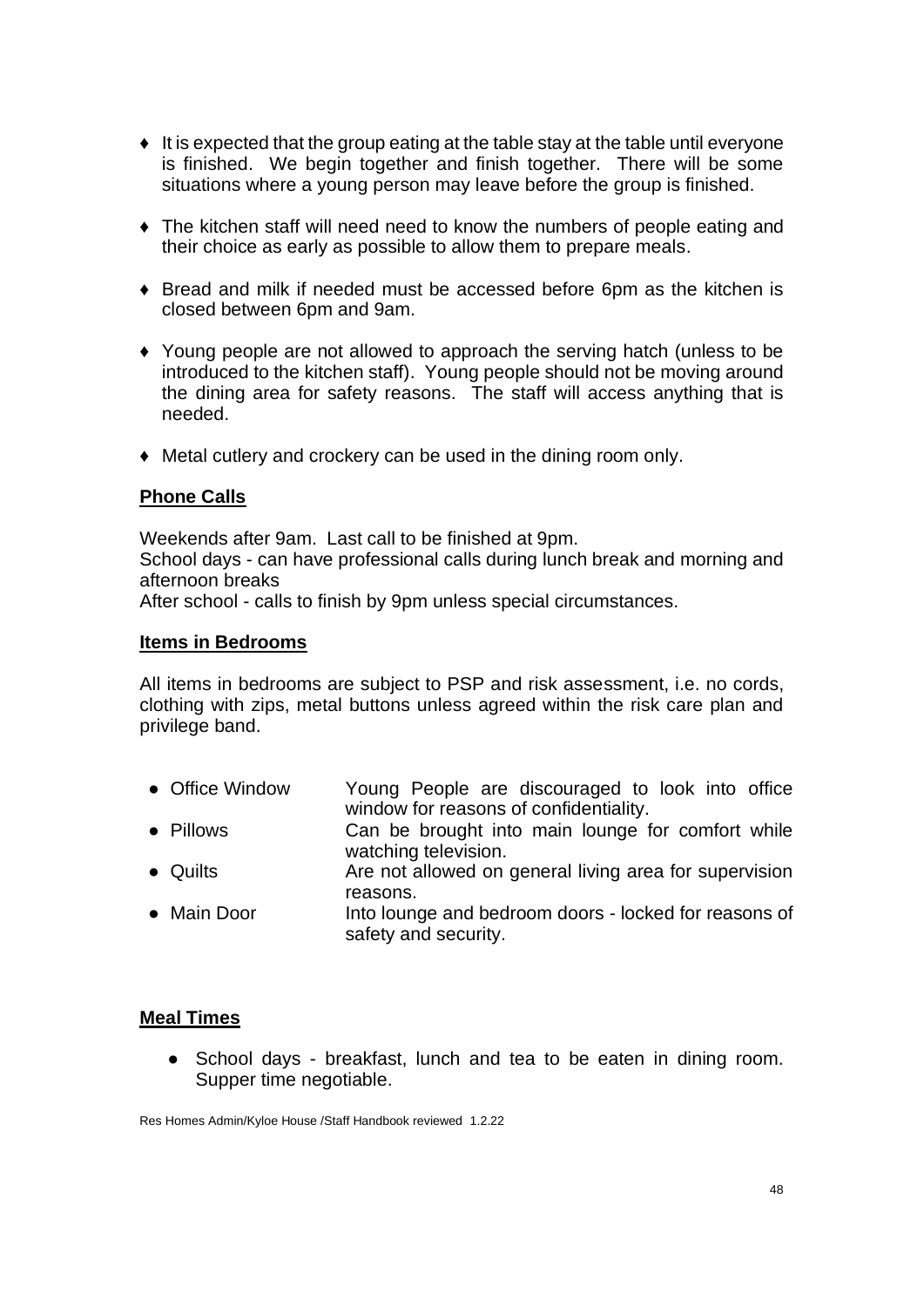- ♦ It is expected that the group eating at the table stay at the table until everyone is finished. We begin together and finish together. There will be some situations where a young person may leave before the group is finished.
- ♦ The kitchen staff will need need to know the numbers of people eating and their choice as early as possible to allow them to prepare meals.
- ♦ Bread and milk if needed must be accessed before 6pm as the kitchen is closed between 6pm and 9am.
- ♦ Young people are not allowed to approach the serving hatch (unless to be introduced to the kitchen staff). Young people should not be moving around the dining area for safety reasons. The staff will access anything that is needed.
- ♦ Metal cutlery and crockery can be used in the dining room only.

#### **Phone Calls**

Weekends after 9am. Last call to be finished at 9pm.

School days - can have professional calls during lunch break and morning and afternoon breaks

After school - calls to finish by 9pm unless special circumstances.

#### **Items in Bedrooms**

All items in bedrooms are subject to PSP and risk assessment, i.e. no cords, clothing with zips, metal buttons unless agreed within the risk care plan and privilege band.

- Office Window Young People are discouraged to look into office window for reasons of confidentiality.
- Pillows Can be brought into main lounge for comfort while watching television.
- Quilts **Are not allowed on general living area for supervision** reasons.
- Main Door Into lounge and bedroom doors locked for reasons of safety and security.

#### **Meal Times**

• School days - breakfast, lunch and tea to be eaten in dining room. Supper time negotiable.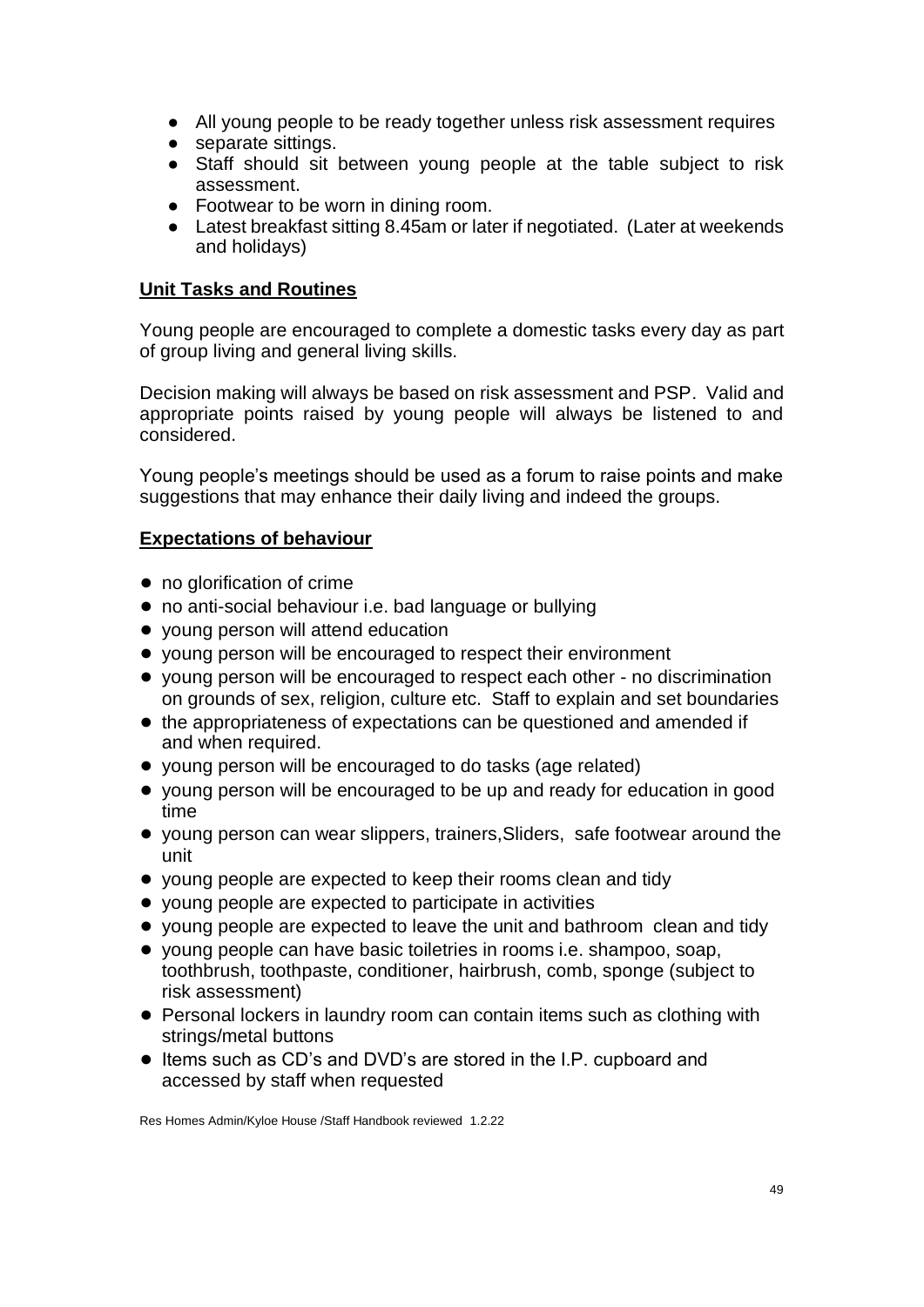- All young people to be ready together unless risk assessment requires
- separate sittings.
- Staff should sit between young people at the table subject to risk assessment.
- Footwear to be worn in dining room.
- Latest breakfast sitting 8.45am or later if negotiated. (Later at weekends and holidays)

# **Unit Tasks and Routines**

Young people are encouraged to complete a domestic tasks every day as part of group living and general living skills.

Decision making will always be based on risk assessment and PSP. Valid and appropriate points raised by young people will always be listened to and considered.

Young people's meetings should be used as a forum to raise points and make suggestions that may enhance their daily living and indeed the groups.

# **Expectations of behaviour**

- no glorification of crime
- no anti-social behaviour i.e. bad language or bullying
- young person will attend education
- young person will be encouraged to respect their environment
- young person will be encouraged to respect each other no discrimination on grounds of sex, religion, culture etc. Staff to explain and set boundaries
- the appropriateness of expectations can be questioned and amended if and when required.
- young person will be encouraged to do tasks (age related)
- young person will be encouraged to be up and ready for education in good time
- young person can wear slippers, trainers,Sliders, safe footwear around the unit
- young people are expected to keep their rooms clean and tidy
- young people are expected to participate in activities
- young people are expected to leave the unit and bathroom clean and tidy
- young people can have basic toiletries in rooms i.e. shampoo, soap, toothbrush, toothpaste, conditioner, hairbrush, comb, sponge (subject to risk assessment)
- Personal lockers in laundry room can contain items such as clothing with strings/metal buttons
- Items such as CD's and DVD's are stored in the I.P. cupboard and accessed by staff when requested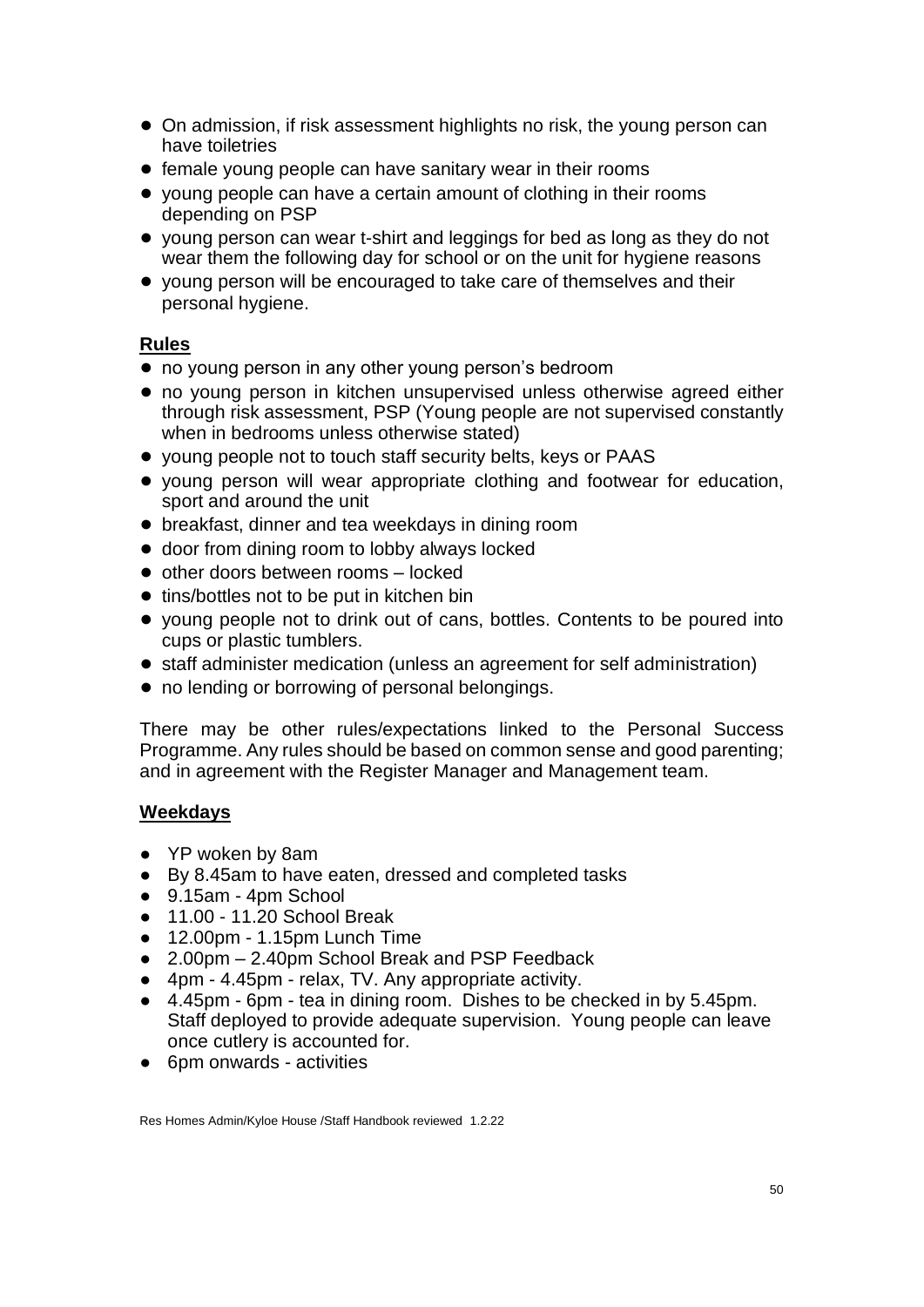- On admission, if risk assessment highlights no risk, the young person can have toiletries
- female young people can have sanitary wear in their rooms
- young people can have a certain amount of clothing in their rooms depending on PSP
- young person can wear t-shirt and leggings for bed as long as they do not wear them the following day for school or on the unit for hygiene reasons
- young person will be encouraged to take care of themselves and their personal hygiene.

## **Rules**

- no young person in any other young person's bedroom
- no young person in kitchen unsupervised unless otherwise agreed either through risk assessment, PSP (Young people are not supervised constantly when in bedrooms unless otherwise stated)
- young people not to touch staff security belts, keys or PAAS
- young person will wear appropriate clothing and footwear for education, sport and around the unit
- breakfast, dinner and tea weekdays in dining room
- door from dining room to lobby always locked
- other doors between rooms locked
- tins/bottles not to be put in kitchen bin
- young people not to drink out of cans, bottles. Contents to be poured into cups or plastic tumblers.
- staff administer medication (unless an agreement for self administration)
- no lending or borrowing of personal belongings.

There may be other rules/expectations linked to the Personal Success Programme. Any rules should be based on common sense and good parenting; and in agreement with the Register Manager and Management team.

## **Weekdays**

- YP woken by 8am
- By 8.45am to have eaten, dressed and completed tasks
- 9.15am 4pm School
- 11.00 11.20 School Break
- 12.00pm 1.15pm Lunch Time
- 2.00pm 2.40pm School Break and PSP Feedback
- 4pm 4.45pm relax, TV. Any appropriate activity.
- 4.45pm 6pm tea in dining room. Dishes to be checked in by 5.45pm. Staff deployed to provide adequate supervision. Young people can leave once cutlery is accounted for.
- 6pm onwards activities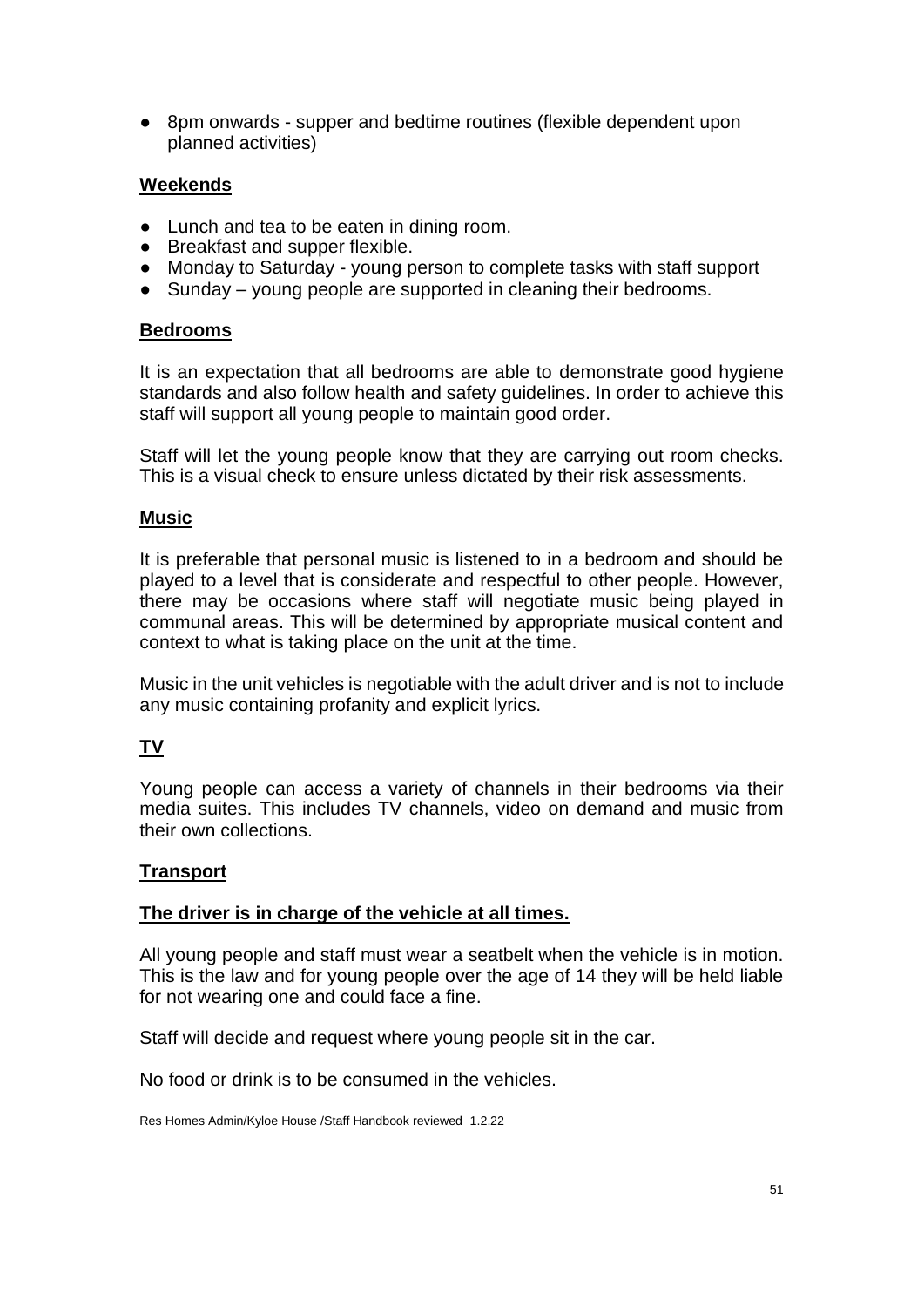● 8pm onwards - supper and bedtime routines (flexible dependent upon planned activities)

## **Weekends**

- Lunch and tea to be eaten in dining room.
- Breakfast and supper flexible.
- Monday to Saturday young person to complete tasks with staff support
- Sunday young people are supported in cleaning their bedrooms.

## **Bedrooms**

It is an expectation that all bedrooms are able to demonstrate good hygiene standards and also follow health and safety guidelines. In order to achieve this staff will support all young people to maintain good order.

Staff will let the young people know that they are carrying out room checks. This is a visual check to ensure unless dictated by their risk assessments.

## **Music**

It is preferable that personal music is listened to in a bedroom and should be played to a level that is considerate and respectful to other people. However, there may be occasions where staff will negotiate music being played in communal areas. This will be determined by appropriate musical content and context to what is taking place on the unit at the time.

Music in the unit vehicles is negotiable with the adult driver and is not to include any music containing profanity and explicit lyrics.

# **TV**

Young people can access a variety of channels in their bedrooms via their media suites. This includes TV channels, video on demand and music from their own collections.

## **Transport**

## **The driver is in charge of the vehicle at all times.**

All young people and staff must wear a seatbelt when the vehicle is in motion. This is the law and for young people over the age of 14 they will be held liable for not wearing one and could face a fine.

Staff will decide and request where young people sit in the car.

No food or drink is to be consumed in the vehicles.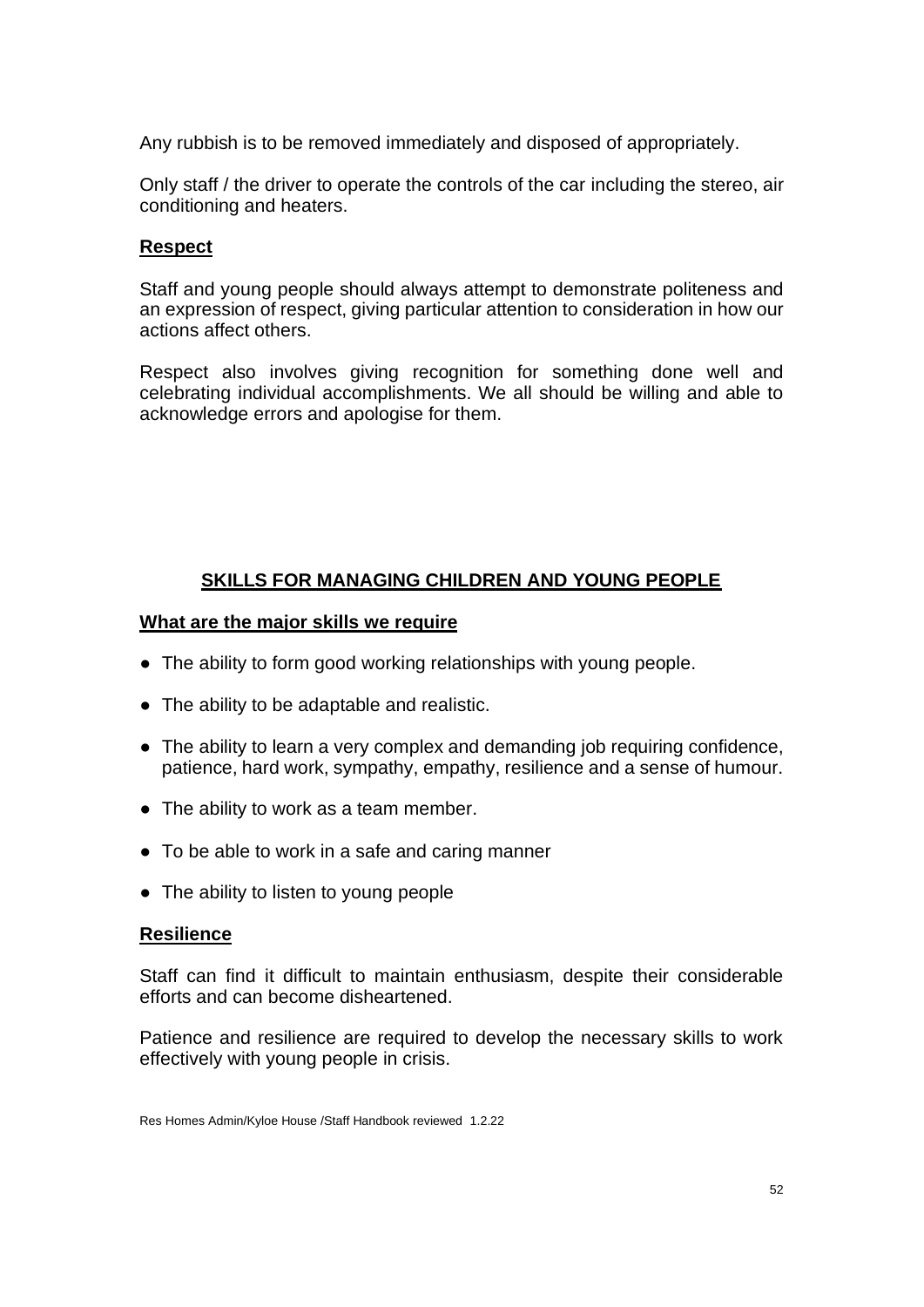Any rubbish is to be removed immediately and disposed of appropriately.

Only staff / the driver to operate the controls of the car including the stereo, air conditioning and heaters.

#### **Respect**

Staff and young people should always attempt to demonstrate politeness and an expression of respect, giving particular attention to consideration in how our actions affect others.

Respect also involves giving recognition for something done well and celebrating individual accomplishments. We all should be willing and able to acknowledge errors and apologise for them.

# **SKILLS FOR MANAGING CHILDREN AND YOUNG PEOPLE**

### **What are the major skills we require**

- The ability to form good working relationships with young people.
- The ability to be adaptable and realistic.
- The ability to learn a very complex and demanding job requiring confidence, patience, hard work, sympathy, empathy, resilience and a sense of humour.
- The ability to work as a team member.
- To be able to work in a safe and caring manner
- The ability to listen to young people

#### **Resilience**

Staff can find it difficult to maintain enthusiasm, despite their considerable efforts and can become disheartened.

Patience and resilience are required to develop the necessary skills to work effectively with young people in crisis.

Res Homes Admin/Kyloe House /Staff Handbook reviewed 1.2.22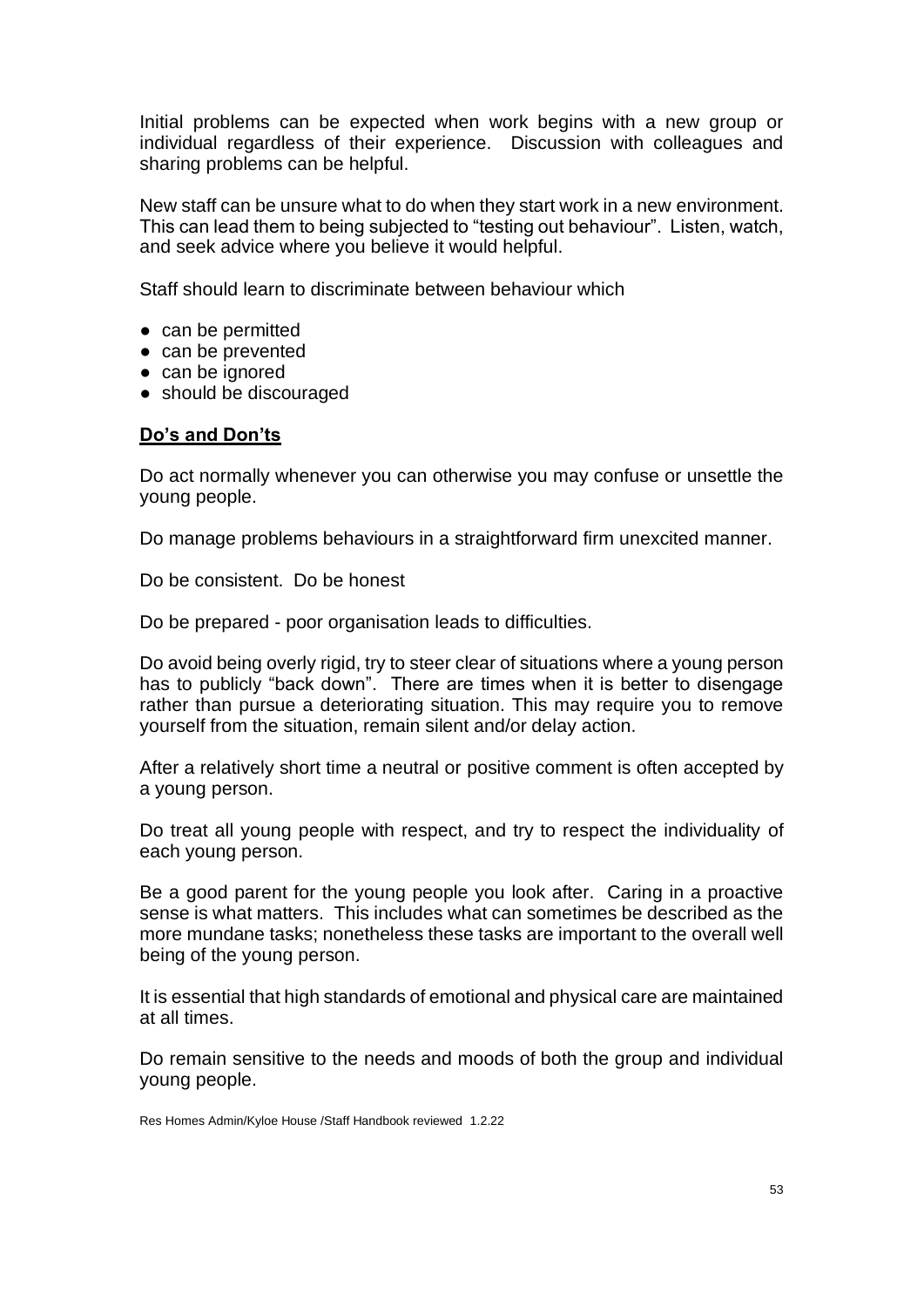Initial problems can be expected when work begins with a new group or individual regardless of their experience. Discussion with colleagues and sharing problems can be helpful.

New staff can be unsure what to do when they start work in a new environment. This can lead them to being subjected to "testing out behaviour". Listen, watch, and seek advice where you believe it would helpful.

Staff should learn to discriminate between behaviour which

- can be permitted
- can be prevented
- can be ignored
- should be discouraged

### **Do's and Don'ts**

Do act normally whenever you can otherwise you may confuse or unsettle the young people.

Do manage problems behaviours in a straightforward firm unexcited manner.

Do be consistent. Do be honest

Do be prepared - poor organisation leads to difficulties.

Do avoid being overly rigid, try to steer clear of situations where a young person has to publicly "back down". There are times when it is better to disengage rather than pursue a deteriorating situation. This may require you to remove yourself from the situation, remain silent and/or delay action.

After a relatively short time a neutral or positive comment is often accepted by a young person.

Do treat all young people with respect, and try to respect the individuality of each young person.

Be a good parent for the young people you look after. Caring in a proactive sense is what matters. This includes what can sometimes be described as the more mundane tasks; nonetheless these tasks are important to the overall well being of the young person.

It is essential that high standards of emotional and physical care are maintained at all times.

Do remain sensitive to the needs and moods of both the group and individual young people.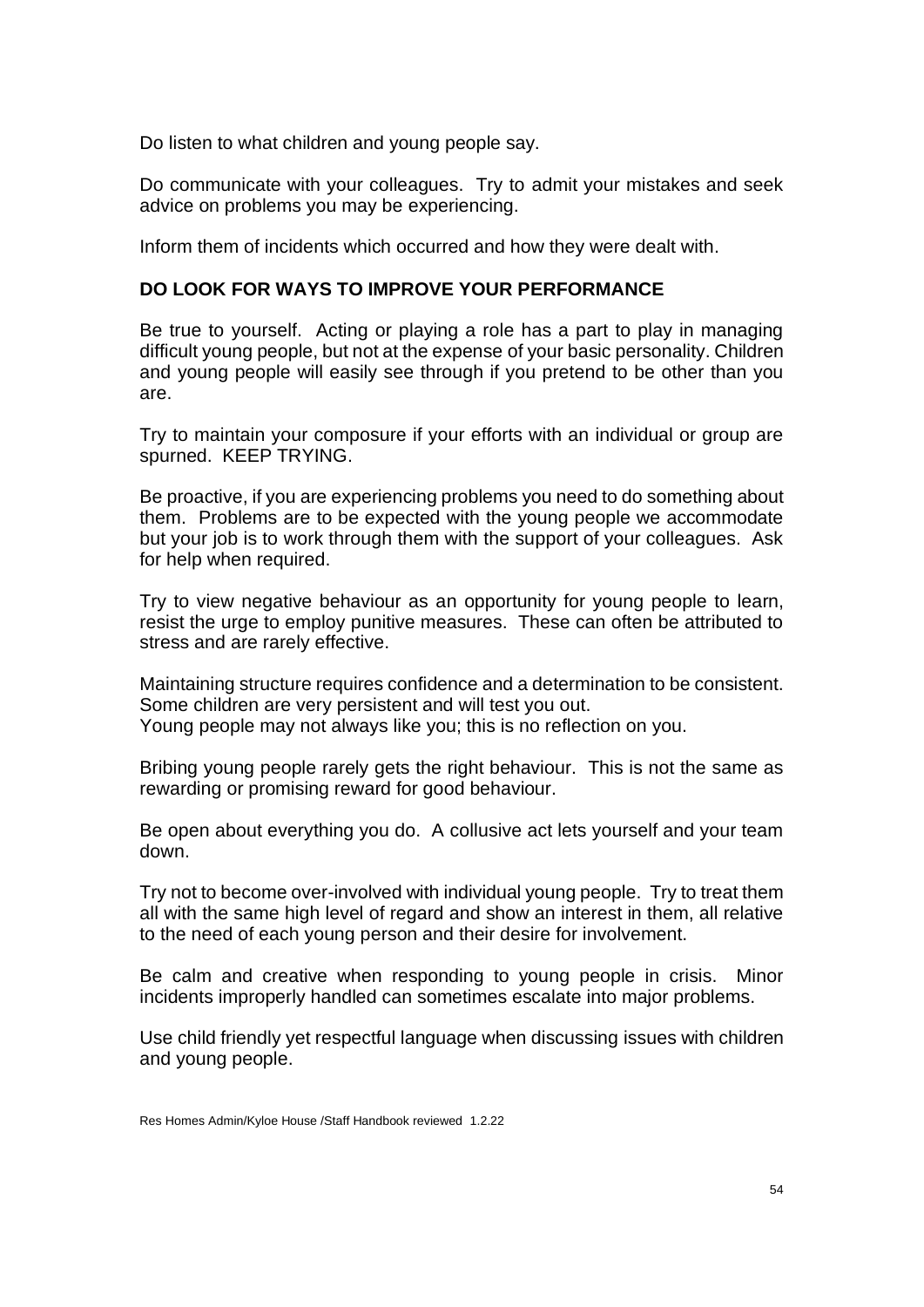Do listen to what children and young people say.

Do communicate with your colleagues. Try to admit your mistakes and seek advice on problems you may be experiencing.

Inform them of incidents which occurred and how they were dealt with.

# **DO LOOK FOR WAYS TO IMPROVE YOUR PERFORMANCE**

Be true to yourself. Acting or playing a role has a part to play in managing difficult young people, but not at the expense of your basic personality. Children and young people will easily see through if you pretend to be other than you are.

Try to maintain your composure if your efforts with an individual or group are spurned. KEEP TRYING.

Be proactive, if you are experiencing problems you need to do something about them. Problems are to be expected with the young people we accommodate but your job is to work through them with the support of your colleagues. Ask for help when required.

Try to view negative behaviour as an opportunity for young people to learn, resist the urge to employ punitive measures. These can often be attributed to stress and are rarely effective.

Maintaining structure requires confidence and a determination to be consistent. Some children are very persistent and will test you out. Young people may not always like you; this is no reflection on you.

Bribing young people rarely gets the right behaviour. This is not the same as rewarding or promising reward for good behaviour.

Be open about everything you do. A collusive act lets yourself and your team down.

Try not to become over-involved with individual young people. Try to treat them all with the same high level of regard and show an interest in them, all relative to the need of each young person and their desire for involvement.

Be calm and creative when responding to young people in crisis. Minor incidents improperly handled can sometimes escalate into major problems.

Use child friendly yet respectful language when discussing issues with children and young people.

Res Homes Admin/Kyloe House /Staff Handbook reviewed 1.2.22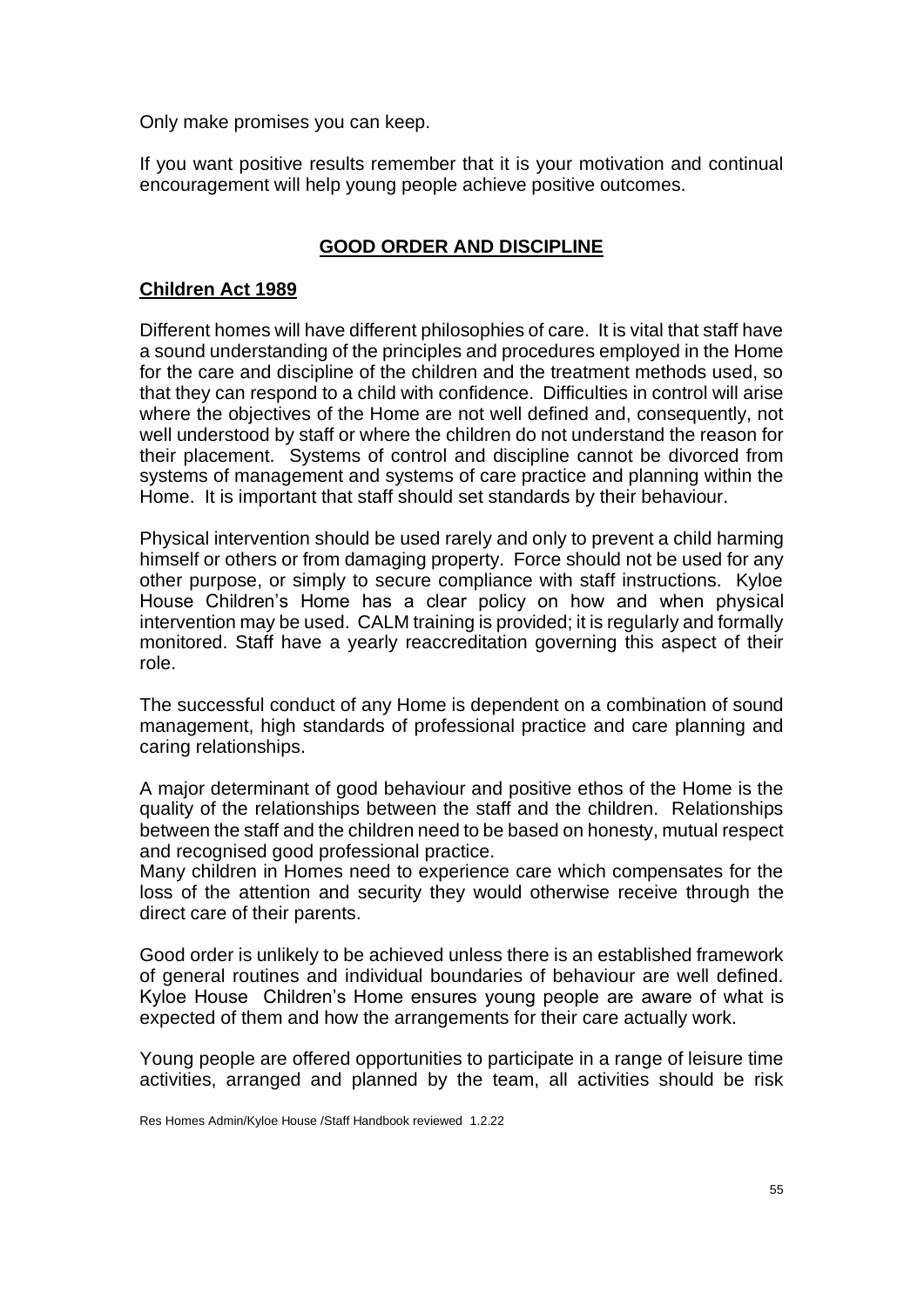Only make promises you can keep.

If you want positive results remember that it is your motivation and continual encouragement will help young people achieve positive outcomes.

# **GOOD ORDER AND DISCIPLINE**

## **Children Act 1989**

Different homes will have different philosophies of care. It is vital that staff have a sound understanding of the principles and procedures employed in the Home for the care and discipline of the children and the treatment methods used, so that they can respond to a child with confidence. Difficulties in control will arise where the objectives of the Home are not well defined and, consequently, not well understood by staff or where the children do not understand the reason for their placement. Systems of control and discipline cannot be divorced from systems of management and systems of care practice and planning within the Home. It is important that staff should set standards by their behaviour.

Physical intervention should be used rarely and only to prevent a child harming himself or others or from damaging property. Force should not be used for any other purpose, or simply to secure compliance with staff instructions. Kyloe House Children's Home has a clear policy on how and when physical intervention may be used. CALM training is provided; it is regularly and formally monitored. Staff have a yearly reaccreditation governing this aspect of their role.

The successful conduct of any Home is dependent on a combination of sound management, high standards of professional practice and care planning and caring relationships.

A major determinant of good behaviour and positive ethos of the Home is the quality of the relationships between the staff and the children. Relationships between the staff and the children need to be based on honesty, mutual respect and recognised good professional practice.

Many children in Homes need to experience care which compensates for the loss of the attention and security they would otherwise receive through the direct care of their parents.

Good order is unlikely to be achieved unless there is an established framework of general routines and individual boundaries of behaviour are well defined. Kyloe House Children's Home ensures young people are aware of what is expected of them and how the arrangements for their care actually work.

Young people are offered opportunities to participate in a range of leisure time activities, arranged and planned by the team, all activities should be risk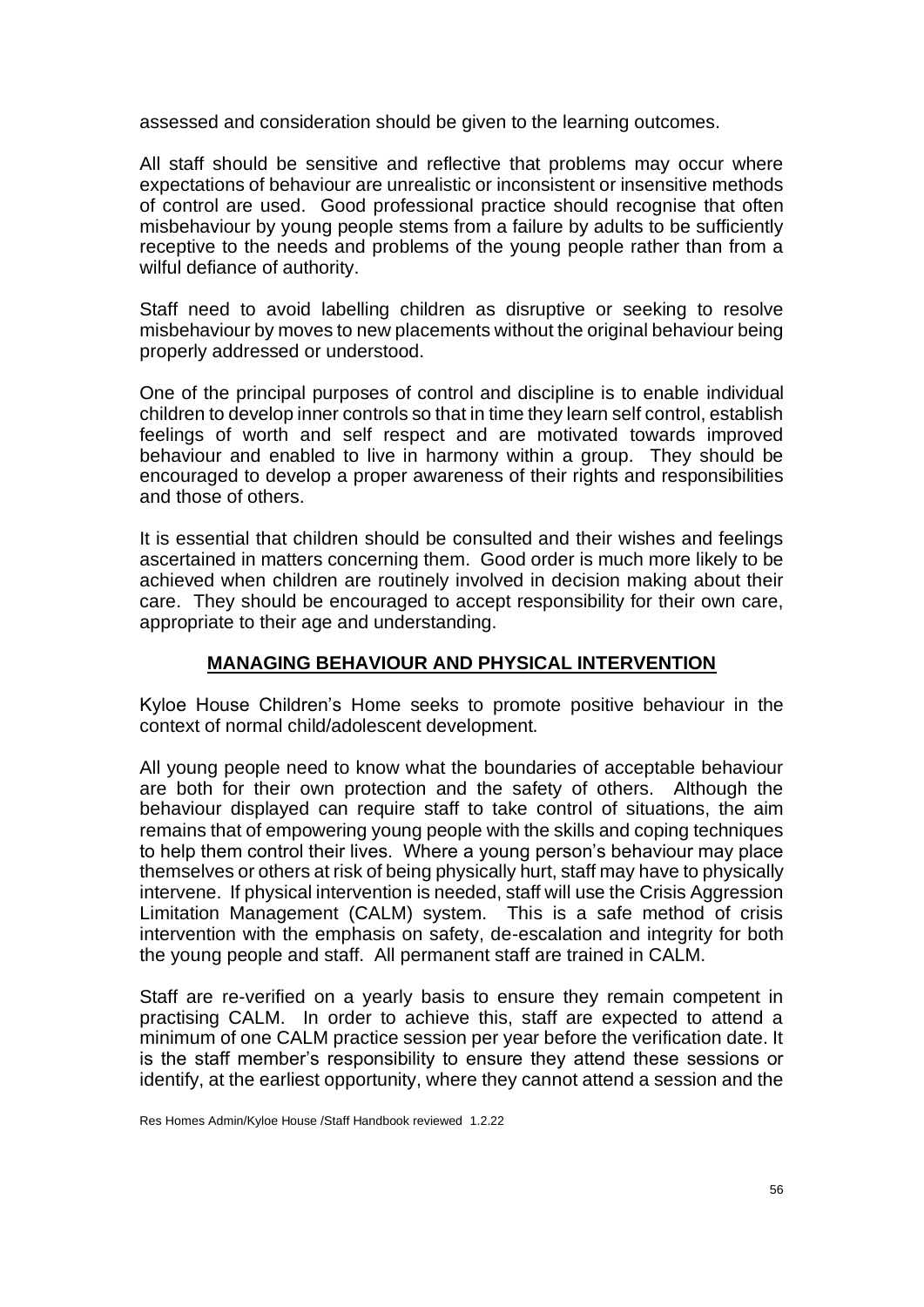assessed and consideration should be given to the learning outcomes.

All staff should be sensitive and reflective that problems may occur where expectations of behaviour are unrealistic or inconsistent or insensitive methods of control are used. Good professional practice should recognise that often misbehaviour by young people stems from a failure by adults to be sufficiently receptive to the needs and problems of the young people rather than from a wilful defiance of authority.

Staff need to avoid labelling children as disruptive or seeking to resolve misbehaviour by moves to new placements without the original behaviour being properly addressed or understood.

One of the principal purposes of control and discipline is to enable individual children to develop inner controls so that in time they learn self control, establish feelings of worth and self respect and are motivated towards improved behaviour and enabled to live in harmony within a group. They should be encouraged to develop a proper awareness of their rights and responsibilities and those of others.

It is essential that children should be consulted and their wishes and feelings ascertained in matters concerning them. Good order is much more likely to be achieved when children are routinely involved in decision making about their care. They should be encouraged to accept responsibility for their own care, appropriate to their age and understanding.

## **MANAGING BEHAVIOUR AND PHYSICAL INTERVENTION**

Kyloe House Children's Home seeks to promote positive behaviour in the context of normal child/adolescent development.

All young people need to know what the boundaries of acceptable behaviour are both for their own protection and the safety of others. Although the behaviour displayed can require staff to take control of situations, the aim remains that of empowering young people with the skills and coping techniques to help them control their lives. Where a young person's behaviour may place themselves or others at risk of being physically hurt, staff may have to physically intervene. If physical intervention is needed, staff will use the Crisis Aggression Limitation Management (CALM) system. This is a safe method of crisis intervention with the emphasis on safety, de-escalation and integrity for both the young people and staff. All permanent staff are trained in CALM.

Staff are re-verified on a yearly basis to ensure they remain competent in practising CALM. In order to achieve this, staff are expected to attend a minimum of one CALM practice session per year before the verification date. It is the staff member's responsibility to ensure they attend these sessions or identify, at the earliest opportunity, where they cannot attend a session and the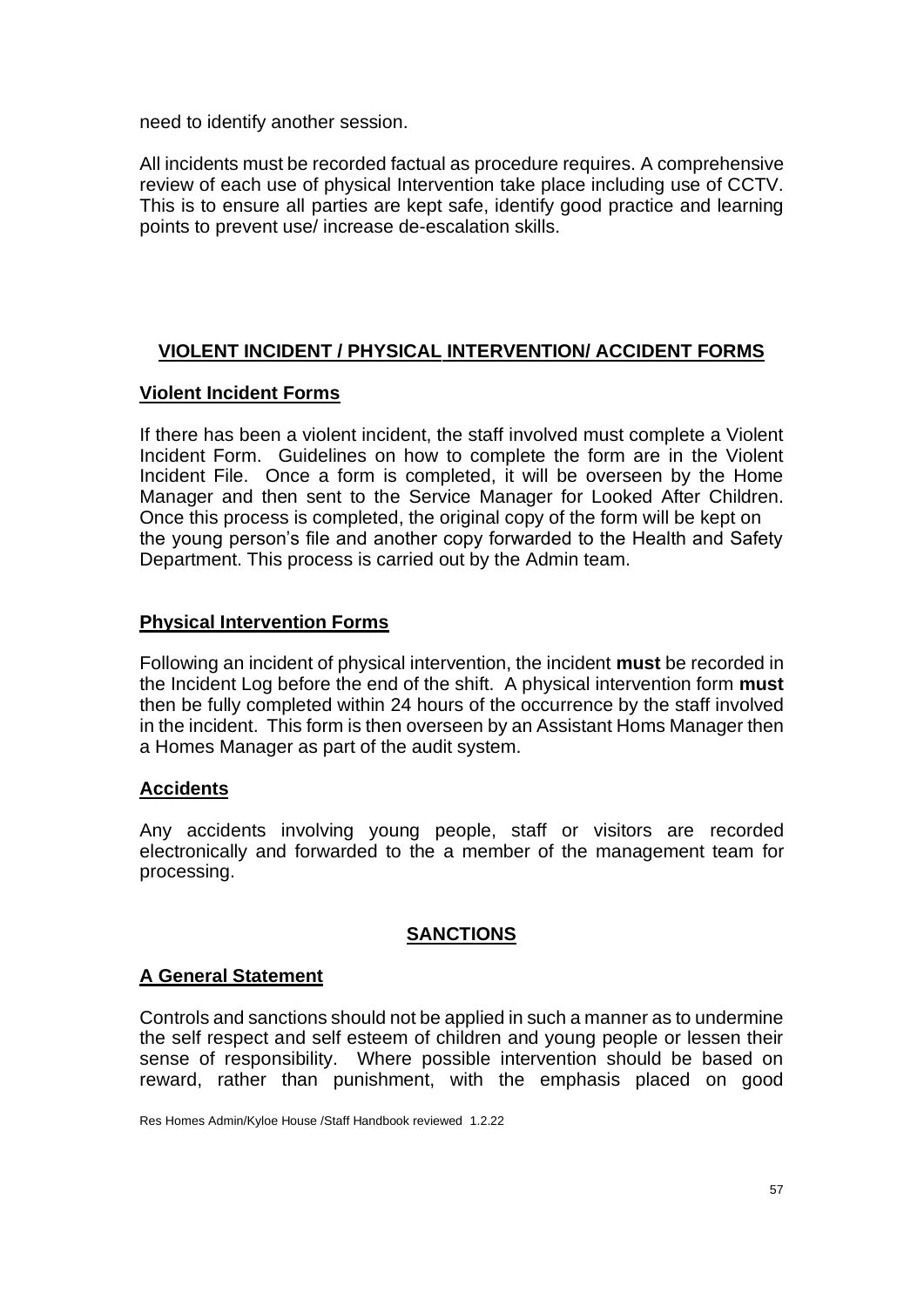need to identify another session.

All incidents must be recorded factual as procedure requires. A comprehensive review of each use of physical Intervention take place including use of CCTV. This is to ensure all parties are kept safe, identify good practice and learning points to prevent use/ increase de-escalation skills.

# **VIOLENT INCIDENT / PHYSICAL INTERVENTION/ ACCIDENT FORMS**

## **Violent Incident Forms**

If there has been a violent incident, the staff involved must complete a Violent Incident Form. Guidelines on how to complete the form are in the Violent Incident File. Once a form is completed, it will be overseen by the Home Manager and then sent to the Service Manager for Looked After Children. Once this process is completed, the original copy of the form will be kept on the young person's file and another copy forwarded to the Health and Safety Department. This process is carried out by the Admin team.

## **Physical Intervention Forms**

Following an incident of physical intervention, the incident **must** be recorded in the Incident Log before the end of the shift. A physical intervention form **must** then be fully completed within 24 hours of the occurrence by the staff involved in the incident. This form is then overseen by an Assistant Homs Manager then a Homes Manager as part of the audit system.

# **Accidents**

Any accidents involving young people, staff or visitors are recorded electronically and forwarded to the a member of the management team for processing.

# **SANCTIONS**

## **A General Statement**

Controls and sanctions should not be applied in such a manner as to undermine the self respect and self esteem of children and young people or lessen their sense of responsibility. Where possible intervention should be based on reward, rather than punishment, with the emphasis placed on good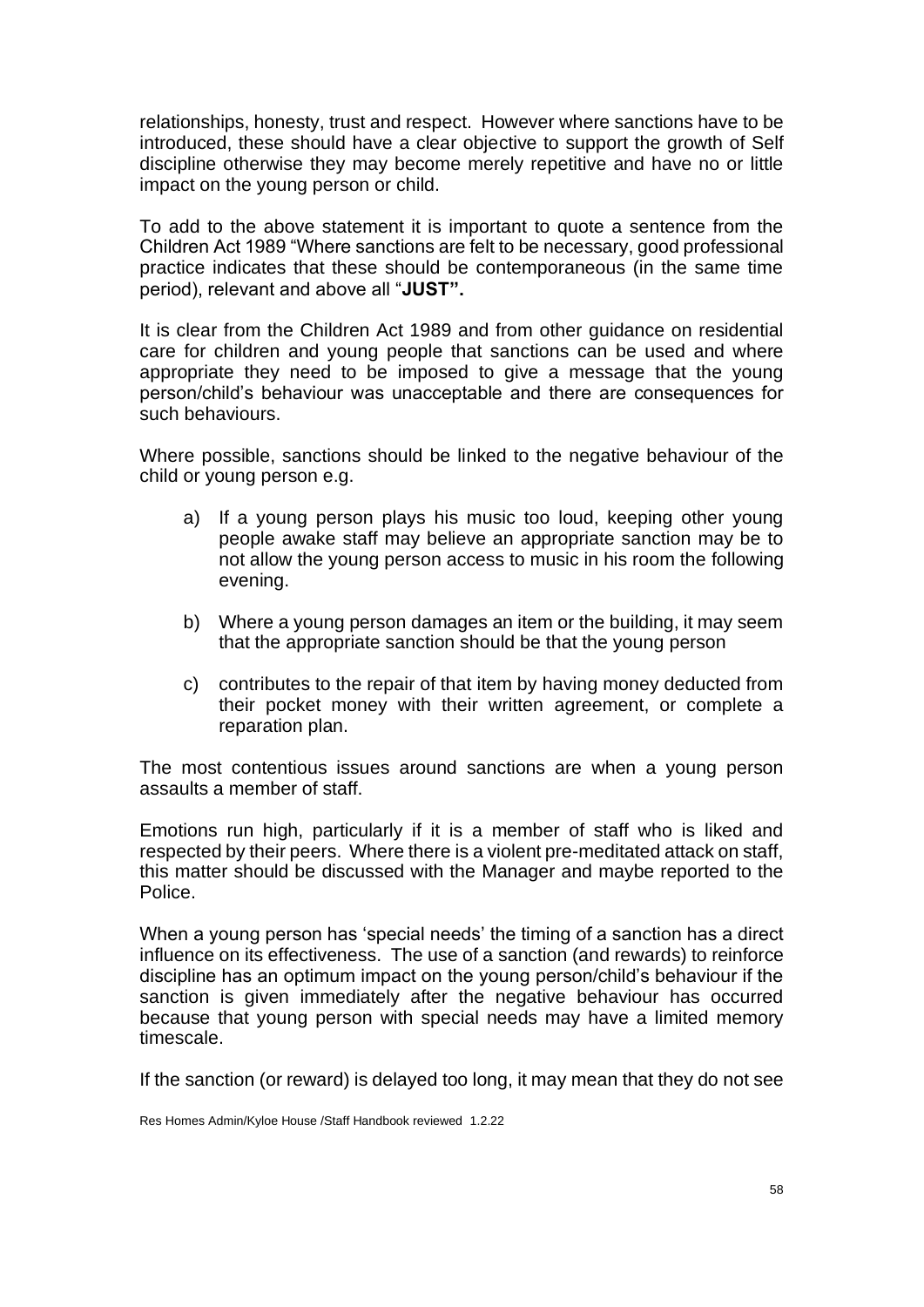relationships, honesty, trust and respect. However where sanctions have to be introduced, these should have a clear objective to support the growth of Self discipline otherwise they may become merely repetitive and have no or little impact on the young person or child.

To add to the above statement it is important to quote a sentence from the Children Act 1989 "Where sanctions are felt to be necessary, good professional practice indicates that these should be contemporaneous (in the same time period), relevant and above all "**JUST".**

It is clear from the Children Act 1989 and from other guidance on residential care for children and young people that sanctions can be used and where appropriate they need to be imposed to give a message that the young person/child's behaviour was unacceptable and there are consequences for such behaviours.

Where possible, sanctions should be linked to the negative behaviour of the child or young person e.g.

- a) If a young person plays his music too loud, keeping other young people awake staff may believe an appropriate sanction may be to not allow the young person access to music in his room the following evening.
- b) Where a young person damages an item or the building, it may seem that the appropriate sanction should be that the young person
- c) contributes to the repair of that item by having money deducted from their pocket money with their written agreement, or complete a reparation plan.

The most contentious issues around sanctions are when a young person assaults a member of staff.

Emotions run high, particularly if it is a member of staff who is liked and respected by their peers. Where there is a violent pre-meditated attack on staff, this matter should be discussed with the Manager and maybe reported to the Police.

When a young person has 'special needs' the timing of a sanction has a direct influence on its effectiveness. The use of a sanction (and rewards) to reinforce discipline has an optimum impact on the young person/child's behaviour if the sanction is given immediately after the negative behaviour has occurred because that young person with special needs may have a limited memory timescale.

If the sanction (or reward) is delayed too long, it may mean that they do not see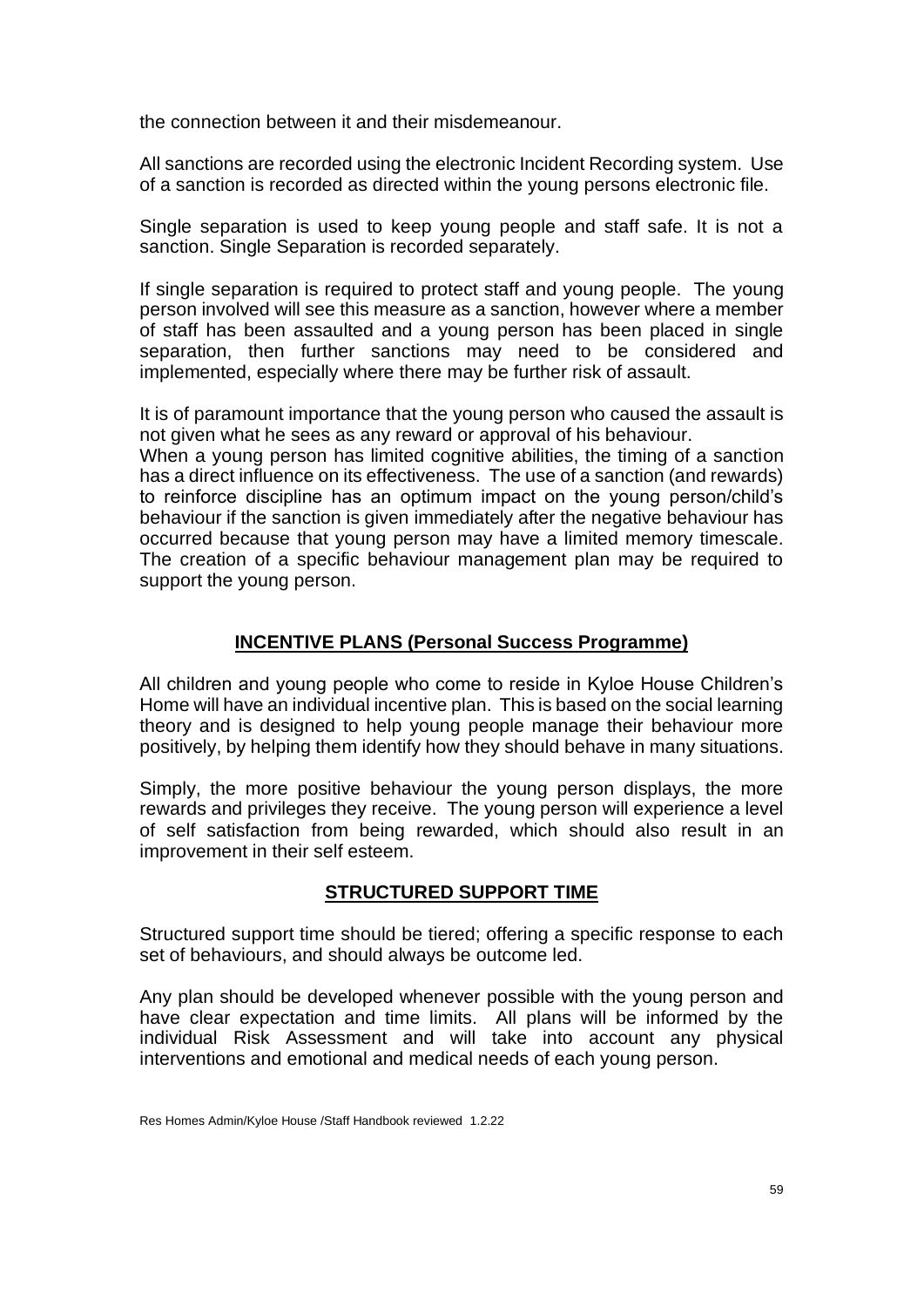the connection between it and their misdemeanour.

All sanctions are recorded using the electronic Incident Recording system. Use of a sanction is recorded as directed within the young persons electronic file.

Single separation is used to keep young people and staff safe. It is not a sanction. Single Separation is recorded separately.

If single separation is required to protect staff and young people. The young person involved will see this measure as a sanction, however where a member of staff has been assaulted and a young person has been placed in single separation, then further sanctions may need to be considered and implemented, especially where there may be further risk of assault.

It is of paramount importance that the young person who caused the assault is not given what he sees as any reward or approval of his behaviour.

When a young person has limited cognitive abilities, the timing of a sanction has a direct influence on its effectiveness. The use of a sanction (and rewards) to reinforce discipline has an optimum impact on the young person/child's behaviour if the sanction is given immediately after the negative behaviour has occurred because that young person may have a limited memory timescale. The creation of a specific behaviour management plan may be required to support the young person.

## **INCENTIVE PLANS (Personal Success Programme)**

All children and young people who come to reside in Kyloe House Children's Home will have an individual incentive plan. This is based on the social learning theory and is designed to help young people manage their behaviour more positively, by helping them identify how they should behave in many situations.

Simply, the more positive behaviour the young person displays, the more rewards and privileges they receive. The young person will experience a level of self satisfaction from being rewarded, which should also result in an improvement in their self esteem.

## **STRUCTURED SUPPORT TIME**

Structured support time should be tiered; offering a specific response to each set of behaviours, and should always be outcome led.

Any plan should be developed whenever possible with the young person and have clear expectation and time limits. All plans will be informed by the individual Risk Assessment and will take into account any physical interventions and emotional and medical needs of each young person.

Res Homes Admin/Kyloe House /Staff Handbook reviewed 1.2.22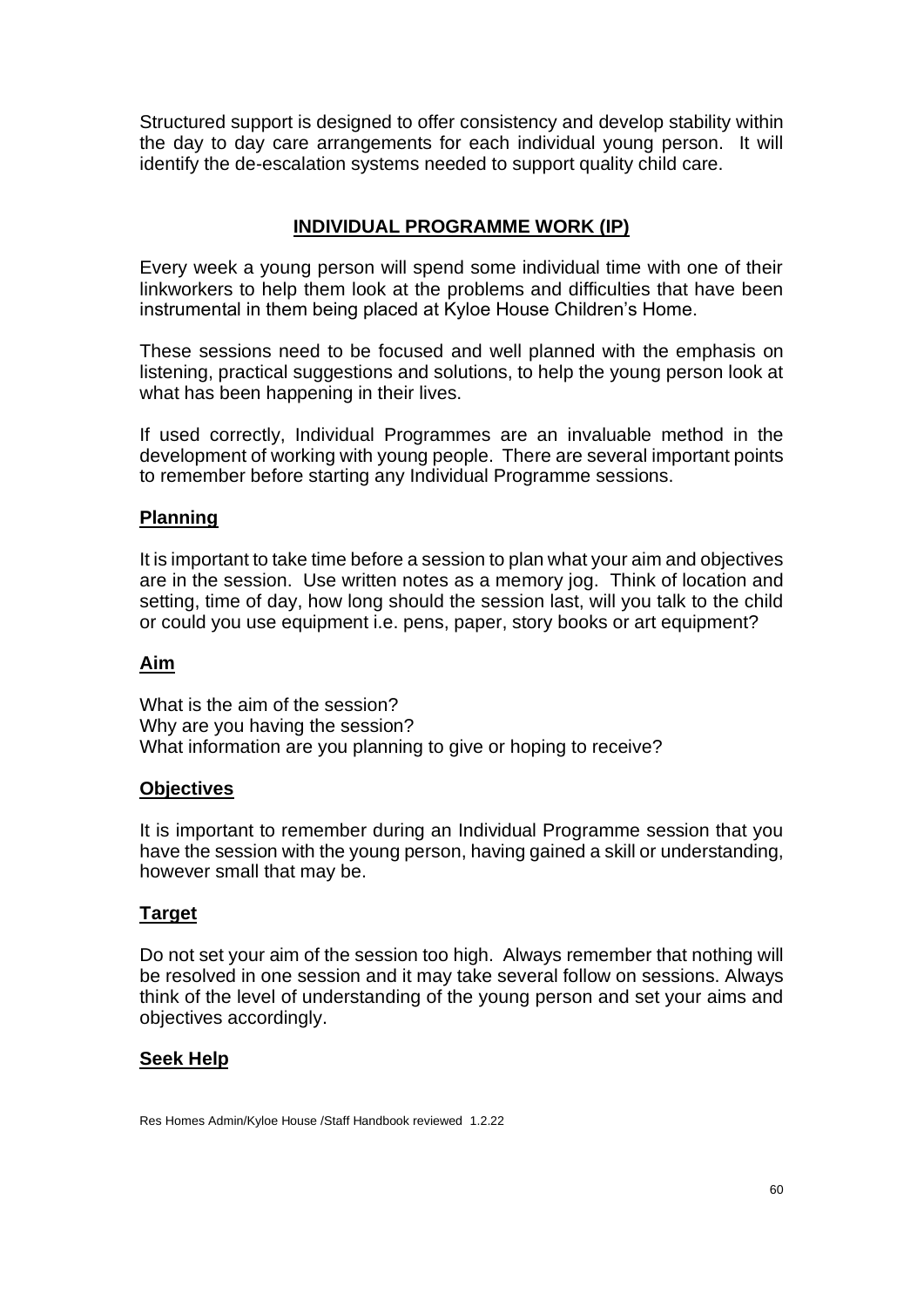Structured support is designed to offer consistency and develop stability within the day to day care arrangements for each individual young person. It will identify the de-escalation systems needed to support quality child care.

# **INDIVIDUAL PROGRAMME WORK (IP)**

Every week a young person will spend some individual time with one of their linkworkers to help them look at the problems and difficulties that have been instrumental in them being placed at Kyloe House Children's Home.

These sessions need to be focused and well planned with the emphasis on listening, practical suggestions and solutions, to help the young person look at what has been happening in their lives.

If used correctly, Individual Programmes are an invaluable method in the development of working with young people. There are several important points to remember before starting any Individual Programme sessions.

### **Planning**

It is important to take time before a session to plan what your aim and objectives are in the session. Use written notes as a memory jog. Think of location and setting, time of day, how long should the session last, will you talk to the child or could you use equipment i.e. pens, paper, story books or art equipment?

## **Aim**

What is the aim of the session? Why are you having the session? What information are you planning to give or hoping to receive?

#### **Objectives**

It is important to remember during an Individual Programme session that you have the session with the young person, having gained a skill or understanding, however small that may be.

## **Target**

Do not set your aim of the session too high. Always remember that nothing will be resolved in one session and it may take several follow on sessions. Always think of the level of understanding of the young person and set your aims and objectives accordingly.

#### **Seek Help**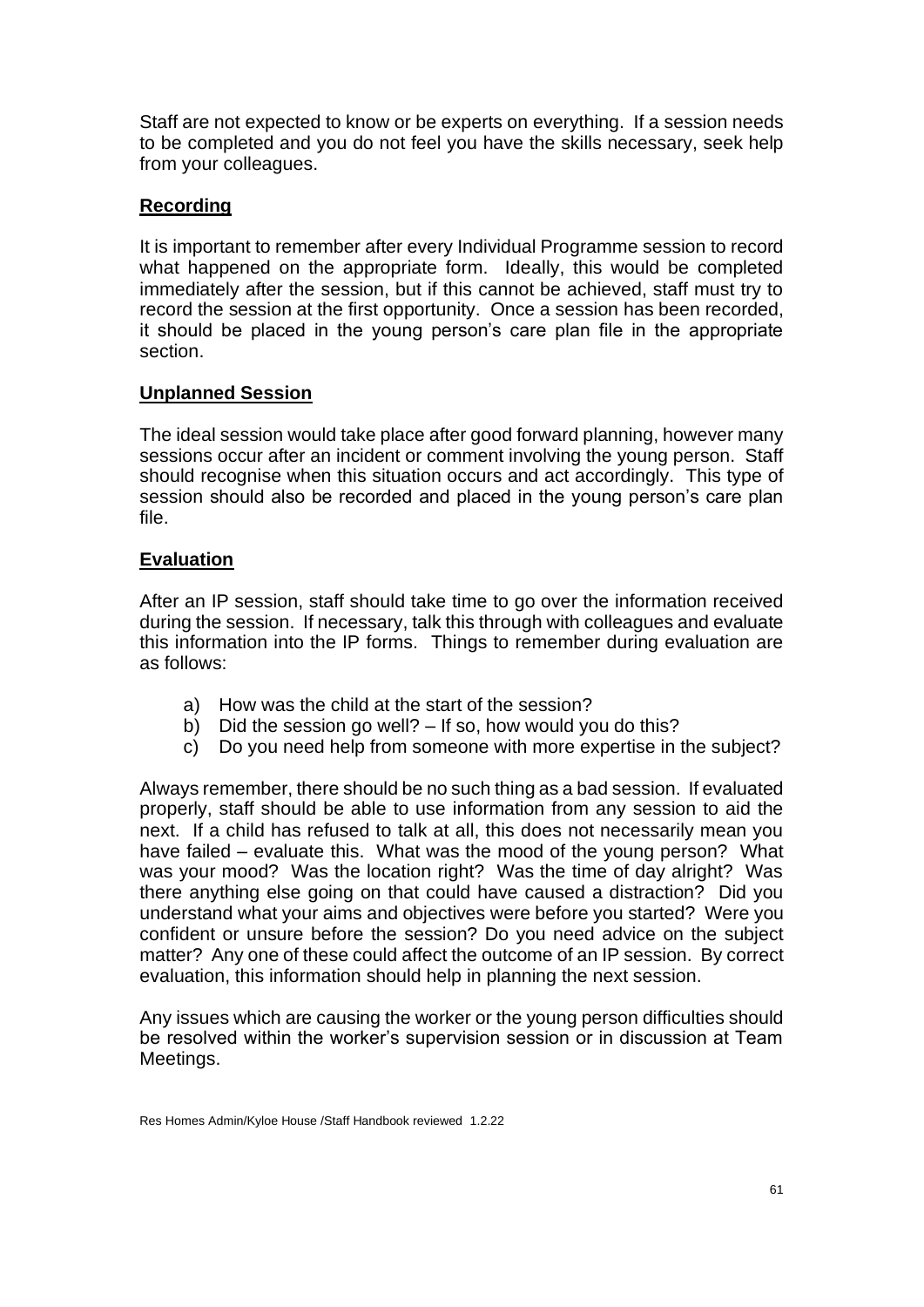Staff are not expected to know or be experts on everything. If a session needs to be completed and you do not feel you have the skills necessary, seek help from your colleagues.

## **Recording**

It is important to remember after every Individual Programme session to record what happened on the appropriate form. Ideally, this would be completed immediately after the session, but if this cannot be achieved, staff must try to record the session at the first opportunity. Once a session has been recorded, it should be placed in the young person's care plan file in the appropriate section.

## **Unplanned Session**

The ideal session would take place after good forward planning, however many sessions occur after an incident or comment involving the young person. Staff should recognise when this situation occurs and act accordingly. This type of session should also be recorded and placed in the young person's care plan file.

## **Evaluation**

After an IP session, staff should take time to go over the information received during the session. If necessary, talk this through with colleagues and evaluate this information into the IP forms. Things to remember during evaluation are as follows:

- a) How was the child at the start of the session?
- b) Did the session go well? If so, how would you do this?
- c) Do you need help from someone with more expertise in the subject?

Always remember, there should be no such thing as a bad session. If evaluated properly, staff should be able to use information from any session to aid the next. If a child has refused to talk at all, this does not necessarily mean you have failed – evaluate this. What was the mood of the young person? What was your mood? Was the location right? Was the time of day alright? Was there anything else going on that could have caused a distraction? Did you understand what your aims and objectives were before you started? Were you confident or unsure before the session? Do you need advice on the subject matter? Any one of these could affect the outcome of an IP session. By correct evaluation, this information should help in planning the next session.

Any issues which are causing the worker or the young person difficulties should be resolved within the worker's supervision session or in discussion at Team Meetings.

Res Homes Admin/Kyloe House /Staff Handbook reviewed 1.2.22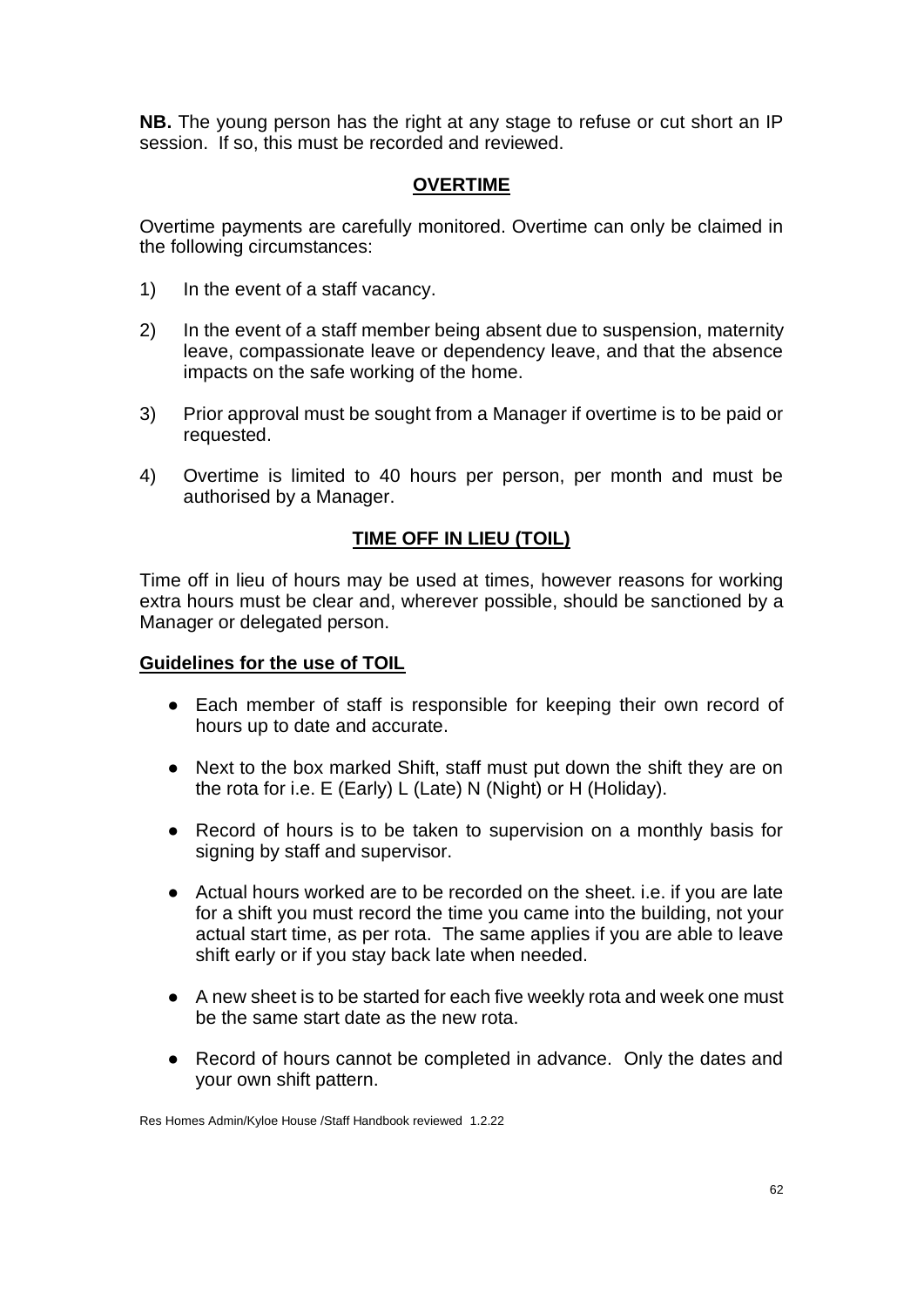**NB.** The young person has the right at any stage to refuse or cut short an IP session. If so, this must be recorded and reviewed.

## **OVERTIME**

Overtime payments are carefully monitored. Overtime can only be claimed in the following circumstances:

- 1) In the event of a staff vacancy.
- 2) In the event of a staff member being absent due to suspension, maternity leave, compassionate leave or dependency leave, and that the absence impacts on the safe working of the home.
- 3) Prior approval must be sought from a Manager if overtime is to be paid or requested.
- 4) Overtime is limited to 40 hours per person, per month and must be authorised by a Manager.

## **TIME OFF IN LIEU (TOIL)**

Time off in lieu of hours may be used at times, however reasons for working extra hours must be clear and, wherever possible, should be sanctioned by a Manager or delegated person.

#### **Guidelines for the use of TOIL**

- Each member of staff is responsible for keeping their own record of hours up to date and accurate.
- Next to the box marked Shift, staff must put down the shift they are on the rota for i.e. E (Early) L (Late) N (Night) or H (Holiday).
- Record of hours is to be taken to supervision on a monthly basis for signing by staff and supervisor.
- Actual hours worked are to be recorded on the sheet. i.e. if you are late for a shift you must record the time you came into the building, not your actual start time, as per rota. The same applies if you are able to leave shift early or if you stay back late when needed.
- A new sheet is to be started for each five weekly rota and week one must be the same start date as the new rota.
- Record of hours cannot be completed in advance. Only the dates and your own shift pattern.

Res Homes Admin/Kyloe House /Staff Handbook reviewed 1.2.22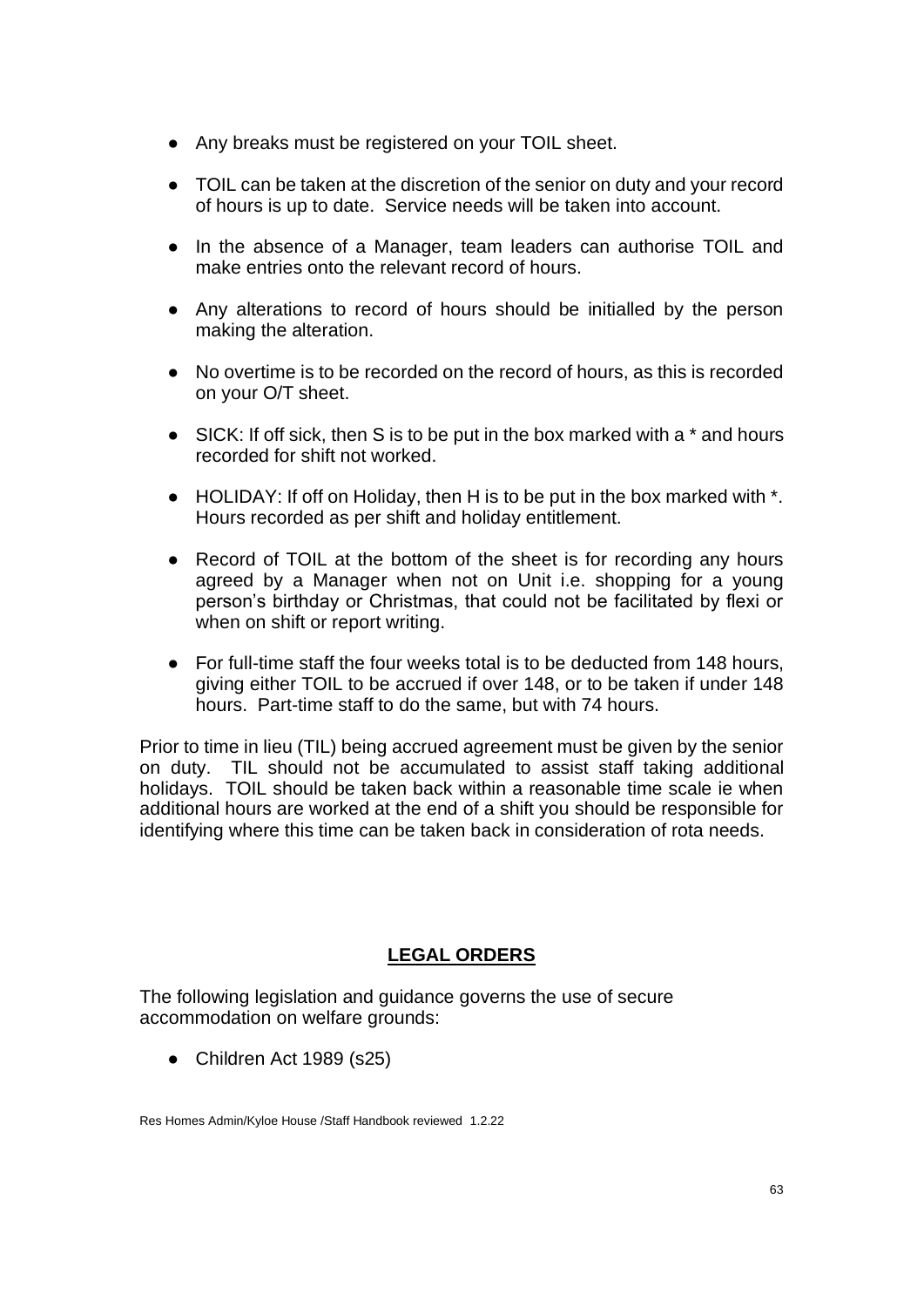- Any breaks must be registered on your TOIL sheet.
- TOIL can be taken at the discretion of the senior on duty and your record of hours is up to date. Service needs will be taken into account.
- In the absence of a Manager, team leaders can authorise TOIL and make entries onto the relevant record of hours.
- Any alterations to record of hours should be initialled by the person making the alteration.
- No overtime is to be recorded on the record of hours, as this is recorded on your O/T sheet.
- SICK: If off sick, then S is to be put in the box marked with a <sup>\*</sup> and hours recorded for shift not worked.
- HOLIDAY: If off on Holiday, then H is to be put in the box marked with  $*$ . Hours recorded as per shift and holiday entitlement.
- Record of TOIL at the bottom of the sheet is for recording any hours agreed by a Manager when not on Unit i.e. shopping for a young person's birthday or Christmas, that could not be facilitated by flexi or when on shift or report writing.
- For full-time staff the four weeks total is to be deducted from 148 hours, giving either TOIL to be accrued if over 148, or to be taken if under 148 hours. Part-time staff to do the same, but with 74 hours.

Prior to time in lieu (TIL) being accrued agreement must be given by the senior on duty. TIL should not be accumulated to assist staff taking additional holidays. TOIL should be taken back within a reasonable time scale ie when additional hours are worked at the end of a shift you should be responsible for identifying where this time can be taken back in consideration of rota needs.

# **LEGAL ORDERS**

The following legislation and guidance governs the use of secure accommodation on welfare grounds:

• Children Act 1989 (s25)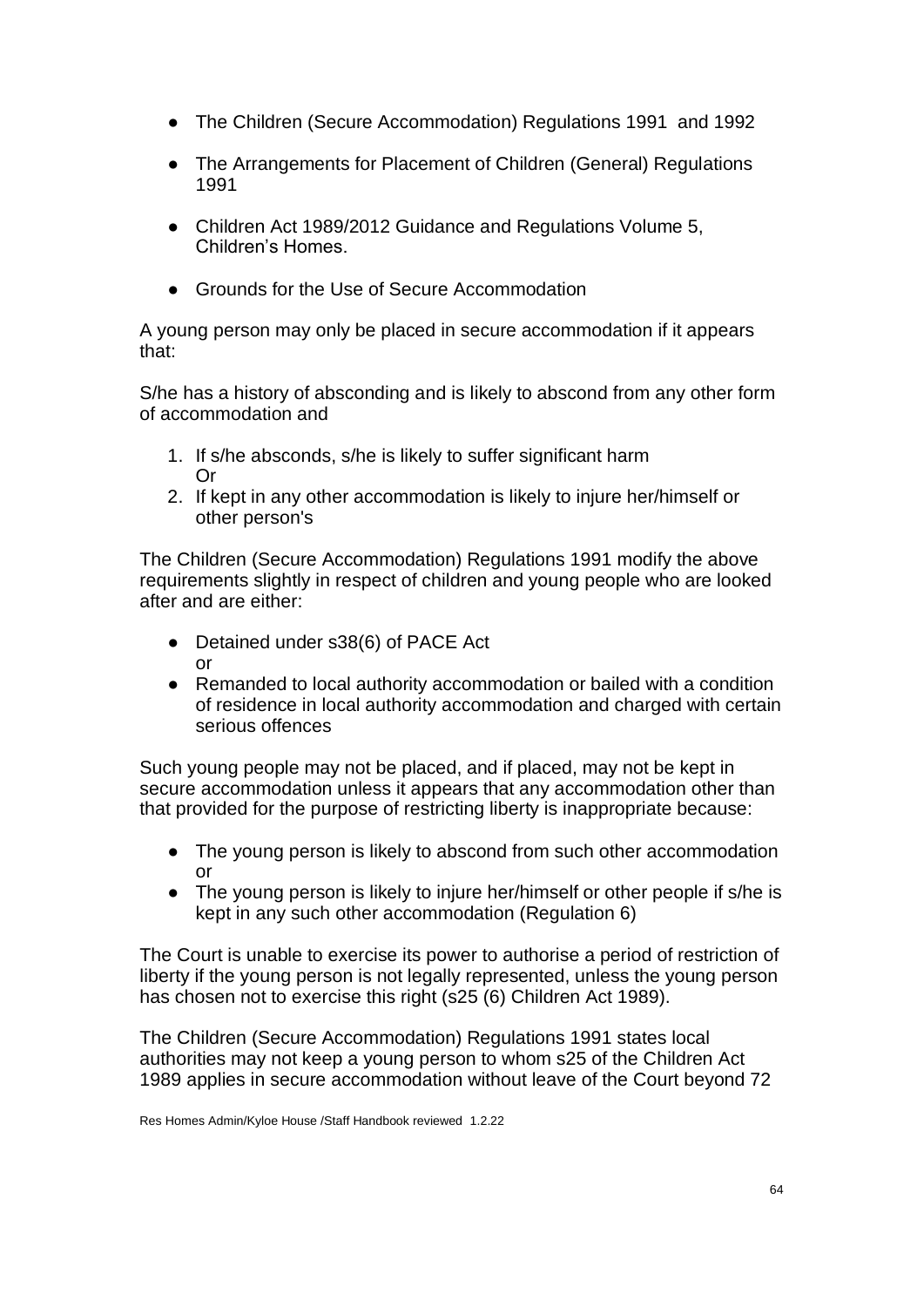- The Children (Secure Accommodation) Regulations 1991 and 1992
- The Arrangements for Placement of Children (General) Regulations 1991
- Children Act 1989/2012 Guidance and Regulations Volume 5, Children's Homes.
- Grounds for the Use of Secure Accommodation

A young person may only be placed in secure accommodation if it appears that:

S/he has a history of absconding and is likely to abscond from any other form of accommodation and

- 1. If s/he absconds, s/he is likely to suffer significant harm Or
- 2. If kept in any other accommodation is likely to injure her/himself or other person's

The Children (Secure Accommodation) Regulations 1991 modify the above requirements slightly in respect of children and young people who are looked after and are either:

- Detained under s38(6) of PACE Act or
- Remanded to local authority accommodation or bailed with a condition of residence in local authority accommodation and charged with certain serious offences

Such young people may not be placed, and if placed, may not be kept in secure accommodation unless it appears that any accommodation other than that provided for the purpose of restricting liberty is inappropriate because:

- The young person is likely to abscond from such other accommodation or
- The young person is likely to injure her/himself or other people if s/he is kept in any such other accommodation (Regulation 6)

The Court is unable to exercise its power to authorise a period of restriction of liberty if the young person is not legally represented, unless the young person has chosen not to exercise this right (s25 (6) Children Act 1989).

The Children (Secure Accommodation) Regulations 1991 states local authorities may not keep a young person to whom s25 of the Children Act 1989 applies in secure accommodation without leave of the Court beyond 72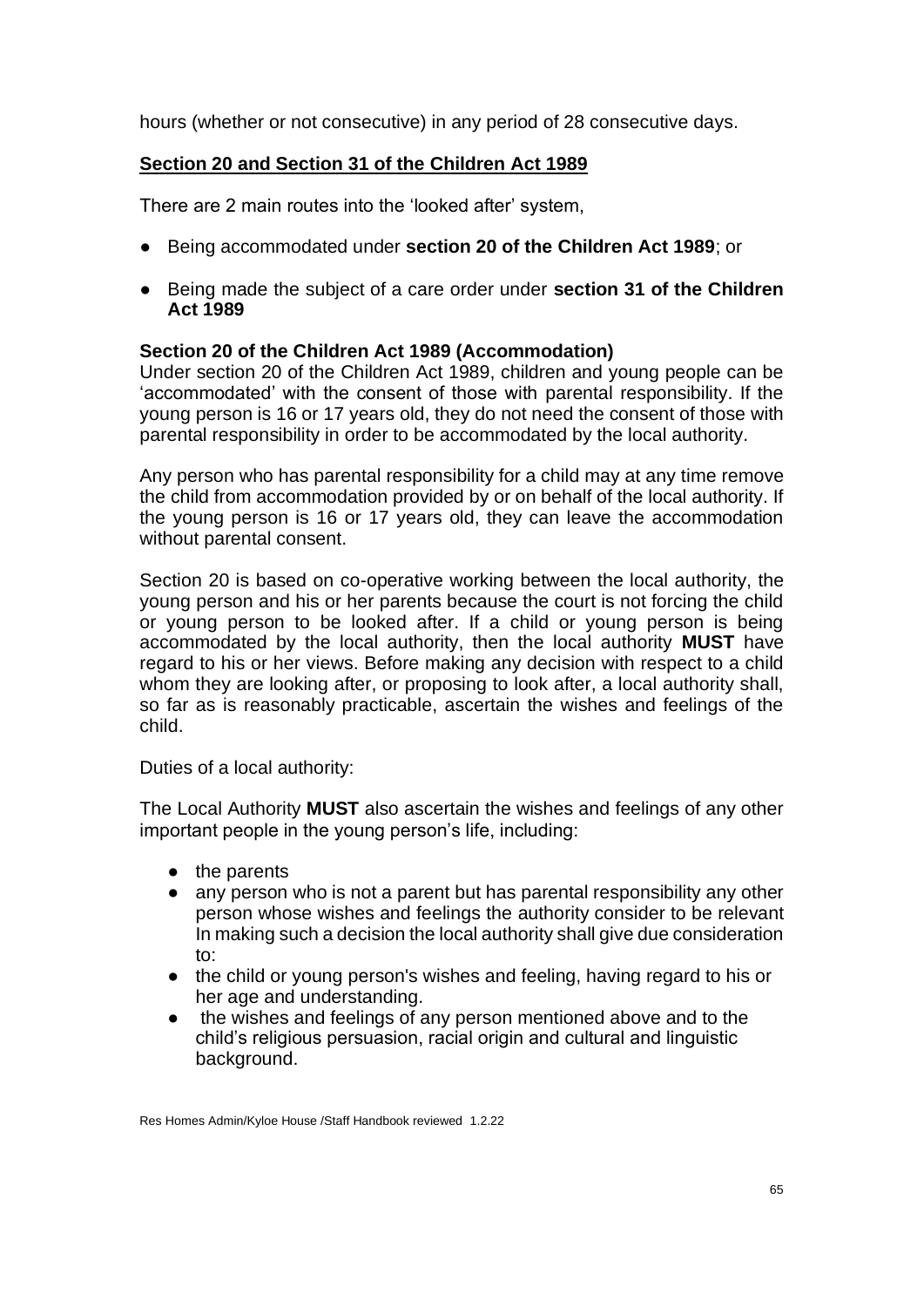hours (whether or not consecutive) in any period of 28 consecutive days.

## **Section 20 and Section 31 of the Children Act 1989**

There are 2 main routes into the 'looked after' system,

- Being accommodated under **section 20 of the Children Act 1989**; or
- Being made the subject of a care order under **section 31 of the Children Act 1989**

## **Section 20 of the Children Act 1989 (Accommodation)**

Under section 20 of the Children Act 1989, children and young people can be 'accommodated' with the consent of those with parental responsibility. If the young person is 16 or 17 years old, they do not need the consent of those with parental responsibility in order to be accommodated by the local authority.

Any person who has parental responsibility for a child may at any time remove the child from accommodation provided by or on behalf of the local authority. If the young person is 16 or 17 years old, they can leave the accommodation without parental consent.

Section 20 is based on co-operative working between the local authority, the young person and his or her parents because the court is not forcing the child or young person to be looked after. If a child or young person is being accommodated by the local authority, then the local authority **MUST** have regard to his or her views. Before making any decision with respect to a child whom they are looking after, or proposing to look after, a local authority shall, so far as is reasonably practicable, ascertain the wishes and feelings of the child.

#### Duties of a local authority:

The Local Authority **MUST** also ascertain the wishes and feelings of any other important people in the young person's life, including:

- the parents
- any person who is not a parent but has parental responsibility any other person whose wishes and feelings the authority consider to be relevant In making such a decision the local authority shall give due consideration to:
- the child or young person's wishes and feeling, having regard to his or her age and understanding.
- the wishes and feelings of any person mentioned above and to the child's religious persuasion, racial origin and cultural and linguistic background.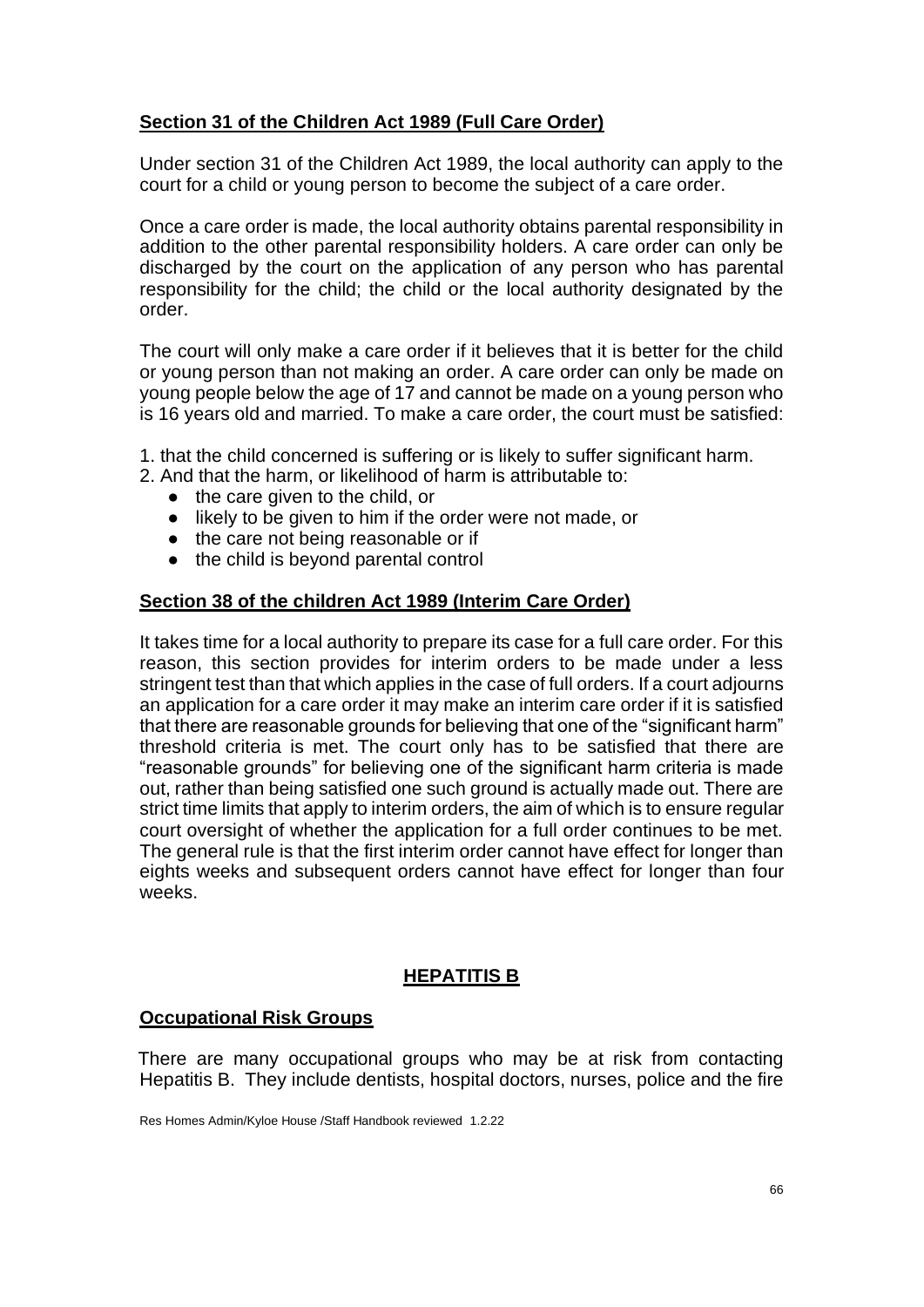# **Section 31 of the Children Act 1989 (Full Care Order)**

Under section 31 of the Children Act 1989, the local authority can apply to the court for a child or young person to become the subject of a care order.

Once a care order is made, the local authority obtains parental responsibility in addition to the other parental responsibility holders. A care order can only be discharged by the court on the application of any person who has parental responsibility for the child; the child or the local authority designated by the order.

The court will only make a care order if it believes that it is better for the child or young person than not making an order. A care order can only be made on young people below the age of 17 and cannot be made on a young person who is 16 years old and married. To make a care order, the court must be satisfied:

- 1. that the child concerned is suffering or is likely to suffer significant harm.
- 2. And that the harm, or likelihood of harm is attributable to:
	- the care given to the child, or
	- likely to be given to him if the order were not made, or
	- the care not being reasonable or if
	- the child is beyond parental control

### **Section 38 of the children Act 1989 (Interim Care Order)**

It takes time for a local authority to prepare its case for a full care order. For this reason, this section provides for interim orders to be made under a less stringent test than that which applies in the case of full orders. If a court adjourns an application for a care order it may make an interim care order if it is satisfied that there are reasonable grounds for believing that one of the "significant harm" threshold criteria is met. The court only has to be satisfied that there are "reasonable grounds" for believing one of the significant harm criteria is made out, rather than being satisfied one such ground is actually made out. There are strict time limits that apply to interim orders, the aim of which is to ensure regular court oversight of whether the application for a full order continues to be met. The general rule is that the first interim order cannot have effect for longer than eights weeks and subsequent orders cannot have effect for longer than four weeks.

## **HEPATITIS B**

## **Occupational Risk Groups**

There are many occupational groups who may be at risk from contacting Hepatitis B. They include dentists, hospital doctors, nurses, police and the fire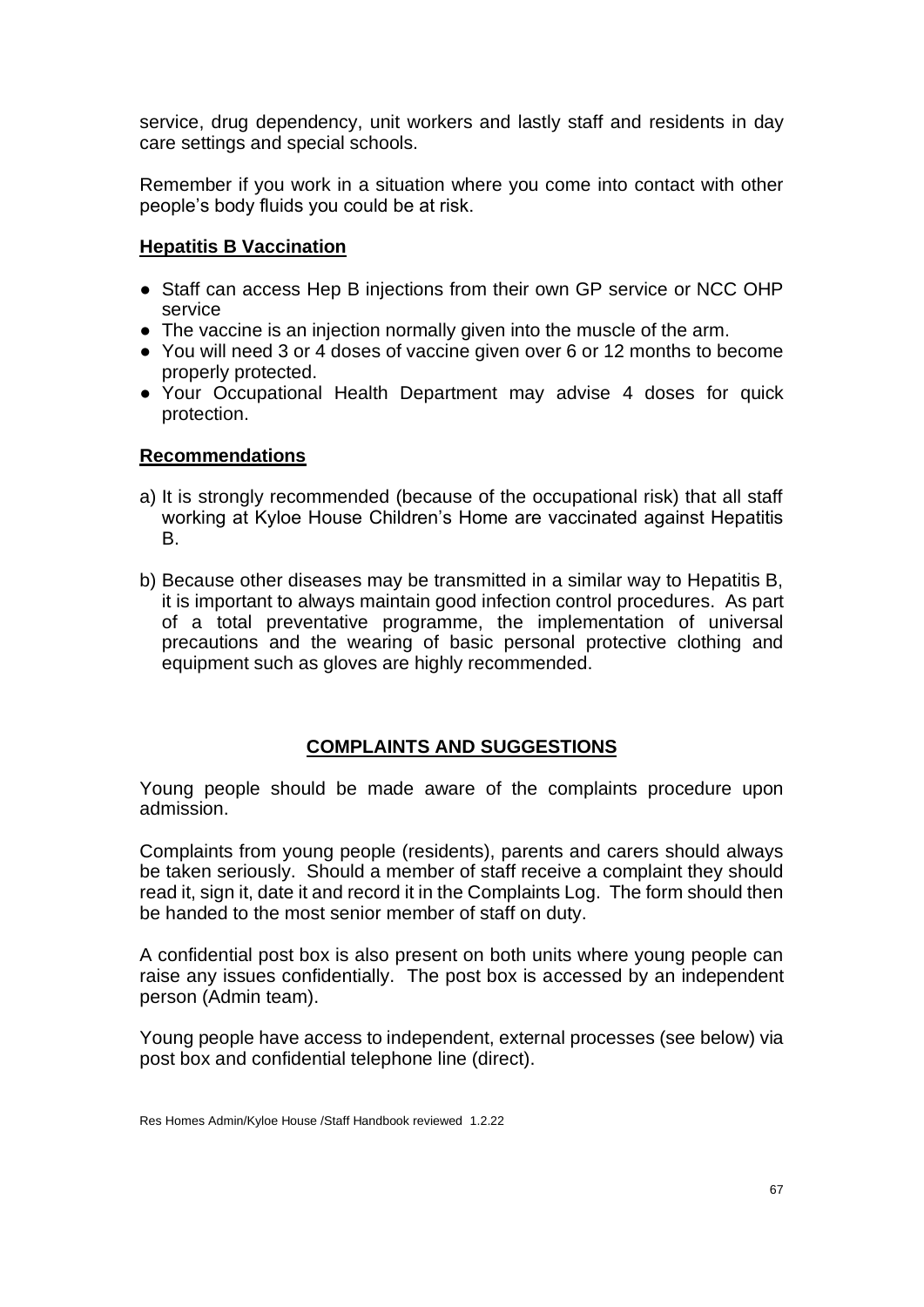service, drug dependency, unit workers and lastly staff and residents in day care settings and special schools.

Remember if you work in a situation where you come into contact with other people's body fluids you could be at risk.

### **Hepatitis B Vaccination**

- Staff can access Hep B injections from their own GP service or NCC OHP service
- The vaccine is an injection normally given into the muscle of the arm.
- You will need 3 or 4 doses of vaccine given over 6 or 12 months to become properly protected.
- Your Occupational Health Department may advise 4 doses for quick protection.

### **Recommendations**

- a) It is strongly recommended (because of the occupational risk) that all staff working at Kyloe House Children's Home are vaccinated against Hepatitis B.
- b) Because other diseases may be transmitted in a similar way to Hepatitis B, it is important to always maintain good infection control procedures. As part of a total preventative programme, the implementation of universal precautions and the wearing of basic personal protective clothing and equipment such as gloves are highly recommended.

## **COMPLAINTS AND SUGGESTIONS**

Young people should be made aware of the complaints procedure upon admission.

Complaints from young people (residents), parents and carers should always be taken seriously. Should a member of staff receive a complaint they should read it, sign it, date it and record it in the Complaints Log. The form should then be handed to the most senior member of staff on duty.

A confidential post box is also present on both units where young people can raise any issues confidentially. The post box is accessed by an independent person (Admin team).

Young people have access to independent, external processes (see below) via post box and confidential telephone line (direct).

Res Homes Admin/Kyloe House /Staff Handbook reviewed 1.2.22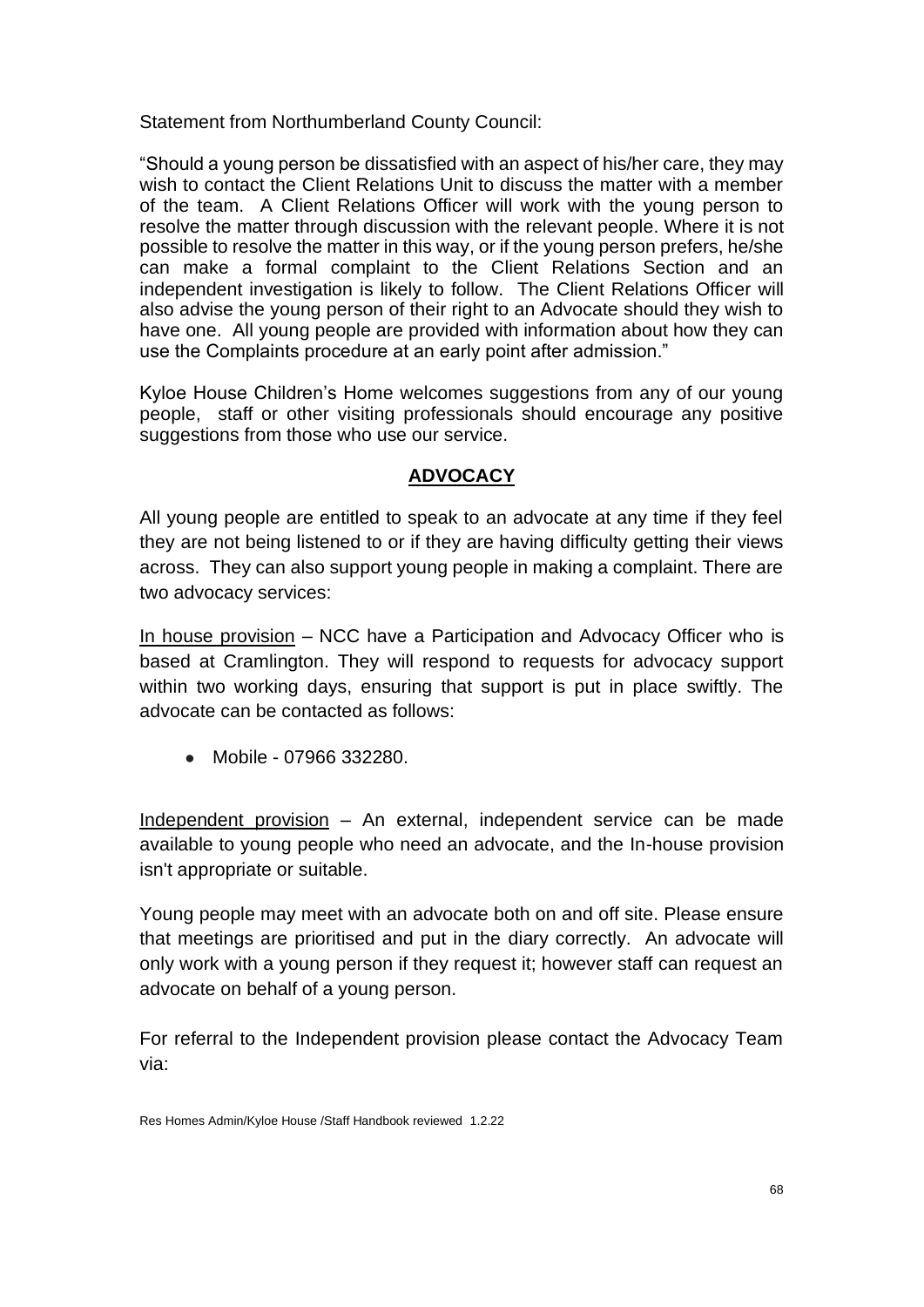Statement from Northumberland County Council:

"Should a young person be dissatisfied with an aspect of his/her care, they may wish to contact the Client Relations Unit to discuss the matter with a member of the team. A Client Relations Officer will work with the young person to resolve the matter through discussion with the relevant people. Where it is not possible to resolve the matter in this way, or if the young person prefers, he/she can make a formal complaint to the Client Relations Section and an independent investigation is likely to follow. The Client Relations Officer will also advise the young person of their right to an Advocate should they wish to have one. All young people are provided with information about how they can use the Complaints procedure at an early point after admission."

Kyloe House Children's Home welcomes suggestions from any of our young people, staff or other visiting professionals should encourage any positive suggestions from those who use our service.

# **ADVOCACY**

All young people are entitled to speak to an advocate at any time if they feel they are not being listened to or if they are having difficulty getting their views across. They can also support young people in making a complaint. There are two advocacy services:

In house provision – NCC have a Participation and Advocacy Officer who is based at Cramlington. They will respond to requests for advocacy support within two working days, ensuring that support is put in place swiftly. The advocate can be contacted as follows:

● Mobile - 07966 332280.

Independent provision – An external, independent service can be made available to young people who need an advocate, and the In-house provision isn't appropriate or suitable.

Young people may meet with an advocate both on and off site. Please ensure that meetings are prioritised and put in the diary correctly. An advocate will only work with a young person if they request it; however staff can request an advocate on behalf of a young person.

For referral to the Independent provision please contact the Advocacy Team via:

Res Homes Admin/Kyloe House /Staff Handbook reviewed 1.2.22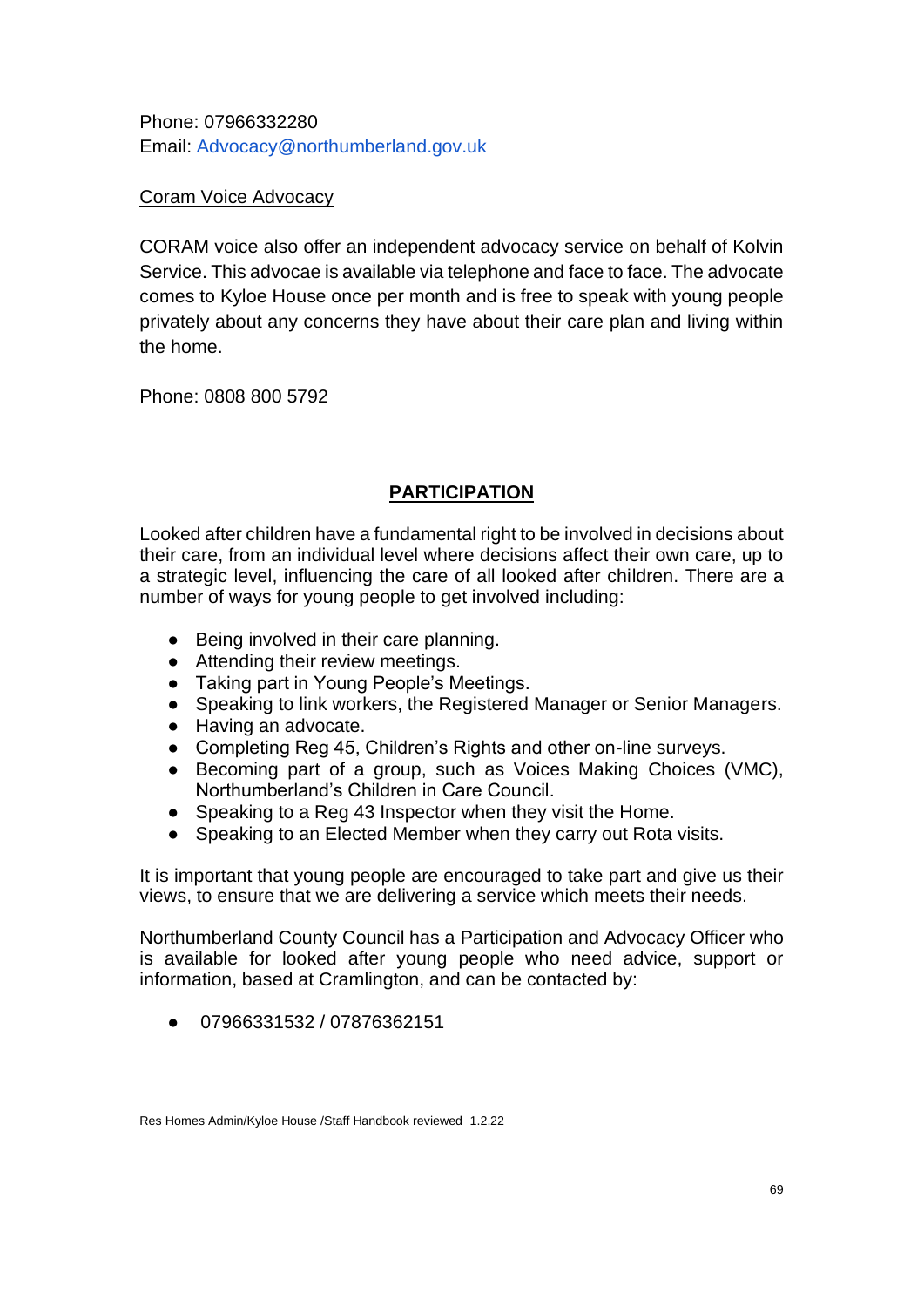Phone: 07966332280 Email: Advocacy@northumberland.gov.uk

# Coram Voice Advocacy

CORAM voice also offer an independent advocacy service on behalf of Kolvin Service. This advocae is available via telephone and face to face. The advocate comes to Kyloe House once per month and is free to speak with young people privately about any concerns they have about their care plan and living within the home.

Phone: 0808 800 5792

# **PARTICIPATION**

Looked after children have a fundamental right to be involved in decisions about their care, from an individual level where decisions affect their own care, up to a strategic level, influencing the care of all looked after children. There are a number of ways for young people to get involved including:

- Being involved in their care planning.
- Attending their review meetings.
- Taking part in Young People's Meetings.
- Speaking to link workers, the Registered Manager or Senior Managers.
- Having an advocate.
- Completing Reg 45, Children's Rights and other on-line surveys.
- Becoming part of a group, such as Voices Making Choices (VMC), Northumberland's Children in Care Council.
- Speaking to a Reg 43 Inspector when they visit the Home.
- Speaking to an Elected Member when they carry out Rota visits.

It is important that young people are encouraged to take part and give us their views, to ensure that we are delivering a service which meets their needs.

Northumberland County Council has a Participation and Advocacy Officer who is available for looked after young people who need advice, support or information, based at Cramlington, and can be contacted by:

● 07966331532 / 07876362151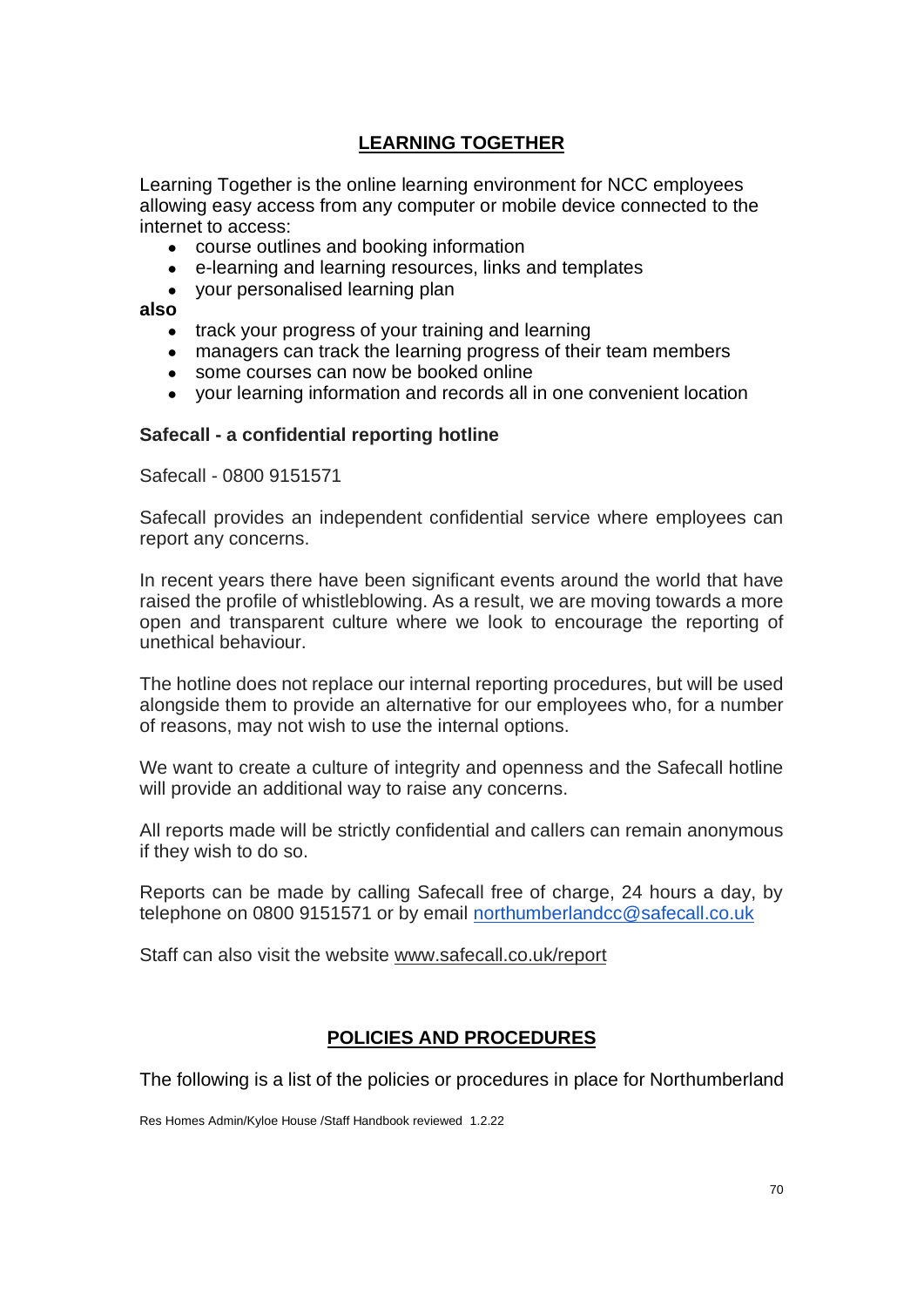# **LEARNING TOGETHER**

Learning Together is the online learning environment for NCC employees allowing easy access from any computer or mobile device connected to the internet to access:

- course outlines and booking information
- e-learning and learning resources, links and templates
- your personalised learning plan

**also**

- track your progress of your training and learning
- managers can track the learning progress of their team members
- some courses can now be booked online
- your learning information and records all in one convenient location

### **Safecall - a confidential reporting hotline**

Safecall - 0800 9151571

Safecall provides an independent confidential service where employees can report any concerns.

In recent years there have been significant events around the world that have raised the profile of whistleblowing. As a result, we are moving towards a more open and transparent culture where we look to encourage the reporting of unethical behaviour.

The hotline does not replace our internal reporting procedures, but will be used alongside them to provide an alternative for our employees who, for a number of reasons, may not wish to use the internal options.

We want to create a culture of integrity and openness and the Safecall hotline will provide an additional way to raise any concerns.

All reports made will be strictly confidential and callers can remain anonymous if they wish to do so.

Reports can be made by calling Safecall free of charge, 24 hours a day, by telephone on 0800 9151571 or by email [northumberlandcc@safecall.co.uk](mailto:northumberlandcc@safecall.co.uk)

Staff can also visit the website [www.safecall.co.uk/report](http://www.safecall.co.uk/report)

## **POLICIES AND PROCEDURES**

The following is a list of the policies or procedures in place for Northumberland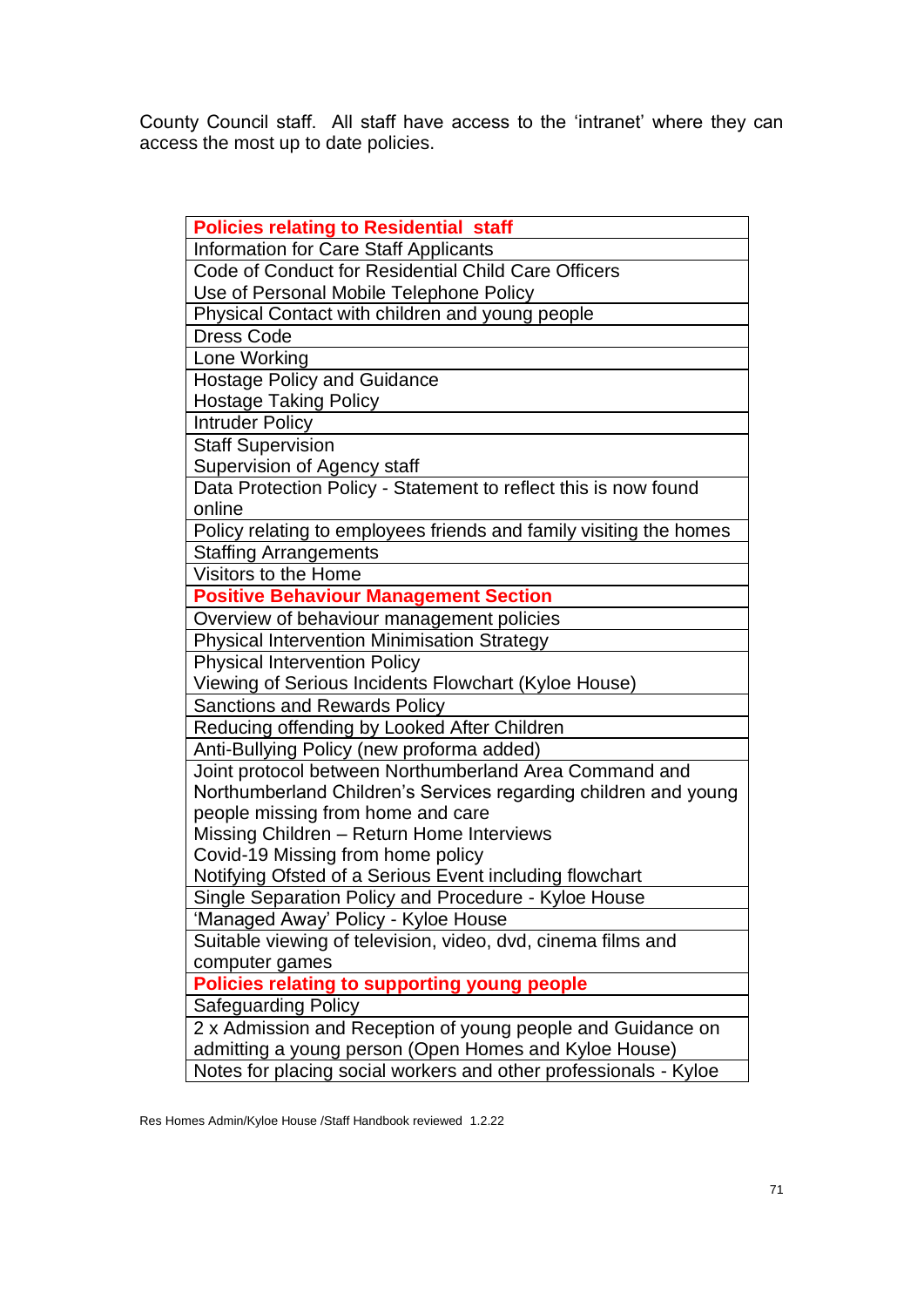County Council staff. All staff have access to the 'intranet' where they can access the most up to date policies.

| <b>Policies relating to Residential staff</b>                      |
|--------------------------------------------------------------------|
| <b>Information for Care Staff Applicants</b>                       |
| Code of Conduct for Residential Child Care Officers                |
| Use of Personal Mobile Telephone Policy                            |
| Physical Contact with children and young people                    |
| <b>Dress Code</b>                                                  |
| Lone Working                                                       |
| <b>Hostage Policy and Guidance</b>                                 |
| <b>Hostage Taking Policy</b>                                       |
| <b>Intruder Policy</b>                                             |
| <b>Staff Supervision</b>                                           |
| Supervision of Agency staff                                        |
| Data Protection Policy - Statement to reflect this is now found    |
| online                                                             |
| Policy relating to employees friends and family visiting the homes |
| <b>Staffing Arrangements</b>                                       |
| Visitors to the Home                                               |
| <b>Positive Behaviour Management Section</b>                       |
| Overview of behaviour management policies                          |
| <b>Physical Intervention Minimisation Strategy</b>                 |
| <b>Physical Intervention Policy</b>                                |
| Viewing of Serious Incidents Flowchart (Kyloe House)               |
| <b>Sanctions and Rewards Policy</b>                                |
| Reducing offending by Looked After Children                        |
| Anti-Bullying Policy (new proforma added)                          |
| Joint protocol between Northumberland Area Command and             |
| Northumberland Children's Services regarding children and young    |
| people missing from home and care                                  |
| Missing Children - Return Home Interviews                          |
| Covid-19 Missing from home policy                                  |
| Notifying Ofsted of a Serious Event including flowchart            |
| Single Separation Policy and Procedure - Kyloe House               |
| 'Managed Away' Policy - Kyloe House                                |
| Suitable viewing of television, video, dvd, cinema films and       |
| computer games                                                     |
| <b>Policies relating to supporting young people</b>                |
| <b>Safeguarding Policy</b>                                         |
| 2 x Admission and Reception of young people and Guidance on        |
| admitting a young person (Open Homes and Kyloe House)              |
| Notes for placing social workers and other professionals - Kyloe   |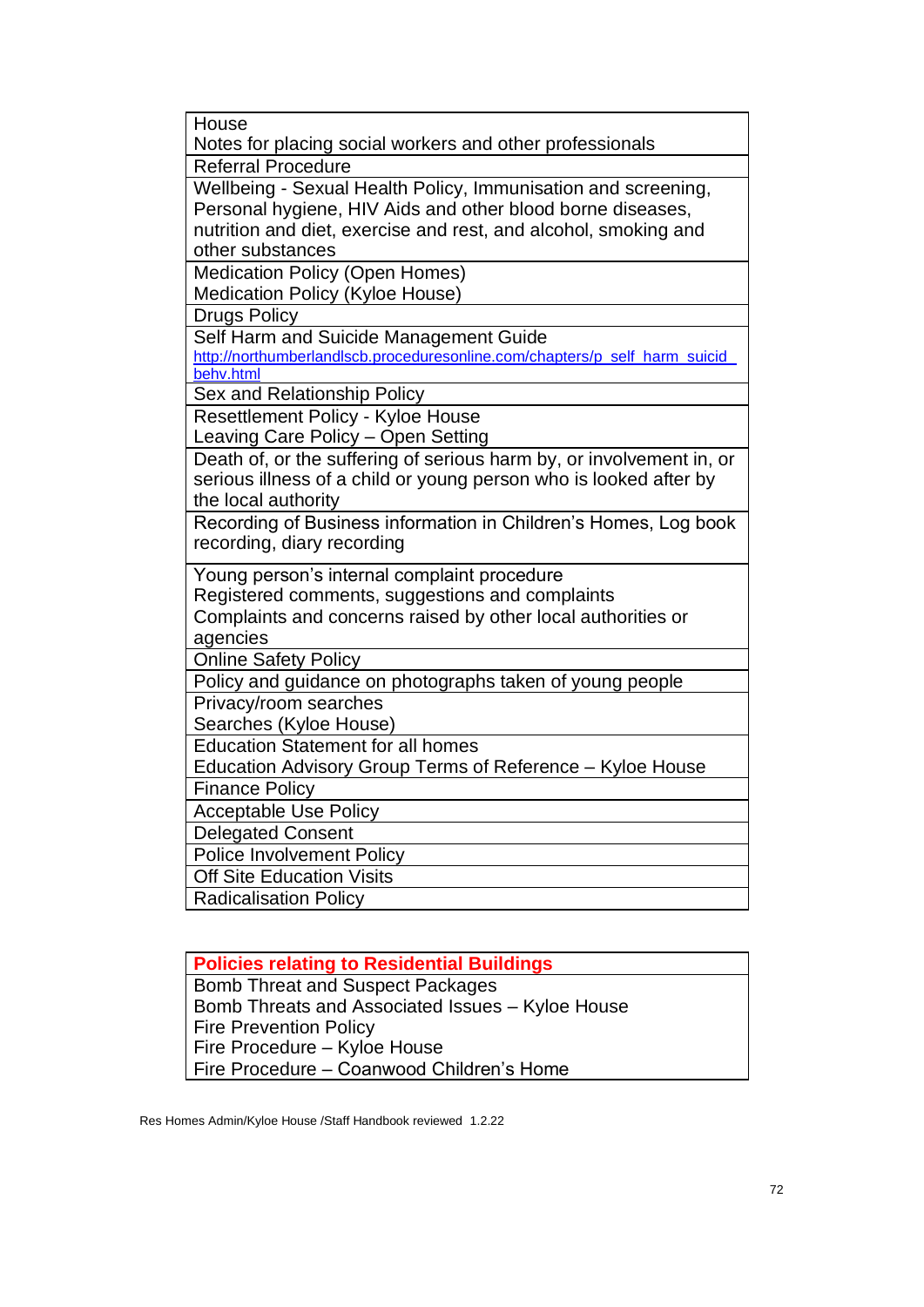| House                                                                                    |  |  |
|------------------------------------------------------------------------------------------|--|--|
| Notes for placing social workers and other professionals                                 |  |  |
| <b>Referral Procedure</b>                                                                |  |  |
| Wellbeing - Sexual Health Policy, Immunisation and screening,                            |  |  |
| Personal hygiene, HIV Aids and other blood borne diseases,                               |  |  |
| nutrition and diet, exercise and rest, and alcohol, smoking and                          |  |  |
| other substances                                                                         |  |  |
| <b>Medication Policy (Open Homes)</b>                                                    |  |  |
| Medication Policy (Kyloe House)                                                          |  |  |
| <b>Drugs Policy</b>                                                                      |  |  |
| Self Harm and Suicide Management Guide                                                   |  |  |
| http://northumberlandlscb.proceduresonline.com/chapters/p_self_harm_suicid_<br>behv.html |  |  |
| Sex and Relationship Policy                                                              |  |  |
| Resettlement Policy - Kyloe House                                                        |  |  |
| Leaving Care Policy - Open Setting                                                       |  |  |
| Death of, or the suffering of serious harm by, or involvement in, or                     |  |  |
| serious illness of a child or young person who is looked after by                        |  |  |
| the local authority                                                                      |  |  |
|                                                                                          |  |  |
|                                                                                          |  |  |
| Recording of Business information in Children's Homes, Log book                          |  |  |
| recording, diary recording                                                               |  |  |
| Young person's internal complaint procedure                                              |  |  |
| Registered comments, suggestions and complaints                                          |  |  |
| Complaints and concerns raised by other local authorities or                             |  |  |
| agencies                                                                                 |  |  |
| <b>Online Safety Policy</b>                                                              |  |  |
| Policy and guidance on photographs taken of young people                                 |  |  |
| Privacy/room searches                                                                    |  |  |
| Searches (Kyloe House)                                                                   |  |  |
| <b>Education Statement for all homes</b>                                                 |  |  |
| Education Advisory Group Terms of Reference - Kyloe House                                |  |  |
| <b>Finance Policy</b>                                                                    |  |  |
| <b>Acceptable Use Policy</b>                                                             |  |  |
| <b>Delegated Consent</b>                                                                 |  |  |
| <b>Police Involvement Policy</b>                                                         |  |  |
| <b>Off Site Education Visits</b><br><b>Radicalisation Policy</b>                         |  |  |

| <b>Policies relating to Residential Buildings</b> |  |
|---------------------------------------------------|--|
| <b>Bomb Threat and Suspect Packages</b>           |  |
| Bomb Threats and Associated Issues - Kyloe House  |  |
| <b>Fire Prevention Policy</b>                     |  |
| Fire Procedure - Kyloe House                      |  |
| Fire Procedure – Coanwood Children's Home         |  |

Res Homes Admin/Kyloe House /Staff Handbook reviewed 1.2.22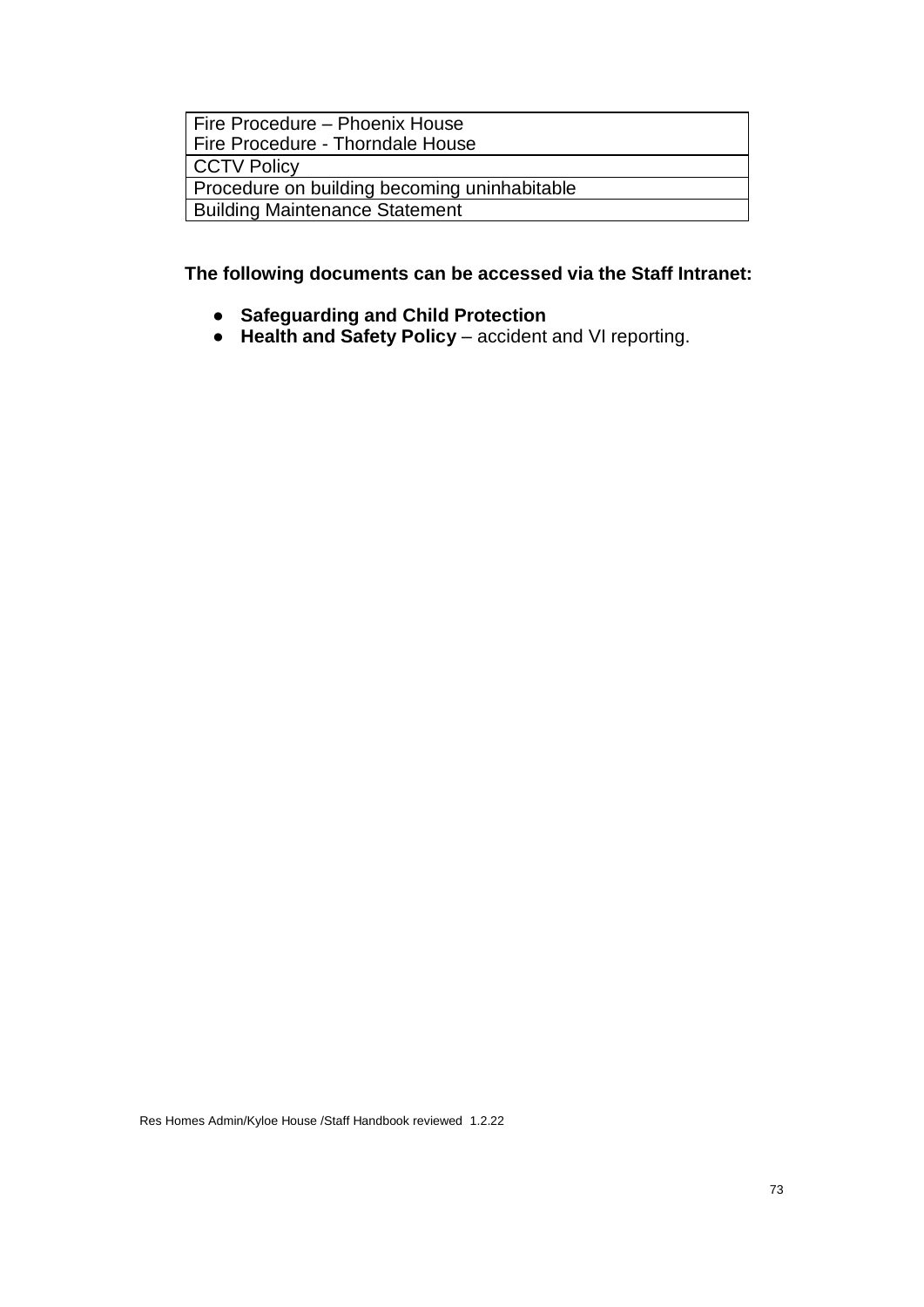| Fire Procedure – Phoenix House               |
|----------------------------------------------|
| Fire Procedure - Thorndale House             |
| <b>CCTV Policy</b>                           |
| Procedure on building becoming uninhabitable |
| <b>Building Maintenance Statement</b>        |

**The following documents can be accessed via the Staff Intranet:**

- **Safeguarding and Child Protection**
- **Health and Safety Policy** accident and VI reporting.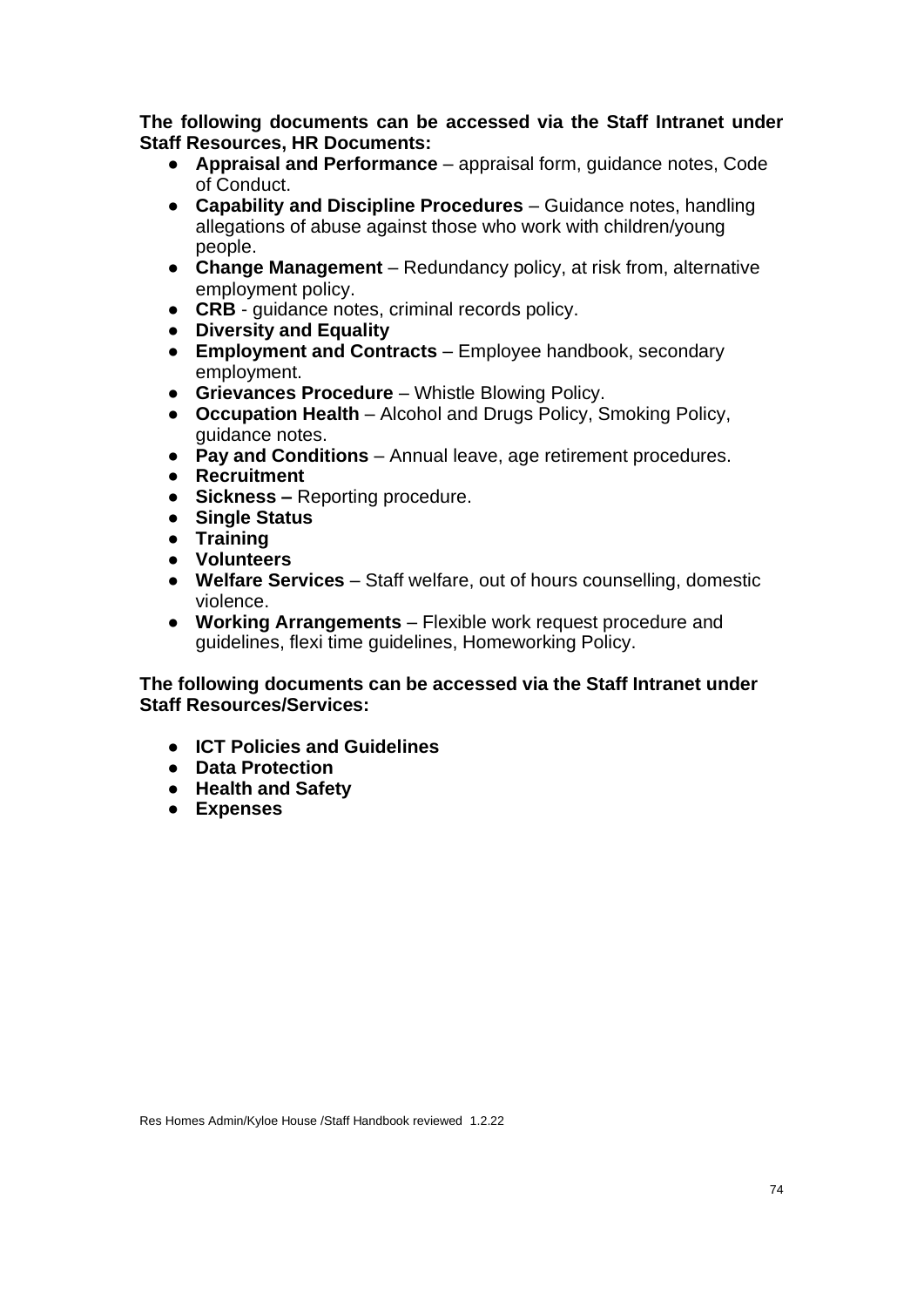**The following documents can be accessed via the Staff Intranet under Staff Resources, HR Documents:**

- **Appraisal and Performance** appraisal form, guidance notes, Code of Conduct.
- **Capability and Discipline Procedures** Guidance notes, handling allegations of abuse against those who work with children/young people.
- **Change Management**  Redundancy policy, at risk from, alternative employment policy.
- **CRB** guidance notes, criminal records policy.
- **Diversity and Equality**
- **Employment and Contracts** Employee handbook, secondary employment.
- **Grievances Procedure**  Whistle Blowing Policy.
- **Occupation Health**  Alcohol and Drugs Policy, Smoking Policy, guidance notes.
- **Pay and Conditions** Annual leave, age retirement procedures.
- **Recruitment**
- **Sickness –** Reporting procedure.
- **Single Status**
- **Training**
- **Volunteers**
- **Welfare Services**  Staff welfare, out of hours counselling, domestic violence.
- **Working Arrangements** Flexible work request procedure and guidelines, flexi time guidelines, Homeworking Policy.

## **The following documents can be accessed via the Staff Intranet under Staff Resources/Services:**

- **ICT Policies and Guidelines**
- **Data Protection**
- **Health and Safety**
- **Expenses**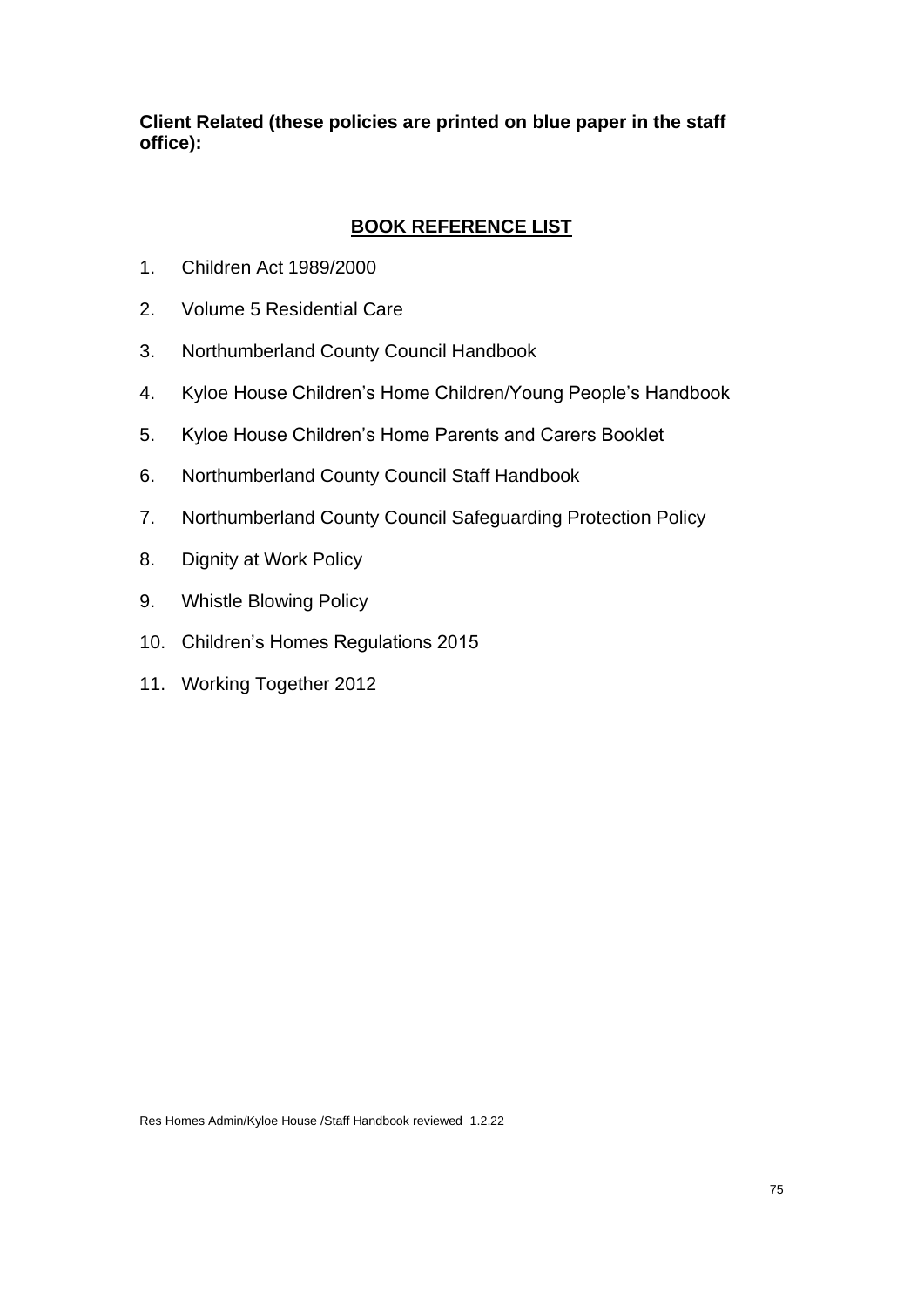**Client Related (these policies are printed on blue paper in the staff office):**

## **BOOK REFERENCE LIST**

- 1. Children Act 1989/2000
- 2. Volume 5 Residential Care
- 3. Northumberland County Council Handbook
- 4. Kyloe House Children's Home Children/Young People's Handbook
- 5. Kyloe House Children's Home Parents and Carers Booklet
- 6. Northumberland County Council Staff Handbook
- 7. Northumberland County Council Safeguarding Protection Policy
- 8. Dignity at Work Policy
- 9. Whistle Blowing Policy
- 10. Children's Homes Regulations 2015
- 11. Working Together 2012